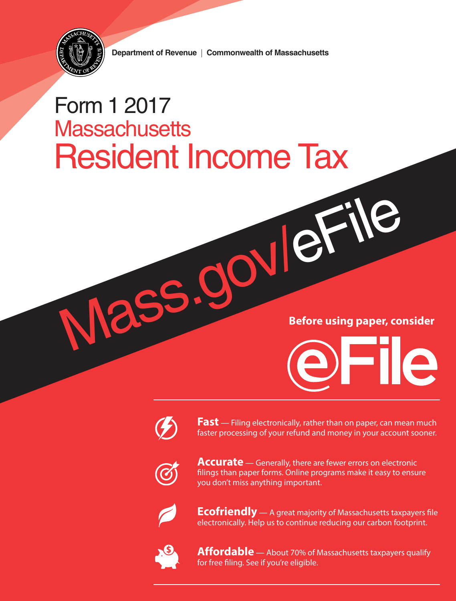

Department of Revenue | Commonwealth of Massachusetts

# Form 1 2017 **Massachusetts** Resident Income Tax

Mass.gov/eF **Before using paper, consider**



**Fast** — Filing electronically, rather than on paper, can mean much faster processing of your refund and money in your account sooner.



**Accurate** — Generally, there are fewer errors on electronic filings than paper forms. Online programs make it easy to ensure you don't miss anything important.



**Ecofriendly** — A great majority of Massachusetts taxpayers file electronically. Help us to continue reducing our carbon footprint.



**Affordable** — About 70% of Massachusetts taxpayers qualify for free filing. See if you're eligible.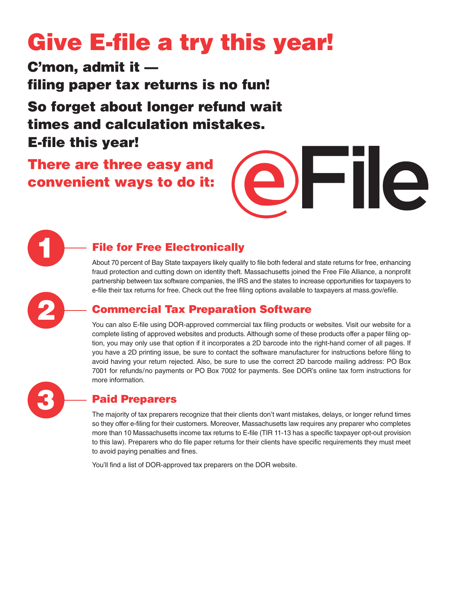# Give E-file a try this year!

C'mon, admit it filing paper tax returns is no fun!

So forget about longer refund wait times and calculation mistakes. E-file this year!

## There are three easy and convenient ways to do it:

## File for Free Electronically

About 70 percent of Bay State taxpayers likely qualify to file both federal and state returns for free, enhancing fraud protection and cutting down on identity theft. Massachusetts joined the Free File Alliance, a nonprofit partnership between tax software companies, the IRS and the states to increase opportunities for taxpayers to e-file their tax returns for free. Check out the free filing options available to taxpayers at mass.gov/efile.

## Commercial Tax Preparation Software

You can also E-file using DOR-approved commercial tax filing products or websites. Visit our website for a complete listing of approved websites and products. Although some of these products offer a paper filing option, you may only use that option if it incorporates a 2D barcode into the right-hand corner of all pages. If you have a 2D printing issue, be sure to contact the software manufacturer for instructions before filing to avoid having your return rejected. Also, be sure to use the correct 2D barcode mailing address: PO Box 7001 for refunds/no payments or PO Box 7002 for payments. See DOR's online tax form instructions for more information.



1

2

## Paid Preparers

The majority of tax preparers recognize that their clients don't want mistakes, delays, or longer refund times so they offer e-filing for their customers. Moreover, Massachusetts law requires any preparer who completes more than 10 Massachusetts income tax returns to E-file (TIR 11-13 has a specific taxpayer opt-out provision to this law). Preparers who do file paper returns for their clients have specific requirements they must meet to avoid paying penalties and fines.

You'll find a list of DOR-approved tax preparers on the DOR website.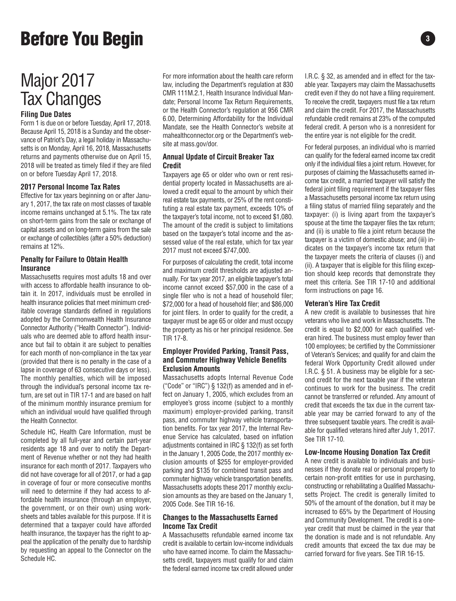# **Before You Begin 33 and 33 and 33 and 33 and 33 and 33 and 33 and 33 and 33 and 33 and 33 and 33 and 33 and 33 and 33 and 33 and 33 and 33 and 33 and 33 and 33 and 33 and 33 and 33 and 33 and 33 and 33 and 33 and 33 and 3**

## Major 2017 Tax Changes

#### **Filing Due Dates**

Form 1 is due on or before Tuesday, April 17, 2018. Because April 15, 2018 is a Sunday and the observance of Patriot's Day, a legal holiday in Massachusetts is on Monday, April 16, 2018, Massachusetts returns and payments otherwise due on April 15, 2018 will be treated as timely filed if they are filed on or before Tuesday April 17, 2018.

#### **2017 Personal Income Tax Rates**

Effective for tax years beginning on or after January 1, 2017, the tax rate on most classes of taxable income remains unchanged at 5.1%. The tax rate on short-term gains from the sale or exchange of capital assets and on long-term gains from the sale or exchange of collectibles (after a 50% deduction) remains at 12%.

#### **Penalty for Failure to Obtain Health Insurance**

Massachusetts requires most adults 18 and over with access to affordable health insurance to obtain it. In 2017, individuals must be enrolled in health insurance policies that meet minimum creditable coverage standards defined in regulations adopted by the Commonwealth Health Insurance Connector Authority ("Health Connector"). Individuals who are deemed able to afford health insurance but fail to obtain it are subject to penalties for each month of non-compliance in the tax year (provided that there is no penalty in the case of a lapse in coverage of 63 consecutive days or less). The monthly penalties, which will be imposed through the individual's personal income tax return, are set out in TIR 17-1 and are based on half of the minimum monthly insurance premium for which an individual would have qualified through the Health Connector.

Schedule HC, Health Care Information, must be completed by all full-year and certain part-year residents age 18 and over to notify the Department of Revenue whether or not they had health insurance for each month of 2017. Taxpayers who did not have coverage for all of 2017, or had a gap in coverage of four or more consecutive months will need to determine if they had access to affordable health insurance (through an employer, the government, or on their own) using worksheets and tables available for this purpose. If it is determined that a taxpayer could have afforded health insurance, the taxpayer has the right to appeal the application of the penalty due to hardship by requesting an appeal to the Connector on the Schedule HC.

For more information about the health care reform law, including the Department's regulation at 830 CMR 111M.2.1, Health Insurance Individual Mandate; Personal Income Tax Return Requirements, or the Health Connector's regulation at 956 CMR 6.00, Determining Affordability for the Individual Mandate, see the Health Connector's website at mahealthconnector.org or the Department's website at mass.gov/dor.

#### **Annual Update of Circuit Breaker Tax Credit**

Taxpayers age 65 or older who own or rent residential property located in Massachusetts are allowed a credit equal to the amount by which their real estate tax payments, or 25% of the rent constituting a real estate tax payment, exceeds 10% of the taxpayer's total income, not to exceed \$1,080. The amount of the credit is subject to limitations based on the taxpayer's total income and the assessed value of the real estate, which for tax year 2017 must not exceed \$747,000.

For purposes of calculating the credit, total income and maximum credit thresholds are adjusted annually. For tax year 2017, an eligible taxpayer's total income cannot exceed \$57,000 in the case of a single filer who is not a head of household filer; \$72,000 for a head of household filer; and \$86,000 for joint filers. In order to qualify for the credit, a taxpayer must be age 65 or older and must occupy the property as his or her principal residence. See TIR 17-8.

#### **Employer Provided Parking, Transit Pass, and Com muter Highway Vehicle Benefits Exclusion Amounts**

Massachusetts adopts Internal Revenue Code ("Code" or "IRC") § 132(f) as amended and in effect on January 1, 2005, which excludes from an employee's gross income (subject to a monthly maximum) employer-provided parking, transit pass, and commuter highway vehicle transportation benefits. For tax year 2017, the Internal Revenue Service has calculated, based on inflation adjustments contained in IRC § 132(f) as set forth in the January 1, 2005 Code, the 2017 monthly exclusion amounts of \$255 for employer-provided parking and \$135 for combined transit pass and commuter highway vehicle transportation benefits. Massachusetts adopts these 2017 monthly exclusion amounts as they are based on the January 1, 2005 Code. See TIR 16-16.

#### **Changes to the Massachusetts Earned Income Tax Credit**

A Massachusetts refundable earned income tax credit is available to certain low-income individuals who have earned income. To claim the Massachusetts credit, taxpayers must qualify for and claim the federal earned income tax credit allowed under

I.R.C. § 32, as amended and in effect for the taxable year. Taxpayers may claim the Massachusetts credit even if they do not have a filing requirement. To receive the credit, taxpayers must file a tax return and claim the credit. For 2017, the Massachusetts refundable credit remains at 23% of the computed federal credit. A person who is a nonresident for the entire year is not eligible for the credit.

For federal purposes, an individual who is married can qualify for the federal earned income tax credit only if the individual files a joint return. However, for purposes of claiming the Massachusetts earned income tax credit, a married taxpayer will satisfy the federal joint filing requirement if the taxpayer files a Massachusetts personal income tax return using a filing status of married filing separately and the taxpayer: (i) is living apart from the taxpayer's spouse at the time the taxpayer files the tax return; and (ii) is unable to file a joint return because the taxpayer is a victim of domestic abuse; and (iii) indicates on the taxpayer's income tax return that the taxpayer meets the criteria of clauses (i) and (ii). A taxpayer that is eligible for this filing exception should keep records that demonstrate they meet this criteria. See TIR 17-10 and additional form instructions on page 16.

#### **Veteran's Hire Tax Credit**

A new credit is available to businesses that hire veterans who live and work in Massachusetts. The credit is equal to \$2,000 for each qualified veteran hired. The business must employ fewer than 100 employees; be certified by the Commissioner of Veteran's Services; and qualify for and claim the federal Work Opportunity Credit allowed under I.R.C. § 51. A business may be eligible for a second credit for the next taxable year if the veteran continues to work for the business. The credit cannot be transferred or refunded. Any amount of credit that exceeds the tax due in the current taxable year may be carried forward to any of the three subsequent taxable years. The credit is available for qualified veterans hired after July 1, 2017. See TIR 17-10.

#### **Low-Income Housing Donation Tax Credit**

A new credit is available to individuals and businesses if they donate real or personal property to certain non-profit entities for use in purchasing, constructing or rehabilitating a Qualified Massachusetts Project. The credit is generally limited to 50% of the amount of the donation, but it may be increased to 65% by the Department of Housing and Community Development. The credit is a oneyear credit that must be claimed in the year that the donation is made and is not refundable. Any credit amounts that exceed the tax due may be carried forward for five years. See TIR 16-15.

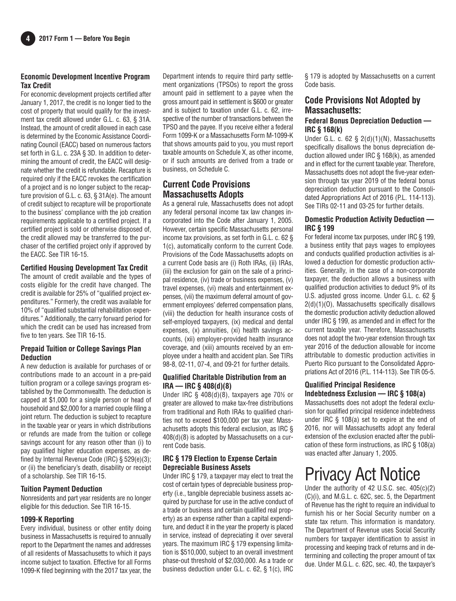#### **Economic Development Incentive Program Tax Credit**

For economic development projects certified after January 1, 2017, the credit is no longer tied to the cost of property that would qualify for the investment tax credit allowed under G.L. c. 63, § 31A. Instead, the amount of credit allowed in each case is determined by the Economic Assistance Coordinating Council (EACC) based on numerous factors set forth in G.L. c. 23A § 3D. In addition to determining the amount of credit, the EACC will designate whether the credit is refundable. Recapture is required only if the EACC revokes the certification of a project and is no longer subject to the recapture provision of G.L. c. 63, § 31A(e). The amount of credit subject to recapture will be proportionate to the business' compliance with the job creation requirements applicable to a certified project. If a certified project is sold or otherwise disposed of, the credit allowed may be transferred to the purchaser of the certified project only if approved by the EACC. See TIR 16-15.

#### **Certified Housing Development Tax Credit**

The amount of credit available and the types of costs eligible for the credit have changed. The credit is available for 25% of "qualified project expenditures." Formerly, the credit was available for 10% of "qualified substantial rehabilitation expenditures." Additionally, the carry forward period for which the credit can be used has increased from five to ten years. See TIR 16-15.

#### **Prepaid Tuition or College Savings Plan Deduction**

A new deduction is available for purchases of or contributions made to an account in a pre-paid tuition program or a college savings program established by the Commonwealth. The deduction is capped at \$1,000 for a single person or head of household and \$2,000 for a married couple filing a joint return. The deduction is subject to recapture in the taxable year or years in which distributions or refunds are made from the tuition or college savings account for any reason other than (i) to pay qualified higher education expenses, as defined by Internal Revenue Code (IRC) § 529(e)(3); or (ii) the beneficiary's death, disability or receipt of a scholarship. See TIR 16-15.

#### **Tuition Payment Deduction**

Nonresidents and part year residents are no longer eligible for this deduction. See TIR 16-15.

#### **1099-K Reporting**

Every individual, business or other entity doing business in Massachusetts is required to annually report to the Department the names and addresses of all residents of Massachusetts to which it pays income subject to taxation. Effective for all Forms 1099-K filed beginning with the 2017 tax year, the Department intends to require third party settlement organizations (TPSOs) to report the gross amount paid in settlement to a payee when the gross amount paid in settlement is \$600 or greater and is subject to taxation under G.L. c. 62, irrespective of the number of transactions between the TPSO and the payee. If you receive either a federal Form 1099-K or a Massachusetts Form M-1099-K that shows amounts paid to you, you must report taxable amounts on Schedule X, as other income, or if such amounts are derived from a trade or business, on Schedule C.

## **Current Code Provisions Massachusetts Adopts**

As a general rule, Massachusetts does not adopt any federal personal income tax law changes incorporated into the Code after January 1, 2005. However, certain specific Massachusetts personal income tax provisions, as set forth in G.L. c. 62 § 1(c), automatically conform to the current Code. Provisions of the Code Massachusetts adopts on a current Code basis are (i) Roth IRAs, (ii) IRAs, (iii) the exclusion for gain on the sale of a principal residence, (iv) trade or business expenses, (v) travel expenses, (vi) meals and entertainment expenses, (vii) the maximum deferral amount of government employees' deferred compensation plans, (viii) the deduction for health insurance costs of self-employed taxpayers, (ix) medical and dental expenses, (x) annuities, (xi) health savings accounts, (xii) employer-provided health insurance coverage, and (xiii) amounts received by an employee under a health and accident plan. See TIRs 98-8, 02-11, 07-4, and 09-21 for further details.

#### **Qualified Charitable Distribution from an IRA — IRC § 408(d)(8)**

Under IRC § 408(d)(8), taxpayers age 70**<sup>1</sup>** ⁄**<sup>2</sup>** or greater are allowed to make tax-free distributions from traditional and Roth IRAs to qualified charities not to exceed \$100,000 per tax year. Massachusetts adopts this federal exclusion, as IRC § 408(d)(8) is adopted by Massachusetts on a current Code basis.

#### **IRC § 179 Election to Expense Certain Depreciable Business Assets**

Under IRC § 179, a taxpayer may elect to treat the cost of certain types of depreciable business property (i.e., tangible depreciable business assets acquired by purchase for use in the active conduct of a trade or business and certain qualified real property) as an expense rather than a capital expenditure, and deduct it in the year the property is placed in service, instead of depreciating it over several years. The maximum IRC § 179 expensing limitation is \$510,000, subject to an overall investment phase-out threshold of \$2,030,000. As a trade or business deduction under G.L. c. 62, § 1(c), IRC

§ 179 is adopted by Massachusetts on a current Code basis.

#### **Code Provisions Not Adopted by Massachusetts:**

#### **Federal Bonus Depreciation Deduction — IRC § 168(k)**

Under G.L. c. 62 § 2(d)(1)(N), Massachusetts specifically disallows the bonus depreciation deduction allowed under IRC § 168(k), as amended and in effect for the current taxable year. Therefore, Massachusetts does not adopt the five-year extension through tax year 2019 of the federal bonus depreciation deduction pursuant to the Consolidated Appropriations Act of 2016 (P.L. 114-113). See TIRs 02-11 and 03-25 for further details.

#### **Domestic Production Activity Deduction — IRC § 199**

For federal income tax purposes, under IRC § 199, a business entity that pays wages to employees and conducts qualified production activities is allowed a deduction for domestic production activities. Generally, in the case of a non-corporate taxpayer, the deduction allows a business with qualified production activities to deduct 9% of its U.S. adjusted gross income. Under G.L. c. 62 § 2(d)(1)(O), Massachusetts specifically disallows the domestic production activity deduction allowed under IRC § 199, as amended and in effect for the current taxable year. Therefore, Massachusetts does not adopt the two-year extension through tax year 2016 of the deduction allowable for income attributable to domestic production activities in Puerto Rico pursuant to the Consolidated Appropriations Act of 2016 (P.L. 114-113). See TIR 05-5.

#### **Qualified Principal Residence Indebtedness Exclusion — IRC § 108(a)**

Massachusetts does not adopt the federal exclusion for qualified principal residence indebtedness under IRC § 108(a) set to expire at the end of 2016, nor will Massachusetts adopt any federal extension of the exclusion enacted after the publication of these form instructions, as IRC § 108(a) was enacted after January 1, 2005.

## Privacy Act Notice

Under the authority of 42 U.S.C. sec.  $405(c)(2)$ (C)(i), and M.G.L. c. 62C, sec. 5, the Department of Revenue has the right to require an individual to furnish his or her Social Security number on a state tax return. This information is mandatory. The Department of Revenue uses Social Security numbers for taxpayer identification to assist in processing and keeping track of returns and in determining and collecting the proper amount of tax due. Under M.G.L. c. 62C, sec. 40, the taxpayer's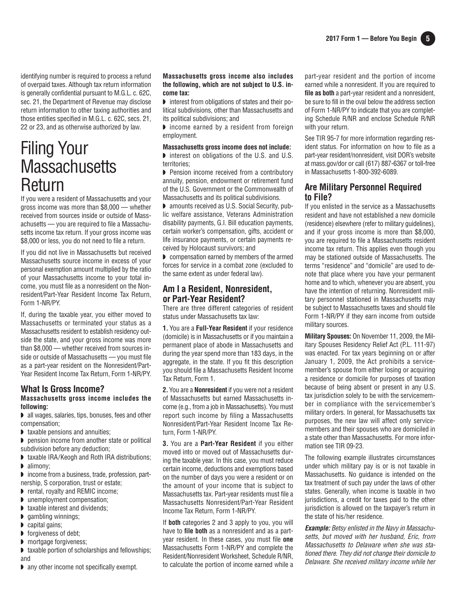identifying number is required to process a refund of overpaid taxes. Although tax return information is generally confidential pursuant to M.G.L. c. 62C, sec. 21, the Department of Revenue may disclose return information to other taxing authorities and those entities specified in M.G.L. c. 62C, secs. 21, 22 or 23, and as otherwise authorized by law.

## Filing Your **Massachusetts** Return

If you were a resident of Massachusetts and your gross income was more than \$8,000 — whether received from sources inside or outside of Massachusetts — you are required to file a Massachusetts income tax return. If your gross income was \$8,000 or less, you do not need to file a return.

If you did not live in Massachusetts but received Massachusetts source income in excess of your personal exemption amount multiplied by the ratio of your Massachusetts income to your total income, you must file as a nonresident on the Nonresident/Part-Year Resident Income Tax Return, Form 1-NR/PY.

If, during the taxable year, you either moved to Massachusetts or terminated your status as a Massachusetts resident to establish residency outside the state, and your gross income was more than \$8,000 — whether received from sources inside or outside of Massachusetts — you must file as a part-year resident on the Nonresident/Part-Year Resident Income Tax Return, Form 1-NR/PY.

#### **What Is Gross Income? Massachusetts gross income includes the**

## **following:**

◗ all wages, salaries, tips, bonuses, fees and other compensation;

- ◗ taxable pensions and annuities;
- ◗ pension income from another state or political subdivision before any deduction;
- ◗ taxable IRA/Keogh and Roth IRA distributions;
- alimony;

■ income from a business, trade, profession, partnership, S corporation, trust or estate;

- ◗ rental, royalty and REMIC income;
- ◗ unemployment compensation;
- ◗ taxable interest and dividends;
- ◗ gambling winnings;
- capital gains:
- ◗ forgiveness of debt;
- ◗ mortgage forgiveness;
- ◗ taxable portion of scholarships and fellowships; and
- ◗ any other income not specifically exempt.

#### **Massachusetts gross income also includes the following, which are not subject to U.S. income tax:**

◗ interest from obligations of states and their political subdivisions, other than Massachusetts and its political subdivisions; and

◗ income earned by a resident from foreign employment.

#### **Massachusetts gross income does not include:**

◗ interest on obligations of the U.S. and U.S. territories;

◗ Pension income received from a contributory annuity, pension, endowment or retirement fund of the U.S. Government or the Commonwealth of Massachusetts and its political subdivisions.

◗ amounts received as U.S. Social Security, public welfare assistance, Veterans Administration disability payments, G.I. Bill education payments, certain worker's compensation, gifts, accident or life insurance payments, or certain payments received by Holocaust survivors; and

◗ compensation earned by members of the armed forces for service in a combat zone (excluded to the same extent as under federal law).

#### **Am I a Resident, Nonresident, or Part-Year Resident?**

There are three different categories of resident status under Massachusetts tax law:

**1.** You are a **Full-Year Resident** if your residence (domicile) is in Massachusetts or if you maintain a permanent place of abode in Massachusetts and during the year spend more than 183 days, in the aggregate, in the state. If you fit this description you should file a Massachusetts Resident Income Tax Return, Form 1.

**2.**You are a **Nonresident** if you were not a resident of Massachusetts but earned Massachusetts income (e.g., from a job in Massachusetts). You must report such income by filing a Massachusetts Nonresident/Part-Year Resident Income Tax Return, Form 1-NR/PY.

**3.** You are a **Part-Year Resident** if you either moved into or moved out of Massachusetts during the taxable year. In this case, you must reduce certain income, deductions and exemptions based on the number of days you were a resident or on the amount of your income that is subject to Massachusetts tax. Part-year residents must file a Massachusetts Nonresident/Part-Year Resident Income Tax Return, Form 1-NR/PY.

If **both** categories 2 and 3 apply to you, you will have to **file both** as a nonresident and as a partyear resident. In these cases, you must file **one** Massachusetts Form 1-NR/PY and complete the Resident/Nonresident Worksheet, Schedule R/NR, to calculate the portion of income earned while a part-year resident and the portion of income earned while a nonresident. If you are required to **file as both** a part-year resident and a nonresident, be sure to fill in the oval below the address section of Form 1-NR/PY to indicate that you are completing Schedule R/NR and enclose Schedule R/NR with your return.

See TIR 95-7 for more information regarding resident status. For information on how to file as a part-year resident/nonresident, visit DOR's website at mass.gov/dor or call (617) 887-6367 or toll-free in Massachusetts 1-800-392-6089.

#### **Are Military Personnel Required to File?**

If you enlisted in the service as a Massachusetts resident and have not established a new domicile (residence) elsewhere (refer to military guidelines), and if your gross income is more than \$8,000, you are required to file a Massachusetts resident income tax return. This applies even though you may be stationed outside of Massachusetts. The terms "residence" and "domicile" are used to denote that place where you have your permanent home and to which, whenever you are absent, you have the intention of returning. Nonresident military personnel stationed in Massachusetts may be subject to Massachusetts taxes and should file Form 1-NR/PY if they earn income from outside military sources.

**Military Spouses:** On November 11, 2009, the Military Spouses Residency Relief Act (P.L. 111-97) was enacted. For tax years beginning on or after January 1, 2009, the Act prohibits a servicemember's spouse from either losing or acquiring a residence or domicile for purposes of taxation because of being absent or present in any U.S. tax jurisdiction solely to be with the servicemember in compliance with the servicemember's military orders. In general, for Massachusetts tax purposes, the new law will affect only servicemembers and their spouses who are domiciled in a state other than Massachusetts. For more information see TIR 09-23.

The following example illustrates circumstances under which military pay is or is not taxable in Massachusetts. No guidance is intended on the tax treatment of such pay under the laws of other states. Generally, when income is taxable in two jurisdictions, a credit for taxes paid to the other jurisdiction is allowed on the taxpayer's return in the state of his/her residence.

**Example:** Betsy enlisted in the Navy in Massachusetts, but moved with her husband, Eric, from Massachusetts to Delaware when she was stationed there. They did not change their domicile to Delaware. She received military income while her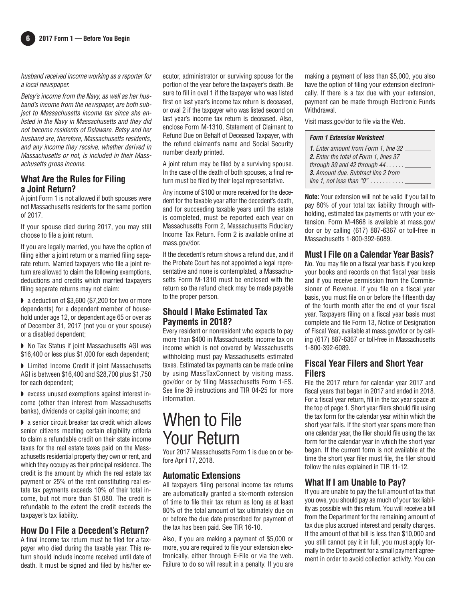#### husband received income working as a reporter for a local newspaper.

Betsy's income from the Navy, as well as her husband's income from the newspaper, are both subject to Massachusetts income tax since she enlisted in the Navy in Massachusetts and they did not become residents of Delaware. Betsy and her husband are, therefore, Massachusetts residents, and any income they receive, whether derived in Massachusetts or not, is included in their Massachusetts gross income.

#### **What Are the Rules for Filing a Joint Return?**

A joint Form 1 is not allowed if both spouses were not Massachusetts residents for the same portion of 2017.

If your spouse died during 2017, you may still choose to file a joint return.

If you are legally married, you have the option of filing either a joint return or a married filing separate return. Married taxpayers who file a joint return are allowed to claim the following exemptions, deductions and credits which married taxpayers filing separate returns may not claim:

◗ a deduction of \$3,600 (\$7,200 for two or more dependents) for a dependent member of household under age 12, or dependent age 65 or over as of December 31, 2017 (not you or your spouse) or a disabled dependent;

◗ No Tax Status if joint Massachusetts AGI was \$16,400 or less plus \$1,000 for each dependent;

◗ Limited Income Credit if joint Massachusetts AGI is between \$16,400 and \$28,700 plus \$1,750 for each dependent;

◗ excess unused exemptions against interest income (other than interest from Massachusetts banks), dividends or capital gain income; and

◗ a senior circuit breaker tax credit which allows senior citizens meeting certain eligibility criteria to claim a refundable credit on their state income taxes for the real estate taxes paid on the Massachusetts residential property they own or rent, and which they occupy as their principal residence. The credit is the amount by which the real estate tax payment or 25% of the rent constituting real estate tax payments exceeds 10% of their total income, but not more than \$1,080. The credit is refundable to the extent the credit exceeds the taxpayer's tax liability.

#### **How Do I File a Decedent's Return?**

A final income tax return must be filed for a taxpayer who died during the taxable year. This return should include income received until date of death. It must be signed and filed by his/her executor, administrator or surviving spouse for the portion of the year before the taxpayer's death. Be sure to fill in oval 1 if the taxpayer who was listed first on last year's income tax return is deceased, or oval 2 if the taxpayer who was listed second on last year's income tax return is deceased. Also, enclose Form M-1310, Statement of Claimant to Refund Due on Behalf of Deceased Taxpayer, with the refund claimant's name and Social Security number clearly printed.

A joint return may be filed by a surviving spouse. In the case of the death of both spouses, a final return must be filed by their legal representative.

Any income of \$100 or more received for the decedent for the taxable year after the decedent's death, and for succeeding taxable years until the estate is completed, must be reported each year on Massachusetts Form 2, Massachusetts Fiduciary Income Tax Return. Form 2 is available online at mass.gov/dor.

If the decedent's return shows a refund due, and if the Probate Court has not appointed a legal representative and none is contemplated, a Massachusetts Form M-1310 must be enclosed with the return so the refund check may be made payable to the proper person.

#### **Should I Make Estimated Tax Payments in 2018?**

Every resident or nonresident who expects to pay more than \$400 in Massachusetts income tax on income which is not covered by Massachusetts with holding must pay Massachus etts estimated taxes. Estimated tax payments can be made online by using MassTaxConnect by visiting mass. gov/dor or by filing Massachusetts Form 1-ES. See line 39 instructions and TIR 04-25 for more information.

## When to File Your Return

Your 2017 Massachusetts Form 1 is due on or before April 17, 2018.

#### **Automatic Extensions**

All taxpayers filing personal income tax returns are automatically granted a six-month extension of time to file their tax return as long as at least 80% of the total amount of tax ultimately due on or before the due date prescribed for payment of the tax has been paid. See TIR 16-10.

Also, if you are making a payment of \$5,000 or more, you are required to file your extension electronically, either through E-File or via the web. Failure to do so will result in a penalty. If you are

making a payment of less than \$5,000, you also have the option of filing your extension electronically. If there is a tax due with your extension, payment can be made through Electronic Funds Withdrawal.

Visit mass. gov/dor to file via the Web.

#### **Form 1 Extension Worksheet**

**Note:** Your extension will not be valid if you fail to pay 80% of your total tax liability through withholding, estimated tax payments or with your extension. Form M-4868 is available at mass. gov/ dor or by calling (617) 887-6367 or toll-free in Massachusetts 1-800-392-6089.

#### **Must I File on a Calendar Year Basis?**

No. You may file on a fiscal year basis if you keep your books and records on that fiscal year basis and if you receive permission from the Commissioner of Revenue. If you file on a fiscal year basis, you must file on or before the fifteenth day of the fourth month after the end of your fiscal year. Taxpayers filing on a fiscal year basis must complete and file Form 13, Notice of Designation of Fiscal Year, available at mass.gov/dor or by calling (617) 887-6367 or toll-free in Massachusetts 1-800-392-6089.

### **Fiscal Year Filers and Short Year Filers**

File the 2017 return for calendar year 2017 and fiscal years that began in 2017 and ended in 2018. For a fiscal year return, fill in the tax year space at the top of page 1. Short year filers should file using the tax form for the calendar year within which the short year falls. If the short year spans more than one calendar year, the filer should file using the tax form for the calendar year in which the short year began. If the current form is not available at the time the short year filer must file, the filer should follow the rules explained in TIR 11-12.

## **What If I am Unable to Pay?**

If you are unable to pay the full amount of tax that you owe, you should pay as much of your tax liability as possible with this return. You will receive a bill from the Department for the remaining amount of tax due plus accrued interest and penalty charges. If the amount of that bill is less than \$10,000 and you still cannot pay it in full, you must apply formally to the Department for a small payment agreement in order to avoid collection activity. You can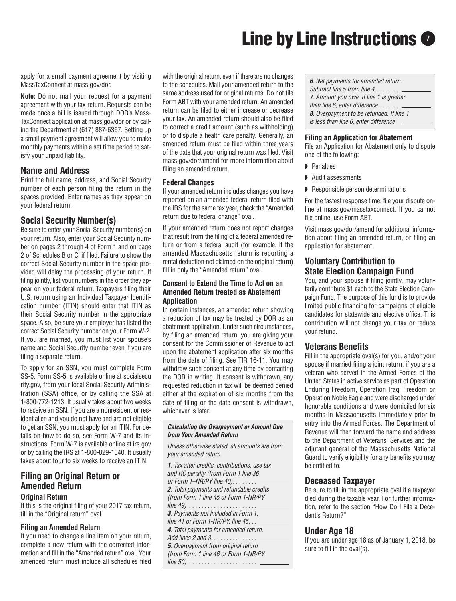# **Line by Line Instructions**  $\bullet$

apply for a small payment agreement by visiting MassTaxConnect at mass.gov/dor.

**Note:** Do not mail your request for a payment agreement with your tax return. Requests can be made once a bill is issued through DOR's Mass-TaxConnect application at mass.gov/dor or by calling the Department at (617) 887-6367. Setting up a small payment agreement will allow you to make monthly payments within a set time period to satisfy your unpaid liability.

#### **Name and Address**

Print the full name, address, and Social Security number of each person filing the return in the spaces provided. Enter names as they appear on your federal return.

### **Social Security Number(s)**

Be sure to enter your Social Security number(s) on your return. Also, enter your Social Security number on pages 2 through 4 of Form 1 and on page 2 of Schedules B or C, if filed. Failure to show the correct Social Security number in the space provided will delay the processing of your return. If filing jointly, list your numbers in the order they appear on your federal return. Taxpayers filing their U.S. return using an Individual Taxpayer Identification number (ITIN) should enter that ITIN as their Social Security number in the appropriate space. Also, be sure your employer has listed the correct Social Security number on your Form W-2. If you are married, you must list your spouse's name and Social Security number even if you are filing a separate return.

To apply for an SSN, you must complete Form SS-5. Form SS-5 is available online at socialsecu rity.gov, from your local Social Security Administration (SSA) office, or by calling the SSA at 1-800-772-1213. It usually takes about two weeks to receive an SSN. If you are a nonresident or resident alien and you do not have and are not eligible to get an SSN, you must apply for an ITIN. For details on how to do so, see Form W-7 and its instructions. Form W-7 is available online at irs.gov or by calling the IRS at 1-800-829-1040. It usually takes about four to six weeks to receive an ITIN.

## **Filing an Original Return or Amended Return**

### **Original Return**

If this is the original filing of your 2017 tax return, fill in the "Original return" oval.

#### **Filing an Amended Return**

If you need to change a line item on your return, complete a new return with the corrected information and fill in the "Amended return" oval. Your amended return must include all schedules filed with the original return, even if there are no changes to the schedules. Mail your amended return to the same address used for original returns. Do not file Form ABT with your amended return. An amended return can be filed to either increase or decrease your tax. An amended return should also be filed to correct a credit amount (such as withholding) or to dispute a health care penalty. Generally, an amended return must be filed within three years of the date that your original return was filed. Visit mass.gov/dor/amend for more information about filing an amended return.

#### **Federal Changes**

If your amended return includes changes you have reported on an amended federal return filed with the IRS for the same tax year, check the "Amended return due to federal change" oval.

If your amended return does not report changes that result from the filing of a federal amended return or from a federal audit (for example, if the amended Massachusetts return is reporting a rental deduction not claimed on the original return) fill in only the "Amended return" oval.

#### **Consent to Extend the Time to Act on an Amended Return treated as Abatement Application**

In certain instances, an amended return showing a reduction of tax may be treated by DOR as an abatement application. Under such circumstances, by filing an amended return, you are giving your consent for the Commissioner of Revenue to act upon the abatement application after six months from the date of filing. See TIR 16-11. You may withdraw such consent at any time by contacting the DOR in writing. If consent is withdrawn, any requested reduction in tax will be deemed denied either at the expiration of six months from the date of filing or the date consent is withdrawn, whichever is later.

#### **Calculating the Overpayment or Amount Due from Your Amended Return**

Unless otherwise stated, all amounts are from your amended return.

**1.** Tax after credits, contributions, use tax and HC penalty (from Form 1 line 36 or Form 1-NR/PY line 40). . . . . . . . . **2.** Total payments and refundable credits (from Form 1 line 45 or Form 1-NR/PY line 49) . . . . . . . . . . . . . . . . . . . . . . **3.** Payments not included in Form 1, line 41 or Form 1-NR/PY, line 45. **4.** Total payments for amended return. Add lines 2 and 3. . . . . . . . . . . . . . . . **5.**Overpayment from original return (from Form 1 line 46 or Form 1-NR/PY line 50) . . . . . . . . . . . . . . . . . . . . . .

**6.**Net payments for amended return. Subtract line 5 from line 4. . . . . . . .

- **7.** Amount you owe. If line 1 is greater
- than line  $6$ , enter difference.  $\ldots \ldots$
- **8.**Overpayment to be refunded. If line 1
- is less than line 6, enter difference

#### **Filing an Application for Abatement**

File an Application for Abatement only to dispute one of the following:

- ◗ Penalties
- ◗ Audit assessments
- ◗ Responsible person determinations

For the fastest response time, file your dispute online at mass.gov/masstaxconnect. If you cannot file online, use Form ABT.

Visit mass.gov/dor/amend for additional information about filing an amended return, or filing an application for abatement.

#### **Voluntary Contribution to State Election Campaign Fund**

You, and your spouse if filing jointly, may voluntarily contribute \$1 each to the State Election Campaign Fund. The purpose of this fund is to provide limited public financing for campaigns of eligible candidates for statewide and elective office. This contribution will not change your tax or reduce your refund.

#### **Veterans Benefits**

Fill in the appropriate oval(s) for you, and/or your spouse if married filing a joint return, if you are a veteran who served in the Armed Forces of the United States in active service as part of Operation Enduring Freedom, Operation Iraqi Freedom or Operation Noble Eagle and were discharged under honorable conditions and were domiciled for six months in Massachusetts immediately prior to entry into the Armed Forces. The Department of Revenue will then forward the name and address to the Department of Veterans' Services and the adjutant general of the Massachusetts National Guard to verify eligibility for any benefits you may be entitled to.

#### **Deceased Taxpayer**

Be sure to fill in the appropriate oval if a taxpayer died during the taxable year. For further information, refer to the section "How Do I File a Decedent's Return?"

#### **Under Age 18**

If you are under age 18 as of January 1, 2018, be sure to fill in the oval(s).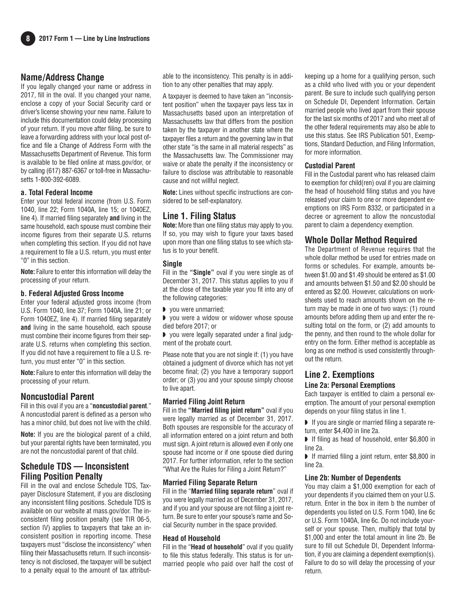#### **Name/Address Change**

If you legally changed your name or address in 2017, fill in the oval. If you changed your name, enclose a copy of your Social Security card or driver's license showing your new name. Failure to include this documentation could delay processing of your return. If you move after filing, be sure to leave a forwarding address with your local post office and file a Change of Address Form with the Massachusetts Department of Revenue. This form is available to be filed online at mass.gov/dor, or by calling (617) 887-6367 or toll-free in Massachusetts 1-800-392-6089.

#### **a. Total Federal Income**

Enter your total federal income (from U.S. Form 1040, line 22; Form 1040A, line 15; or 1040EZ, line 4). If married filing separately **and** living in the same household, each spouse must combine their income figures from their separate U.S. returns when completing this section. If you did not have a requirement to file a U.S. return, you must enter "0" in this section.

**Note:** Failure to enter this information will delay the processing of your return.

#### **b. Federal Adjusted Gross Income**

Enter your federal adjusted gross income (from U.S. Form 1040, line 37; Form 1040A, line 21; or Form 1040EZ, line 4). If married filing separately **and** living in the same household, each spouse must combine their income figures from their separate U.S. returns when completing this section. If you did not have a requirement to file a U.S. return, you must enter "0" in this section.

**Note:** Failure to enter this information will delay the processing of your return.

#### **Noncustodial Parent**

Fill in this oval if you are a "**noncustodial parent**." A noncustodial parent is defined as a person who has a minor child, but does not live with the child.

**Note:** If you are the biological parent of a child, but your parental rights have been terminated, you are not the noncustodial parent of that child.

### **Schedule TDS — Inconsistent Filing Position Penalty**

Fill in the oval and enclose Schedule TDS, Taxpayer Disclosure Statement, if you are disclosing any inconsistent filing positions. Schedule TDS is available on our website at mass.gov/dor. The inconsistent filing position penalty (see TIR 06-5, section IV) applies to taxpayers that take an inconsistent position in reporting income. These taxpayers must "disclose the inconsistency" when filing their Massachusetts return. If such inconsistency is not disclosed, the taxpayer will be subject to a penalty equal to the amount of tax attributable to the inconsistency. This penalty is in addition to any other penalties that may apply.

A taxpayer is deemed to have taken an "inconsistent position" when the taxpayer pays less tax in Massachusetts based upon an interpretation of Massachusetts law that differs from the position taken by the taxpayer in another state where the taxpayer files a return and the governing law in that other state "is the same in all material respects" as the Massachusetts law. The Commissioner may waive or abate the penalty if the inconsistency or failure to disclose was attributable to reasonable cause and not willful neglect.

**Note:** Lines without specific instructions are considered to be self-explanatory.

### **Line 1. Filing Status**

**Note:** More than one filing status may apply to you. If so, you may wish to figure your taxes based upon more than one filing status to see which status is to your benefit.

#### **Single**

Fill in the **"Single"** oval if you were single as of December 31, 2017. This status applies to you if at the close of the taxable year you fit into any of the following categories:

◗ you were unmarried;

◗ you were a widow or widower whose spouse died before 2017; or

◗ you were legally separated under a final judgment of the probate court.

Please note that you are not single if: (1) you have obtained a judgment of divorce which has not yet become final; (2) you have a temporary support order; or (3) you and your spouse simply choose to live apart.

#### **Married Filing Joint Return**

Fill in the **"Married filing joint return"** oval if you were legally married as of December 31, 2017. Both spouses are responsible for the accuracy of all information entered on a joint return and both must sign. A joint return is allowed even if only one spouse had income or if one spouse died during 2017. For further information, refer to the section "What Are the Rules for Filing a Joint Return?"

#### **Married Filing Separate Return**

Fill in the "**Married filing separate return**" oval if you were legally married as of December 31, 2017, and if you and your spouse are not filing a joint return. Be sure to enter your spouse's name and Social Security number in the space provided.

#### **Head of Household**

Fill in the "**Head of household**" oval if you qualify to file this status federally. This status is for unmarried people who paid over half the cost of keeping up a home for a qualifying person, such as a child who lived with you or your dependent parent. Be sure to include such qualifying person on Schedule DI, Dependent Information. Certain married people who lived apart from their spouse for the last six months of 2017 and who meet all of the other federal requirements may also be able to use this status. See IRS Publication 501, Exemptions, Standard Deduction, and Filing Information, for more information.

#### **Custodial Parent**

Fill in the Custodial parent who has released claim to exemption for child(ren) oval if you are claiming the head of household filing status and you have released your claim to one or more dependent exemptions on IRS Form 8332, or participated in a decree or agreement to allow the noncustodial parent to claim a dependency exemption.

#### **Whole Dollar Method Required**

The Department of Revenue requires that the whole dollar method be used for entries made on forms or schedules. For example, amounts between \$1.00 and \$1.49 should be entered as \$1.00 and amounts between \$1.50 and \$2.00 should be entered as \$2.00. However, calculations on worksheets used to reach amounts shown on the return may be made in one of two ways: (1) round amounts before adding them up and enter the resulting total on the form, or (2) add amounts to the penny, and then round to the whole dollar for entry on the form. Either method is acceptable as long as one method is used consistently throughout the return.

## **Line 2. Exemptions**

#### **Line 2a: Personal Exemptions**

Each taxpayer is entitled to claim a personal exemption. The amount of your personal exemption depends on your filing status in line 1.

- If you are single or married filing a separate return, enter \$4,400 in line 2a.
- ◗ If filing as head of household, enter \$6,800 in line 2a.

◗ If married filing a joint return, enter \$8,800 in line 2a.

#### **Line 2b: Number of Dependents**

You may claim a \$1,000 exemption for each of your dependents if you claimed them on your U.S. return. Enter in the box in item b the number of dependents you listed on U.S. Form 1040, line 6c or U.S. Form 1040A, line 6c. Do not include yourself or your spouse. Then, multiply that total by \$1,000 and enter the total amount in line 2b. Be sure to fill out Schedule DI, Dependent Information, if you are claiming a dependent exemption(s). Failure to do so will delay the processing of your return.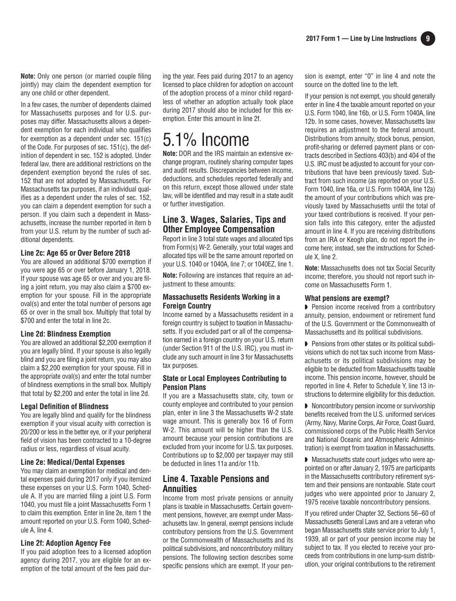**Note:** Only one person (or married couple filing jointly) may claim the dependent exemption for any one child or other dependent.

In a few cases, the number of dependents claimed for Massachusetts purposes and for U.S. purposes may differ. Massachusetts allows a dependent exemption for each individual who qualifies for exemption as a dependent under sec. 151(c) of the Code. For purposes of sec. 151(c), the definition of dependent in sec. 152 is adopted. Under federal law, there are additional restrictions on the dependent exemption beyond the rules of sec. 152 that are not adopted by Massachusetts. For Massachusetts tax purposes, if an individual qualifies as a dependent under the rules of sec. 152, you can claim a dependent exemption for such a person. If you claim such a dependent in Massachusetts, increase the number reported in item b from your U.S. return by the number of such additional dependents.

#### **Line 2c: Age 65 or Over Before 2018**

You are allowed an additional \$700 exemption if you were age 65 or over before January 1, 2018. If your spouse was age 65 or over and you are filing a joint return, you may also claim a \$700 exemption for your spouse. Fill in the appropriate oval(s) and enter the total number of persons age 65 or over in the small box. Multiply that total by \$700 and enter the total in line 2c.

#### **Line 2d: Blindness Exemption**

You are allowed an additional \$2,200 exemption if you are legally blind. If your spouse is also legally blind and you are filing a joint return, you may also claim a \$2,200 exemption for your spouse. Fill in the appropriate oval(s) and enter the total number of blindness exemptions in the small box. Multiply that total by \$2,200 and enter the total in line 2d.

#### **Legal Definition of Blindness**

You are legally blind and qualify for the blindness exemption if your visual acuity with correction is 20/200 or less in the better eye, or if your peripheral field of vision has been contracted to a 10-degree radius or less, regardless of visual acuity.

#### **Line 2e: Medical/Dental Expenses**

You may claim an exemption for medical and dental expenses paid during 2017 only if you itemized these expenses on your U.S. Form 1040, Schedule A. If you are married filing a joint U.S. Form 1040, you must file a joint Massachusetts Form 1 to claim this exemption. Enter in line 2e, item 1 the amount reported on your U.S. Form 1040, Schedule A, line 4.

#### **Line 2f: Adoption Agency Fee**

If you paid adoption fees to a licensed adoption agency during 2017, you are eligible for an exemption of the total amount of the fees paid during the year. Fees paid during 2017 to an agency licensed to place children for adoption on account of the adoption process of a minor child regardless of whether an adoption actually took place during 2017 should also be included for this exemption. Enter this amount in line 2f.

## 5.1% Income

**Note:** DOR and the IRS maintain an extensive exchange program, routinely sharing computer tapes and audit results. Discrepancies between income, deductions, and schedules reported federally and on this return, except those allowed under state law, will be identified and may result in a state audit or further investigation.

#### **Line 3. Wages, Salaries, Tips and Other Employee Compensation**

Report in line 3 total state wages and allocated tips from Form(s) W-2. Generally, your total wages and allocated tips will be the same amount reported on your U.S. 1040 or 1040A, line 7; or 1040EZ, line 1.

**Note:** Following are instances that require an adjustment to these amounts:

#### **Massachusetts Residents Working in a Foreign Country**

Income earned by a Massachusetts resident in a foreign country is subject to taxation in Massachusetts. If you excluded part or all of the compensation earned in a foreign country on your U.S. return (under Section 911 of the U.S. IRC), you must include any such amount in line 3 for Massachusetts tax purposes.

#### **State or Local Employees Contributing to Pension Plans**

If you are a Massachusetts state, city, town or county employee and contributed to your pension plan, enter in line 3 the Massachusetts W-2 state wage amount. This is generally box 16 of Form W-2. This amount will be higher than the U.S. amount because your pension contributions are excluded from your income for U.S. tax purposes. Contributions up to \$2,000 per taxpayer may still be deducted in lines 11a and/or 11b.

#### **Line 4. Taxable Pensions and Annuities**

Income from most private pensions or annuity plans is taxable in Massachusetts. Certain government pensions, however, are exempt under Massachusetts law. In general, exempt pensions include contributory pensions from the U.S. Government or the Commonwealth of Massachusetts and its political subdivisions, and noncontributory military pensions. The following section describes some specific pensions which are exempt. If your pension is exempt, enter "0" in line 4 and note the source on the dotted line to the left.

If your pension is not exempt, you should generally enter in line 4 the taxable amount reported on your U.S. Form 1040, line 16b, or U.S. Form 1040A, line 12b. In some cases, however, Massachusetts law requires an adjustment to the federal amount. Distributions from annuity, stock bonus, pension, profit-sharing or deferred payment plans or contracts described in Sections 403(b) and 404 of the U.S. IRC must be adjusted to account for your contributions that have been previously taxed. Subtract from such income (as reported on your U.S. Form 1040, line 16a, or U.S. Form 1040A, line 12a) the amount of your contributions which was previously taxed by Massachusetts until the total of your taxed contributions is received. If your pension falls into this category, enter the adjusted amount in line 4. If you are receiving distributions from an IRA or Keogh plan, do not report the income here; instead, see the instructions for Sched ule X, line 2.

**Note:** Massachusetts does not tax Social Security income; therefore, you should not report such income on Massachusetts Form 1.

#### **What pensions are exempt?**

◗ Pension income received from a contributory annuity, pension, endowment or retirement fund of the U.S. Government or the Commonwealth of Massachusetts and its political subdivisions.

◗ Pensions from other states or its political subdivisions which do not tax such income from Massachusetts or its political subdivisions may be eligible to be deducted from Massachusetts taxable income. This pension income, however, should be reported in line 4. Refer to Schedule Y, line 13 instructions to determine eligibility for this deduction.

◗ Noncontributory pension income or survivorship benefits received from the U.S. uniformed services (Army, Navy, Marine Corps, Air Force, Coast Guard, commissioned corps of the Public Health Service and National Oceanic and Atmospheric Administration) is exempt from taxation in Massachusetts.

■ Massachusetts state court judges who were appointed on or after January 2, 1975 are participants in the Massachusetts contributory retirement system and their pensions are nontaxable. State court judges who were appointed prior to January 2, 1975 receive taxable noncontributory pensions.

If you retired under Chapter 32, Sections 56–60 of Massachusetts General Laws and are a veteran who began Massachusetts state service prior to July 1, 1939, all or part of your pension income may be subject to tax. If you elected to receive your proceeds from contributions in one lump-sum distribution, your original contributions to the retirement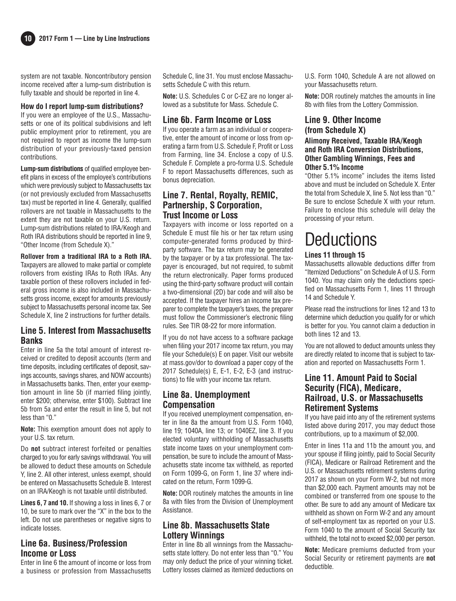**10 2017 Form 1 — Line by Line Instructions**

system are not taxable. Noncontributory pension income received after a lump-sum distribution is fully taxable and should be reported in line 4.

#### **How do I report lump-sum distributions?**

If you were an employee of the U.S., Massachusetts or one of its political subdivisions and left public employment prior to retirement, you are not required to report as income the lump-sum distribution of your previously-taxed pension contributions.

**Lump-sum distributions** of qualified employee benefit plans in excess of the employee's contributions which were previously subject to Massachusetts tax (or not previously excluded from Massachusetts tax) must be reported in line 4. Generally, qualified rollovers are not taxable in Massachusetts to the extent they are not taxable on your U.S. return. Lump-sum distributions related to IRA/Keogh and Roth IRA distributions should be reported in line 9, "Other Income (from Schedule X)."

**Rollover from a traditional IRA to a Roth IRA.** Taxpayers are allowed to make partial or complete rollovers from existing IRAs to Roth IRAs. Any taxable portion of these rollovers included in federal gross income is also included in Massachusetts gross income, except for amounts previously subject to Massachusetts personal income tax. See Schedule X, line 2 instructions for further details.

#### **Line 5. Interest from Massachusetts Banks**

Enter in line 5a the total amount of interest received or credited to deposit accounts (term and time deposits, including certificates of deposit, savings accounts, savings shares, and NOW accounts) in Massachusetts banks. Then, enter your exemption amount in line 5b (if married filing jointly, enter \$200; otherwise, enter \$100). Subtract line 5b from 5a and enter the result in line 5, but not less than "0."

**Note:** This exemption amount does not apply to your U.S. tax return.

Do **not** subtract interest forfeited or penalties charged to you for early savings withdrawal. You will be allowed to deduct these amounts on Schedule Y, line 2. All other interest, unless exempt, should be entered on Massachusetts Schedule B. Interest on an IRA/Keogh is not taxable until distributed.

**Lines 6, 7 and 10.**If showing a loss in lines 6, 7 or 10, be sure to mark over the "X" in the box to the left. Do not use parentheses or negative signs to indicate losses.

## **Line 6a. Business/Profession Income or Loss**

Enter in line 6 the amount of income or loss from a business or profession from Massachusetts Schedule C, line 31. You must enclose Massachusetts Schedule C with this return.

**Note:** U.S. Schedules C or C-EZ are no longer allowed as a substitute for Mass. Schedule C.

#### **Line 6b. Farm Income or Loss**

If you operate a farm as an individual or cooperative, enter the amount of income or loss from operating a farm from U.S. Schedule F, Profit or Loss from Farming, line 34. Enclose a copy of U.S. Schedule F. Complete a pro-forma U.S. Schedule F to report Massachusetts differences, such as bonus depreciation.

#### **Line 7. Rental, Royalty, REMIC, Partnership, S Corporation, Trust Income or Loss**

Taxpayers with income or loss reported on a Schedule E must file his or her tax return using computer-generated forms produced by thirdparty software. The tax return may be generated by the taxpayer or by a tax professional. The taxpayer is encouraged, but not required, to submit the return electronically. Paper forms produced using the third-party software product will contain a two-dimensional (2D) bar code and will also be accepted. If the taxpayer hires an income tax preparer to complete the taxpayer's taxes, the preparer must follow the Commissioner's electronic filing rules. See TIR 08-22 for more information.

If you do not have access to a software package when filing your 2017 income tax return, you may file your Schedule(s) E on paper. Visit our website at mass.gov/dor to download a paper copy of the 2017 Schedule(s) E, E-1, E-2, E-3 (and instructions) to file with your income tax return.

#### **Line 8a. Unemployment Compensation**

If you received unemployment compensation, enter in line 8a the amount from U.S. Form 1040, line 19; 1040A, line 13; or 1040EZ, line 3. If you elected voluntary withholding of Massachusetts state income taxes on your unemployment compensation, be sure to include the amount of Massachusetts state income tax withheld, as reported on Form 1099-G, on Form 1, line 37 where indicated on the return, Form 1099-G.

**Note:** DOR routinely matches the amounts in line 8a with files from the Division of Unemployment Assistance.

#### **Line 8b. Massachusetts State Lottery Winnings**

Enter in line 8b all winnings from the Massachusetts state lottery. Do not enter less than "0." You may only deduct the price of your winning ticket. Lottery losses claimed as itemized deductions on

U.S. Form 1040, Schedule A are not allowed on your Massachusetts return.

**Note:** DOR routinely matches the amounts in line 8b with files from the Lottery Commission.

#### **Line 9. Other Income (from Schedule X) Alimony Received, Taxable IRA/Keogh and Roth IRA Conversion Distributions, Other Gambling Winnings, Fees and**

#### **Other 5.1% Income**

"Other 5.1% income" includes the items listed above and must be included on Schedule X. Enter the total from Schedule X, line 5. Not less than "0." Be sure to enclose Schedule X with your return. Failure to enclose this schedule will delay the processing of your return.

# **Deductions**

#### **Lines 11 through 15**

Massachusetts allowable deductions differ from "Itemized Deductions" on Schedule A of U.S. Form 1040. You may claim only the deductions specified on Massachusetts Form 1, lines 11 through 14 and Schedule Y.

Please read the instructions for lines 12 and 13 to determine which deduction you qualify for or which is better for you. You cannot claim a deduction in both lines 12 and 13.

You are not allowed to deduct amounts unless they are directly related to income that is subject to taxation and reported on Massachusetts Form 1.

#### **Line 11. Amount Paid to Social Security (FICA), Medicare, Railroad, U.S. or Massachusetts Retirement Systems**

If you have paid into any of the retirement systems listed above during 2017, you may deduct those contributions, up to a maximum of \$2,000.

Enter in lines 11a and 11b the amount you, and your spouse if filing jointly, paid to Social Security (FICA), Medicare or Railroad Retirement and the U.S. or Massachusetts retirement systems during 2017 as shown on your Form W-2, but not more than \$2,000 each. Payment amounts may not be combined or transferred from one spouse to the other. Be sure to add any amount of Medicare tax withheld as shown on Form W-2 and any amount of self-employment tax as reported on your U.S. Form 1040 to the amount of Social Security tax withheld, the total not to exceed \$2,000 per person.

**Note:** Medicare premiums deducted from your Social Security or retirement payments are **not** deductible.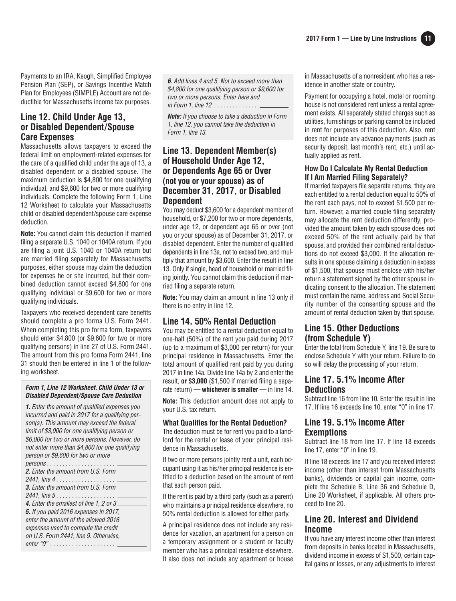Payments to an IRA, Keogh, Simplified Employee Pension Plan (SEP), or Savings Incentive Match Plan for Employees (SIMPLE) Account are not deductible for Massachusetts income tax purposes.

#### **Line 12. Child Under Age 13, or Disabled Dependent/Spouse Care Expenses**

Massachusetts allows taxpayers to exceed the federal limit on employment-related expenses for the care of a qualified child under the age of 13, a disabled dependent or a disabled spouse. The maximum deduction is \$4,800 for one qualifying individual, and \$9,600 for two or more qualifying individuals. Complete the following Form 1, Line 12 Worksheet to calculate your Massachusetts child or disabled dependent/spouse care expense deduction.

**Note:** You cannot claim this deduction if married filing a separate U.S. 1040 or 1040A return. If you are filing a joint U.S. 1040 or 1040A return but are married filing separately for Massachusetts purposes, either spouse may claim the deduction for expenses he or she incurred, but their combined deduction cannot exceed \$4,800 for one qualifying individual or \$9,600 for two or more qualifying individuals.

Taxpayers who received dependent care benefits should complete a pro forma U.S. Form 2441. When completing this pro forma form, taxpayers should enter \$4,800 (or \$9,600 for two or more qualifying persons) in line 27 of U.S. Form 2441. The amount from this pro forma Form 2441, line 31 should then be entered in line 1 of the following worksheet.

#### **Form 1, Line 12 Worksheet. Child Under 13 or Disabled Dependent/Spouse Care Deduction**

**1.** Enter the amount of qualified expenses you incurred and paid in 2017 for a qualifying person(s). This amount may exceed the federal limit of \$3,000 for one qualifying person or \$6,000 for two or more persons. However, do not enter more than \$4,800 for one qualifying person or \$9,600 for two or more persons . . . . . . . . . . . . . . . . . . . . . . **2.** Enter the amount from U.S. Form 2441, line 4 . . . . . . . . . . . . . . . . . . . **3.** Enter the amount from U.S. Form 2441, line 5.................... **4.** Enter the smallest of line 1, 2 or 3 **5.** If you paid 2016 expenses in 2017, enter the amount of the allowed 2016 expenses used to compute the credit on U.S. Form 2441, line 9. Otherwise, enter "0" . . . . . . . . . . . . . . . . . . . . .

**6.** Add lines 4 and 5. Not to exceed more than \$4,800 for one qualifying person or \$9,600 for two or more persons. Enter here and in Form 1, line 12 . . . . . . . . . . . . . .

**Note:** If you choose to take a deduction in Form 1, line 12, you cannot take the deduction in Form 1, line 13.

#### **Line 13. Dependent Member(s) of Household Under Age 12, or Dependents Age 65 or Over (not you or your spouse) as of December 31, 2017, or Disabled Dependent**

You may deduct \$3,600 for a dependent member of household, or \$7,200 for two or more dependents, under age 12, or dependent age 65 or over (not you or your spouse) as of December 31, 2017, or disabled dependent. Enter the number of qualified dependents in line 13a, not to exceed two, and multiply that amount by \$3,600. Enter the result in line 13. Only if single, head of household or married filing jointly. You cannot claim this deduction if married filing a separate return.

**Note:** You may claim an amount in line 13 only if there is no entry in line 12.

## **Line 14. 50% Rental Deduction**

You may be entitled to a rental deduction equal to one-half (50%) of the rent you paid during 2017 (up to a maximum of \$3,000 per return) for your principal residence in Massachusetts. Enter the total amount of qualified rent paid by you during 2017 in line 14a. Divide line 14a by 2 and enter the result, **or \$3,000** (\$1,500 if married filing a separate return) — whichever is smaller — in line 14.

**Note:** This deduction amount does not apply to your U.S. tax return.

#### **What Qualifies for the Rental Deduction?**

The deduction must be for rent you paid to a landlord for the rental or lease of your principal residence in Massachusetts.

If two or more persons jointly rent a unit, each occupant using it as his/her principal residence is entitled to a deduction based on the amount of rent that each person paid.

If the rent is paid by a third party (such as a parent) who maintains a principal residence elsewhere, no 50% rental deduction is allowed for either party.

A principal residence does not include any residence for vacation, an apartment for a person on a temporary assignment or a student or faculty member who has a principal residence elsewhere. It also does not include any apartment or house

in Massachusetts of a nonresident who has a residence in another state or country.

Payment for occupying a hotel, motel or rooming house is not considered rent unless a rental agreement exists. All separately stated charges such as utilities, furnishings or parking cannot be included in rent for purposes of this deduction. Also, rent does not include any advance payments (such as security deposit, last month's rent, etc.) until actually applied as rent.

#### **How Do I Calculate My Rental Deduction If I Am Married Filing Separately?**

If married taxpayers file separate returns, they are each entitled to a rental deduction equal to 50% of the rent each pays, not to exceed \$1,500 per return. However, a married couple filing separately may allocate the rent deduction differently, provided the amount taken by each spouse does not exceed 50% of the rent actually paid by that spouse, and provided their combined rental deductions do not exceed \$3,000. If the allocation results in one spouse claiming a deduction in excess of \$1,500, that spouse must enclose with his/her return a statement signed by the other spouse indicating consent to the allocation. The statement must contain the name, address and Social Security number of the consenting spouse and the amount of rental deduction taken by that spouse.

## **Line 15. Other Deductions (from Schedule Y)**

Enter the total from Schedule Y, line 19. Be sure to enclose Schedule Y with your return. Failure to do so will delay the processing of your return.

### **Line 17. 5.1% Income After Deductions**

Subtract line 16 from line 10. Enter the result in line 17. If line 16 exceeds line 10, enter "0" in line 17.

### **Line 19. 5.1% Income After Exemptions**

Subtract line 18 from line 17. If line 18 exceeds line 17, enter "0" in line 19.

If line 18 exceeds line 17 and you received interest income (other than interest from Massachusetts banks), dividends or capital gain income, complete the Schedule B, Line 36 and Schedule D, Line 20 Worksheet, if applicable. All others proceed to line 20.

## **Line 20. Interest and Dividend Income**

If you have any interest income other than interest from deposits in banks located in Massachusetts, dividend income in excess of \$1,500, certain capital gains or losses, or any adjustments to interest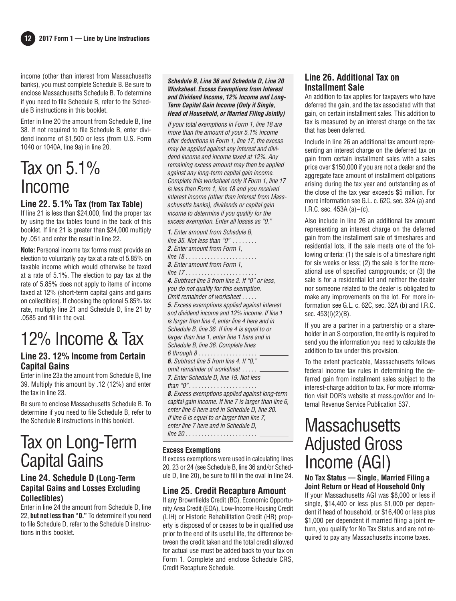income (other than interest from Massachusetts banks), you must complete Schedule B. Be sure to enclose Massachusetts Schedule B. To determine if you need to file Schedule B, refer to the Schedule B instructions in this booklet.

Enter in line 20 the amount from Schedule B, line 38. If not required to file Schedule B, enter dividend income of \$1,500 or less (from U.S. Form 1040 or 1040A, line 9a) in line 20.

## Tax on 5.1% Income

## **Line 22. 5.1% Tax (from Tax Table)**

If line 21 is less than \$24,000, find the proper tax by using the tax tables found in the back of this booklet. If line 21 is greater than \$24,000 multiply by .051 and enter the result in line 22.

**Note:** Personal income tax forms must provide an election to voluntarily pay tax at a rate of 5.85% on taxable income which would otherwise be taxed at a rate of 5.1%. The election to pay tax at the rate of 5.85% does not apply to items of income taxed at 12% (short-term capital gains and gains on collectibles). If choosing the optional 5.85% tax rate, multiply line 21 and Schedule D, line 21 by .0585 and fill in the oval.

## 12% Income & Tax

## **Line 23. 12% Income from Certain Capital Gains**

Enter in line 23a the amount from Schedule B, line 39. Multiply this amount by .12 (12%) and enter the tax in line 23.

Be sure to enclose Massachusetts Schedule B. To determine if you need to file Schedule B, refer to the Schedule B instructions in this booklet.

## Tax on Long-Term Capital Gains

### **Line 24. Schedule D (Long-Term Capital Gains and Losses Excluding Collectibles)**

Enter in line 24 the amount from Schedule D, line 22, **but not less than "0."** To determine if you need to file Schedule D, refer to the Schedule D instructions in this booklet.

**Schedule B, Line 36 and Schedule D, Line 20 Worksheet. Excess Exemptions from Interest and Dividend Income, 12% Income and Long-Term Capital Gain Income (Only if Single, Head of Household, or Married Filing Jointly)**

If your total exemptions in Form 1, line 18 are more than the amount of your 5.1% income after deductions in Form 1, line 17, the excess may be applied against any interest and dividend income and income taxed at 12%. Any remaining excess amount may then be applied against any long-term capital gain income. Complete this worksheet only if Form 1, line 17 is less than Form 1, line 18 and you received interest income (other than interest from Massachusetts banks), dividends or capital gain income to determine if you qualify for the excess exemption. Enter all losses as "0."

| <b>1.</b> Enter amount from Schedule B.               |
|-------------------------------------------------------|
| line 35. Not less than " $0"$                         |
| <b>2.</b> Enter amount from Form 1,                   |
|                                                       |
| <b>3.</b> Enter amount from Form 1,                   |
| line 17                                               |
| 4. Subtract line 3 from line 2. If "0" or less,       |
| you do not qualify for this exemption.                |
| Omit remainder of worksheet                           |
| 5. Excess exemptions applied against interest         |
| and dividend income and 12% income. If line 1         |
| is larger than line 4, enter line 4 here and in       |
| Schedule B, line 36. If line 4 is equal to or         |
| larger than line 1, enter line 1 here and in          |
| Schedule B, line 36. Complete lines                   |
| $6$ through $8$                                       |
| 6. Subtract line 5 from line 4. If "0,"               |
| omit remainder of worksheet                           |
| 7. Enter Schedule D, line 19. Not less                |
| than " $0$ "                                          |
| <b>8.</b> Excess exemptions applied against long-term |
| capital gain income. If line 7 is larger than line 6, |
| enter line 6 here and in Schedule D, line 20.         |
| If line 6 is equal to or larger than line 7,          |
| enter line 7 here and in Schedule D,                  |
| line 20<br>.                                          |
|                                                       |

#### **Excess Exemptions**

If excess exemptions were used in calculating lines 20, 23 or 24 (see Schedule B, line 36 and/or Sched ule D, line 20), be sure to fill in the oval in line 24.

## **Line 25. Credit Recapture Amount**

If any Brownfields Credit (BC), Economic Opportunity Area Credit (EOA), Low-Income Housing Credit (LIH) or Historic Rehabilitation Credit (HR) property is disposed of or ceases to be in qualified use prior to the end of its useful life, the difference between the credit taken and the total credit allowed for actual use must be added back to your tax on Form 1. Complete and enclose Schedule CRS, Credit Recapture Schedule.

## **Line 26. Additional Tax on Installment Sale**

An addition to tax applies for taxpayers who have deferred the gain, and the tax associated with that gain, on certain installment sales. This addition to tax is measured by an interest charge on the tax that has been deferred.

Include in line 26 an additional tax amount representing an interest charge on the deferred tax on gain from certain installment sales with a sales price over \$150,000 if you are not a dealer and the aggregate face amount of installment obligations arising during the tax year and outstanding as of the close of the tax year exceeds \$5 million. For more information see G.L. c. 62C, sec. 32A (a) and I.R.C. sec.  $453A(a) - (c)$ .

Also include in line 26 an additional tax amount representing an interest charge on the deferred gain from the installment sale of timeshares and residential lots, if the sale meets one of the following criteria: (1) the sale is of a timeshare right for six weeks or less; (2) the sale is for the recreational use of specified campgrounds; or (3) the sale is for a residential lot and neither the dealer nor someone related to the dealer is obligated to make any improvements on the lot. For more information see G.L. c. 62C, sec. 32A (b) and I.R.C. sec. 453(l)(2)(B).

If you are a partner in a partnership or a shareholder in an S corporation, the entity is required to send you the information you need to calculate the addition to tax under this provision.

To the extent practicable, Massachusetts follows federal income tax rules in determining the deferred gain from installment sales subject to the interest-charge addition to tax. For more information visit DOR's website at mass.gov/dor and Internal Revenue Service Publication 537.

## **Massachusetts** Adjusted Gross Income (AGI)

#### **No Tax Status — Single, Married Filing a Joint Return or Head of Household Only**

If your Massachusetts AGI was \$8,000 or less if single, \$14,400 or less plus \$1,000 per dependent if head of household, or \$16,400 or less plus \$1,000 per dependent if married filing a joint return, you qualify for No Tax Status and are not required to pay any Massachusetts income taxes.

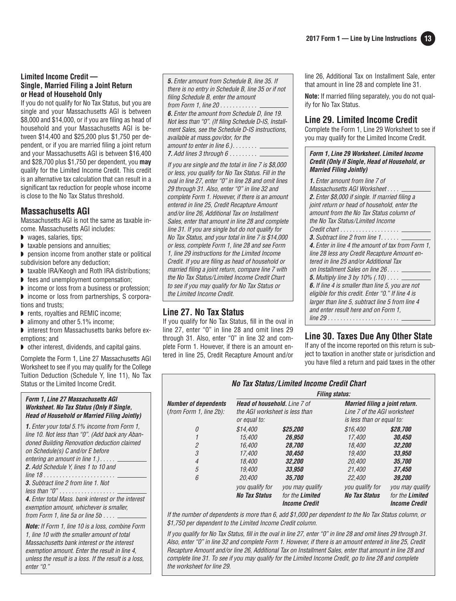#### **Limited Income Credit — Single, Married Filing a Joint Return or Head of Household Only**

If you do not qualify for No Tax Status, but you are single and your Massachusetts AGI is between \$8,000 and \$14,000, or if you are filing as head of household and your Massachusetts AGI is between \$14,400 and \$25,200 plus \$1,750 per dependent, or if you are married filing a joint return and your Massachusetts AGI is between \$16,400 and \$28,700 plus \$1,750 per dependent, you **may** qualify for the Limited Income Credit. This credit is an alternative tax calculation that can result in a significant tax reduction for people whose income is close to the No Tax Status threshold.

### **Massachusetts AGI**

Massachusetts AGI is not the same as taxable income. Massachusetts AGI includes:

- ◗ wages, salaries, tips;
- ◗ taxable pensions and annuities;

◗ pension income from another state or political subdivision before any deduction;

- ◗ taxable IRA/Keogh and Roth IRA distributions;
- ◗ fees and unemployment compensation;
- ◗ income or loss from a business or profession; ◗ income or loss from partnerships, S corpora-
- tions and trusts;
- ◗ rents, royalties and REMIC income;
- alimony and other 5.1% income;
- ◗ interest from Massachusetts banks before exemptions; and
- ◗ other interest, dividends, and capital gains.

Complete the Form 1, Line 27 Massachusetts AGI Worksheet to see if you may qualify for the College Tuition Deduction (Schedule Y, line 11), No Tax Status or the Limited Income Credit.

#### **Form 1, Line 27 Massachusetts AGI Worksheet. No Tax Status (Only If Single, Head of Household or Married Filing Jointly)**

| <b>1.</b> Enter your total 5.1% income from Form 1,<br>line 10. Not less than "0". (Add back any Aban-<br>doned Building Renovation deduction claimed |
|-------------------------------------------------------------------------------------------------------------------------------------------------------|
| on Schedule(s) C and/or E before                                                                                                                      |
| entering an amount in line $1.$ )                                                                                                                     |
| <b>2.</b> Add Schedule Y, lines 1 to 10 and                                                                                                           |
| $line 18$                                                                                                                                             |
| <b>3.</b> Subtract line 2 from line 1. Not                                                                                                            |
| $less than "0" \dots \dots \dots \dots \dots \dots$                                                                                                   |
| 4. Enter total Mass, bank interest or the interest<br>exemption amount, whichever is smaller,<br>from Form 1, line 5a or line $5b \ldots$ .           |
|                                                                                                                                                       |

**Note:** If Form 1, line 10 is a loss, combine Form 1, line 10 with the smaller amount of total Massachusetts bank interest or the interest exemption amount. Enter the result in line 4, unless the result is a loss. If the result is a loss, enter "0."

**5.** Enter amount from Schedule B, line 35. If there is no entry in Schedule B, line 35 or if not filing Schedule B, enter the amount from Form 1, line 20 . . . . . . . . . . . .

**6.** Enter the amount from Schedule D, line 19. Not less than "0". (If filing Schedule D-IS, Installment Sales, see the Schedule D-IS instructions, available at mass.gov/dor, for the amount to enter in line  $6.$ ).......

**7.** Add lines 3 through 6 . . . . . . . . . \_

If you are single and the total in line 7 is \$8,000 or less, you qualify for No Tax Status. Fill in the oval in line 27, enter "0" in line 28 and omit lines 29 through 31. Also, enter "0" in line 32 and complete Form 1. However, if there is an amount entered in line 25, Credit Recapture Amount and/or line 26, Additional Tax on Installment Sales, enter that amount in line 28 and complete line 31. If you are single but do not qualify for No Tax Status, and your total in line 7 is \$14,000 or less, complete Form 1, line 28 and see Form 1, line 29 instructions for the Limited Income Credit. If you are filing as head of household or married filing a joint return, compare line 7 with the No Tax Status/Limited Income Credit Chart to see if you may qualify for No Tax Status or the Limited Income Credit.

## **Line 27. No Tax Status**

If you qualify for No Tax Status, fill in the oval in line 27, enter "0" in line 28 and omit lines 29 through 31. Also, enter "0" in line 32 and complete Form 1. However, if there is an amount entered in line 25, Credit Recapture Amount and/or line 26, Additional Tax on Installment Sale, enter that amount in line 28 and complete line 31.

**Note:** If married filing separately, you do not qualify for No Tax Status.

## **Line 29. Limited Income Credit**

Complete the Form 1, Line 29 Worksheet to see if you may qualify for the Limited Income Credit.

#### **Form 1, Line 29 Worksheet. Limited Income Credit (Only if Single, Head of Household, or Married Filing Jointly)**

| <b>1.</b> Enter amount from line 7 of<br>Massachusetts AGI Worksheet |
|----------------------------------------------------------------------|
| <b>2.</b> Enter \$8,000 if single. If married filing a               |
| joint return or head of household, enter the                         |
| amount from the No Tax Status column of                              |
| the No Tax Status/Limited Income                                     |
| Credit chart $\_\_$                                                  |
| <b>3.</b> Subtract line 2 from line $1, \ldots, \ldots$              |
| 4. Enter in line 4 the amount of tax from Form 1.                    |
| line 28 less any Credit Recapture Amount en-                         |
| tered in line 25 and/or Additional Tax                               |
| on Installment Sales on line 26 _                                    |
| <b>5.</b> Multiply line 3 by 10% (.10) $\ldots$ _                    |
| <b>6.</b> If line 4 is smaller than line 5, you are not              |
| eligible for this credit. Enter "0." If line 4 is                    |
| larger than line 5, subtract line 5 from line 4                      |
| and enter result here and on Form 1.                                 |
|                                                                      |
|                                                                      |

## **Line 30. Taxes Due Any Other State**

If any of the income reported on this return is subject to taxation in another state or jurisdiction and you have filed a return and paid taxes in the other

|                                                           | <b>No Tax Status/Limited Income Credit Chart</b><br><b>Filing status:</b>             |                                                            |                                                                                            |                                                            |
|-----------------------------------------------------------|---------------------------------------------------------------------------------------|------------------------------------------------------------|--------------------------------------------------------------------------------------------|------------------------------------------------------------|
| <b>Number of dependents</b><br>$(from Form 1, line 2b)$ : | <b>Head of household.</b> Line 7 of<br>the AGI worksheet is less than<br>or equal to: |                                                            | Married filing a joint return.<br>Line 7 of the AGI worksheet<br>is less than or equal to: |                                                            |
| 0                                                         | \$14,400                                                                              | \$25.200                                                   | \$16,400                                                                                   | \$28,700                                                   |
| 1                                                         | 15.400                                                                                | 26,950                                                     | 17.400                                                                                     | 30,450                                                     |
| $\overline{2}$                                            | 16,400                                                                                | 28,700                                                     | 18.400                                                                                     | 32,200                                                     |
| 3                                                         | 17,400                                                                                | 30.450                                                     | 19,400                                                                                     | 33.950                                                     |
| $\overline{4}$                                            | 18.400                                                                                | 32,200                                                     | 20,400                                                                                     | 35,700                                                     |
| 5                                                         | 19,400                                                                                | 33.950                                                     | 21.400                                                                                     | <i><b>37,450</b></i>                                       |
| 6                                                         | 20,400                                                                                | 35.700                                                     | 22,400                                                                                     | 39.200                                                     |
|                                                           | you qualify for<br><b>No Tax Status</b>                                               | you may qualify<br>for the Limited<br><b>Income Credit</b> | you qualify for<br><b>No Tax Status</b>                                                    | you may qualify<br>for the Limited<br><b>Income Credit</b> |

If the number of dependents is more than 6, add \$1,000 per dependent to the No Tax Status column, or \$1,750 per dependent to the Limited Income Credit column.

If you qualify for No Tax Status, fill in the oval in line 27, enter "0" in line 28 and omit lines 29 through 31. Also, enter "0" in line 32 and complete Form 1. However, if there is an amount entered in line 25, Credit Recapture Amount and/or line 26, Additional Tax on Installment Sales, enter that amount in line 28 and complete line 31. To see if you may qualify for the Limited Income Credit, go to line 28 and complete the worksheet for line 29.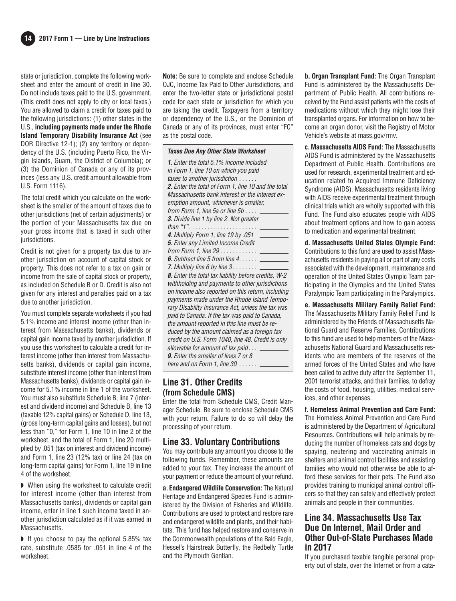state or jurisdiction, complete the following work sheet and enter the amount of credit in line 30. Do not include taxes paid to the U.S. government. (This credit does not apply to city or local taxes.) You are allowed to claim a credit for taxes paid to the following jurisdictions: (1) other states in the U.S., **including payments made under the Rhode Island Temporary Disability Insurance Act** (see DOR Directive 12-1); (2) any territory or dependency of the U.S. (including Puerto Rico, the Virgin Islands, Guam, the District of Columbia); or (3) the Dominion of Canada or any of its provinces (less any U.S. credit amount allowable from U.S. Form 1116).

The total credit which you calculate on the worksheet is the smaller of the amount of taxes due to other jurisdictions (net of certain adjustments) or the portion of your Massachusetts tax due on your gross income that is taxed in such other jurisdictions.

Credit is not given for a property tax due to another jurisdiction on account of capital stock or property. This does not refer to a tax on gain or income from the sale of capital stock or property, as included on Schedule B or D. Credit is also not given for any interest and penalties paid on a tax due to another jurisdiction.

You must complete separate worksheets if you had 5.1% income and interest income (other than interest from Massachusetts banks), dividends or capital gain income taxed by another jurisdiction. If you use this worksheet to calculate a credit for interest income (other than interest from Massachusetts banks), dividends or capital gain income, substitute interest income (other than interest from Massachusetts banks), dividends or capital gain income for 5.1% income in line 1 of the worksheet. You must also substitute Schedule B, line 7 (interest and dividend income) and Schedule B, line 13 (taxable 12% capital gains) or Schedule D, line 13, (gross long-term capital gains and losses), but not less than "0," for Form 1, line 10 in line 2 of the worksheet, and the total of Form 1, line 20 multiplied by .051 (tax on interest and dividend income) and Form 1, line 23 (12% tax) or line 24 (tax on long-term capital gains) for Form 1, line 19 in line 4 of the worksheet.

◗ When using the worksheet to calculate credit for interest income (other than interest from Massachusetts banks), dividends or capital gain income, enter in line 1 such income taxed in another jurisdiction calculated as if it was earned in Massachusetts.

◗ If you choose to pay the optional 5.85% tax rate, substitute .0585 for .051 in line 4 of the worksheet.

**Note:** Be sure to complete and enclose Schedule OJC, Income Tax Paid to Other Jurisdictions, and enter the two-letter state or jurisdictional postal code for each state or jurisdiction for which you are taking the credit. Taxpayers from a territory or dependency of the U.S., or the Dominion of Canada or any of its provinces, must enter "FC" as the postal code.

| <b>Taxes Due Any Other State Worksheet</b>                  |
|-------------------------------------------------------------|
| <b>1.</b> Enter the total 5.1% income included              |
| in Form 1, line 10 on which you paid                        |
| taxes to another jurisdiction $\ldots \ldots \ldots$        |
| 2. Enter the total of Form 1, line 10 and the total         |
| Massachusetts bank interest or the interest ex-             |
| emption amount, whichever is smaller,                       |
| from Form 1, line 5a or line 5b $\dots$ $\_\_$              |
| <b>3.</b> Divide line 1 by line 2. Not greater              |
| than "1"                                                    |
| 4. Multiply Form 1, line 19 by .051 _____                   |
| 5. Enter any Limited Income Credit                          |
|                                                             |
| <b>6.</b> Subtract line 5 from line $4. \ldots$ .           |
| <b>7.</b> Multiply line 6 by line $3 \ldots \ldots \ldots$  |
| <b>8.</b> Enter the total tax liability before credits, W-2 |
| withholding and payments to other jurisdictions             |
| on income also reported on this return, including           |
| payments made under the Rhode Island Tempo-                 |
| rary Disability Insurance Act, unless the tax was           |
| paid to Canada. If the tax was paid to Canada,              |
| the amount reported in this line must be re-                |
| duced by the amount claimed as a foreign tax                |
| credit on U.S. Form 1040, line 48. Credit is only           |
| allowable for amount of tax paid $\overline{\phantom{a}}$   |
| <b>9.</b> Enter the smaller of lines 7 or 8                 |
| here and on Form 1, line 30 $\ldots \ldots$                 |

#### **Line 31. Other Credits (from Schedule CMS)**

Enter the total from Schedule CMS, Credit Manager Schedule. Be sure to enclose Schedule CMS with your return. Failure to do so will delay the processing of your return.

#### **Line 33. Voluntary Contributions**

You may contribute any amount you choose to the following funds. Remember, these amounts are added to your tax. They increase the amount of your payment or reduce the amount of your refund.

**a. Endangered Wildlife Conservation:** The Natural Heritage and Endangered Species Fund is administered by the Division of Fisheries and Wildlife. Contributions are used to protect and restore rare and endangered wildlife and plants, and their habitats. This fund has helped restore and conserve in the Commonwealth populations of the Bald Eagle, Hessel's Hairstreak Butterfly, the Redbelly Turtle and the Plymouth Gentian.

**b. Organ Transplant Fund:** The Organ Transplant Fund is administered by the Massachusetts Department of Public Health. All contributions received by the Fund assist patients with the costs of medications without which they might lose their transplanted organs. For information on how to be come an organ donor, visit the Registry of Motor Vehicle's website at mass.gov/rmv.

**c. Massachusetts AIDS Fund:** The Massachusetts AIDS Fund is administered by the Massachusetts Department of Public Health. Contributions are used for research, experimental treatment and education related to Acquired Immune Deficiency Syndrome (AIDS). Massachusetts residents living with AIDS receive experimental treatment through clinical trials which are wholly supported with this Fund. The Fund also educates people with AIDS about treatment options and how to gain access to medication and experimental treatment.

**d. Massachusetts United States Olympic Fund:** Contributions to this fund are used to assist Massachusetts residents in paying all or part of any costs associated with the development, maintenance and operation of the United States Olympic Team participating in the Olympics and the United States Paralympic Team participating in the Paralympics.

**e. Massachusetts Military Family Relief Fund:** The Massachusetts Military Family Relief Fund Is administered by the Friends of Massachusetts National Guard and Reserve Families. Contributions to this fund are used to help members of the Massachusetts National Guard and Massachusetts residents who are members of the reserves of the armed forces of the United States and who have been called to active duty after the September 11, 2001 terrorist attacks, and their families, to defray the costs of food, housing, utilities, medical services, and other expenses.

**f. Homeless Animal Prevention and Care Fund:** The Homeless Animal Prevention and Care Fund is administered by the Department of Agricultural Resources. Contributions will help animals by reducing the number of homeless cats and dogs by spaying, neutering and vaccinating animals in shelters and animal control facilities and assisting families who would not otherwise be able to afford these services for their pets. The Fund also provides training to municipal animal control officers so that they can safely and effectively protect animals and people in their communities.

#### **Line 34. Massachusetts Use Tax Due On Internet, Mail Order and Other Out-of-State Purchases Made in 2017**

If you purchased taxable tangible personal property out of state, over the Internet or from a cata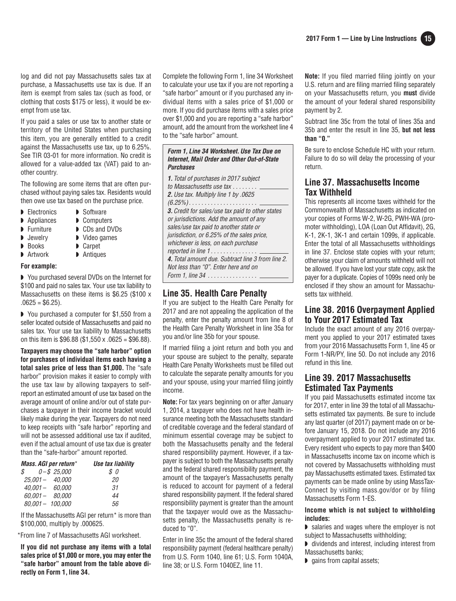log and did not pay Massachusetts sales tax at purchase, a Massachusetts use tax is due. If an item is exempt from sales tax (such as food, or clothing that costs \$175 or less), it would be exempt from use tax.

If you paid a sales or use tax to another state or territory of the United States when purchasing this item, you are generally entitled to a credit against the Massachusetts use tax, up to 6.25%. See TIR 03-01 for more information. No credit is allowed for a value-added tax (VAT) paid to another country.

The following are some items that are often purchased without paying sales tax. Residents would then owe use tax based on the purchase price.

- ▶ Electronics ▶ Software
- ◗ Appliances ◗ Computers
- 
- 
- 
- 
- 
- 

◗ You purchased several DVDs on the Internet for \$100 and paid no sales tax. Your use tax liability to Massachusetts on these items is \$6.25 (\$100 x  $.0625 = $6.25$ ).

◗ You purchased a computer for \$1,550 from a seller located outside of Massachusetts and paid no sales tax. Your use tax liability to Massachusetts on this item is  $$96.88$  (\$1,550 x .0625 = \$96.88).

**Taxpayers may choose the "safe harbor" option for purchases of individual items each having a total sales price of less than \$1,000.** The "safe harbor" provision makes it easier to comply with the use tax law by allowing taxpayers to self report an estimated amount of use tax based on the average amount of online and/or out of state purchases a taxpayer in their income bracket would likely make during the year. Taxpayers do not need to keep receipts with "safe harbor" reporting and will not be assessed additional use tax if audited, even if the actual amount of use tax due is greater than the "safe-harbor" amount reported.

| Mass. AGI per return*           | Use tax liability |
|---------------------------------|-------------------|
| $\text{\$\cal S$}\$ 0-\$ 25.000 | $\mathcal{S}$ 0   |
| $25.001 - 40.000$               | 20                |
| $40.001 - 60.000$               | 31                |
| $60.001 - 80.000$               | 44                |
| $80,001 - 100,000$              | 56.               |

If the Massachusetts AGI per return\* is more than \$100,000, multiply by .000625.

\*From line 7 of Massachusetts AGI worksheet.

**If you did not purchase any items with a total sales price of \$1,000 or more, you may enter the "safe harbor" amount from the table above directly on Form 1, line 34.**

Complete the following Form 1, line 34 Worksheet to calculate your use tax if you are not reporting a "safe harbor" amount or if you purchased any individual items with a sales price of \$1,000 or more. If you did purchase items with a sales price over \$1,000 and you are reporting a "safe harbor" amount, add the amount from the worksheet line 4 to the "safe harbor" amount.

#### **Form 1, Line 34 Worksheet. Use Tax Due on Internet, Mail Order and Other Out-of-State Purchases**

| <b>1.</b> Total of purchases in 2017 subject<br>to Massachusetts use tax                                                                                                                                                                                |
|---------------------------------------------------------------------------------------------------------------------------------------------------------------------------------------------------------------------------------------------------------|
| 2. Use tax. Multiply line 1 by .0625                                                                                                                                                                                                                    |
| <b>3.</b> Credit for sales/use tax paid to other states<br>or jurisdictions. Add the amount of any<br>sales/use tax paid to another state or<br>jurisdiction, or 6.25% of the sales price,<br>whichever is less, on each purchase<br>reported in line 1 |
| 4. Total amount due. Subtract line 3 from line 2.<br>Not less than "0". Enter here and on<br>Form 1. line 34                                                                                                                                            |
|                                                                                                                                                                                                                                                         |

#### **Line 35. Health Care Penalty**

If you are subject to the Health Care Penalty for 2017 and are not appealing the application of the penalty, enter the penalty amount from line 8 of the Health Care Penalty Worksheet in line 35a for you and/or line 35b for your spouse.

If married filing a joint return and both you and your spouse are subject to the penalty, separate Health Care Penalty Worksheets must be filled out to calculate the separate penalty amounts for you and your spouse, using your married filing jointly income.

**Note:** For tax years beginning on or after January 1, 2014, a taxpayer who does not have health insurance meeting both the Massachusetts standard of creditable coverage and the federal standard of minimum essential coverage may be subject to both the Massachusetts penalty and the federal shared responsibility payment. However, if a taxpayer is subject to both the Massachusetts penalty and the federal shared responsibility payment, the amount of the taxpayer's Massachusetts penalty is reduced to account for payment of a federal shared responsibility payment. If the federal shared responsibility payment is greater than the amount that the taxpayer would owe as the Massachusetts penalty, the Massachusetts penalty is reduced to "0".

Enter in line 35c the amount of the federal shared responsibility payment (federal healthcare penalty) from U.S. Form 1040, line 61; U.S. Form 1040A, line 38; or U.S. Form 1040EZ, line 11.

**Note:** If you filed married filing jointly on your U.S. return and are filing married filing separately on your Massachusetts return, you **must** divide the amount of your federal shared responsibility payment by 2.

Subtract line 35c from the total of lines 35a and 35b and enter the result in line 35, **but not less than "0."**

Be sure to enclose Schedule HC with your return. Failure to do so will delay the processing of your return.

#### **Line 37. Massachusetts Income Tax Withheld**

This represents all income taxes withheld for the Commonwealth of Massachusetts as indicated on your copies of Forms W-2, W-2G, PWH-WA (promoter withholding), LOA (Loan Out Affidavit), 2G, K-1, 2K-1, 3K-1 and certain 1099s, if applicable. Enter the total of all Massachusetts withholdings in line 37. Enclose state copies with your return; otherwise your claim of amounts withheld will not be allowed. If you have lost your state copy, ask the payer for a duplicate. Copies of 1099s need only be enclosed if they show an amount for Massachusetts tax withheld.

## **Line 38. 2016 Overpayment Applied to Your 2017 Estimated Tax**

Include the exact amount of any 2016 overpayment you applied to your 2017 estimated taxes from your 2016 Massachusetts Form 1, line 45 or Form 1-NR/PY, line 50. Do not include any 2016 refund in this line.

### **Line 39. 2017 Massachusetts Estimated Tax Payments**

If you paid Massachusetts estimated income tax for 2017, enter in line 39 the total of all Massachusetts estimated tax payments. Be sure to include any last quarter (of 2017) payment made on or before January 15, 2018. Do not include any 2016 overpayment applied to your 2017 estimated tax. Every resident who expects to pay more than \$400 in Massachusetts income tax on income which is not covered by Massachusetts withholding must pay Massachusetts estimated taxes. Estimated tax payments can be made online by using MassTax-Connect by visiting mass.gov/dor or by filing Massachusetts Form 1-ES.

#### **Income which is not subject to withholding includes:**

- ◗ salaries and wages where the employer is not subject to Massachusetts withholding;
- ◗ dividends and interest, including interest from Massachusetts banks;
- ◗ gains from capital assets;
- 
- ◗ Furniture ◗ CDs and DVDs
- **▶** Jewelry ▶ Video games
- ◗ Books ◗ Carpet
- Artwork Antiques

#### **For example:**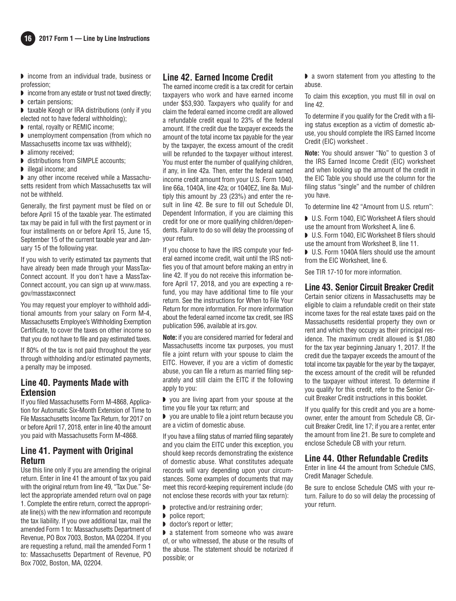

◗ income from an individual trade, business or profession;

- ◗ income from any estate or trust not taxed directly; ◗ certain pensions;
- taxable Keogh or IRA distributions (only if you elected not to have federal withholding);
- ◗ rental, royalty or REMIC income;

◗ unemployment compensation (from which no Massachusetts income tax was withheld);

- alimony received:
- ◗ distributions from SIMPLE accounts;
- ◗ illegal income; and

◗ any other income received while a Massachusetts resident from which Massachusetts tax will not be withheld.

Generally, the first payment must be filed on or before April 15 of the taxable year. The estimated tax may be paid in full with the first payment or in four installments on or before April 15, June 15, September 15 of the current taxable year and January 15 of the following year.

If you wish to verify estimated tax payments that have already been made through your MassTax-Connect account. If you don't have a MassTax-Connect account, you can sign up at www. mass. gov/masstaxconnect

You may request your employer to withhold additional amounts from your salary on Form M-4, Massachusetts Employee's Withholding Exemption Certificate, to cover the taxes on other income so that you do not have to file and pay estimated taxes.

If 80% of the tax is not paid throughout the year through withholding and/or estimated payments, a penalty may be imposed.

#### **Line 40. Payments Made with Extension**

If you filed Massachusetts Form M-4868, Application for Automatic Six-Month Extension of Time to File Massachusetts Income Tax Return, for 2017 on or before April 17, 2018, enter in line 40 the amount you paid with Massachusetts Form M-4868.

### **Line 41. Payment with Original Return**

Use this line only if you are amending the original return. Enter in line 41 the amount of tax you paid with the original return from line 49, "Tax Due." Select the appropriate amended return oval on page 1. Complete the entire return, correct the appropriate line(s) with the new information and recompute the tax liability. If you owe additional tax, mail the amended Form 1 to: Massachusetts Department of Revenue, PO Box 7003, Boston, MA 02204. If you are requesting a refund, mail the amended Form 1 to: Massachusetts Department of Revenue, PO Box 7002, Boston, MA, 02204.

## **Line 42. Earned Income Credit**

The earned income credit is a tax credit for certain taxpayers who work and have earned income under \$53,930. Taxpayers who qualify for and claim the federal earned income credit are allowed a refundable credit equal to 23% of the federal amount. If the credit due the taxpayer exceeds the amount of the total income tax payable for the year by the taxpayer, the excess amount of the credit will be refunded to the taxpayer without interest. You must enter the number of qualifying children, if any, in line 42a. Then, enter the federal earned income credit amount from your U.S. Form 1040, line 66a, 1040A, line 42a; or 1040EZ, line 8a. Multiply this amount by .23 (23%) and enter the result in line 42. Be sure to fill out Schedule DI, Dependent Information, if you are claiming this credit for one or more qualifying children/dependents. Failure to do so will delay the processing of your return.

If you choose to have the IRS compute your federal earned income credit, wait until the IRS notifies you of that amount before making an entry in line 42. If you do not receive this information before April 17, 2018, and you are expecting a refund, you may have additional time to file your return. See the instructions for When to File Your Return for more information. For more information about the federal earned income tax credit, see IRS publication 596, available at irs.gov.

**Note:** if you are considered married for federal and Massachusetts income tax purposes, you must file a joint return with your spouse to claim the EITC. However, if you are a victim of domestic abuse, you can file a return as married filing separately and still claim the EITC if the following apply to you:

◗ you are living apart from your spouse at the time you file your tax return; and

◗ you are unable to file a joint return because you are a victim of domestic abuse.

If you have a filing status of married filing separately and you claim the EITC under this exception, you should keep records demonstrating the existence of domestic abuse. What constitutes adequate records will vary depending upon your circumstances. Some examples of documents that may meet this record-keeping requirement include (do not enclose these records with your tax return):

- ◗ protective and/or restraining order;
- ◗ police report;
- ◗ doctor's report or letter;

◗ a statement from someone who was aware of, or who witnessed, the abuse or the results of the abuse. The statement should be notarized if possible; or

◗ a sworn statement from you attesting to the abuse.

To claim this exception, you must fill in oval on line 42.

To determine if you qualify for the Credit with a filing status exception as a victim of domestic abuse, you should complete the IRS Earned Income Credit (EIC) worksheet .

**Note:** You should answer "No" to question 3 of the IRS Earned Income Credit (EIC) worksheet and when looking up the amount of the credit in the EIC Table you should use the column for the filing status "single" and the number of children you have.

To determine line 42 "Amount from U.S. return":

■ U.S. Form 1040, EIC Worksheet A filers should use the amount from Worksheet A, line 6.

◗ U.S. Form 1040, EIC Worksheet B filers should use the amount from Worksheet B, line 11.

■ U.S. Form 1040A filers should use the amount from the EIC Worksheet, line 6.

See TIR 17-10 for more information.

#### **Line 43. Senior Circuit Breaker Credit**

Certain senior citizens in Massachusetts may be eligible to claim a refundable credit on their state income taxes for the real estate taxes paid on the Massachusetts residential property they own or rent and which they occupy as their principal residence. The maximum credit allowed is \$1,080 for the tax year beginning January 1, 2017. If the credit due the taxpayer exceeds the amount of the total income tax payable for the year by the taxpayer, the excess amount of the credit will be refunded to the taxpayer without interest. To determine if you qualify for this credit, refer to the Senior Circuit Breaker Credit instructions in this booklet.

If you qualify for this credit and you are a homeowner, enter the amount from Schedule CB, Circuit Breaker Credit, line 17; if you are a renter, enter the amount from line 21. Be sure to complete and enclose Schedule CB with your return.

#### **Line 44. Other Refundable Credits**

Enter in line 44 the amount from Schedule CMS, Credit Manager Schedule.

Be sure to enclose Schedule CMS with your return. Failure to do so will delay the processing of your return.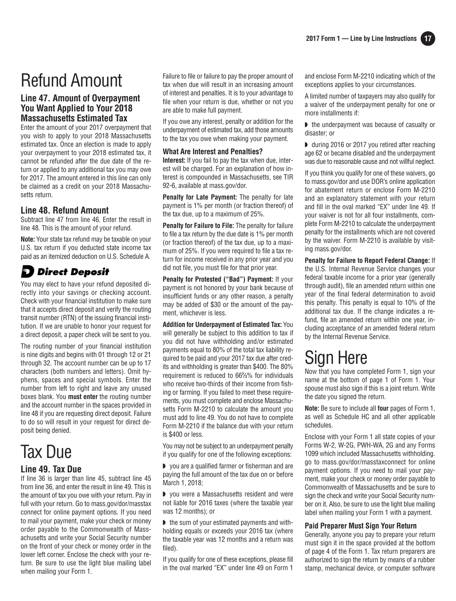# Refund Amount

## **Line 47. Amount of Overpayment You Want Applied to Your 2018 Massachusetts Estimated Tax**

Enter the amount of your 2017 overpayment that you wish to apply to your 2018 Massachusetts estimated tax. Once an election is made to apply your overpayment to your 2018 estimated tax, it cannot be refunded after the due date of the return or applied to any additional tax you may owe for 2017. The amount entered in this line can only be claimed as a credit on your 2018 Massachusetts return.

### **Line 48. Refund Amount**

Subtract line 47 from line 46. Enter the result in line 48. This is the amount of your refund.

**Note:** Your state tax refund may be taxable on your U.S. tax return if you deducted state income tax paid as an itemized deduction on U.S. Schedule A.

## **D** Direct Deposit

You may elect to have your refund deposited directly into your savings or checking account. Check with your financial institution to make sure that it accepts direct deposit and verify the routing transit number (RTN) of the issuing financial institution. If we are unable to honor your request for a direct deposit, a paper check will be sent to you.

The routing number of your financial institution is nine digits and begins with 01 through 12 or 21 through 32. The account number can be up to 17 characters (both numbers and letters). Omit hyphens, spaces and special symbols. Enter the number from left to right and leave any unused boxes blank. You **must enter** the routing number and the account number in the spaces provided in line 48 if you are requesting direct deposit. Failure to do so will result in your request for direct deposit being denied.

# Tax Due

#### **Line 49. Tax Due**

If line 36 is larger than line 45, subtract line 45 from line 36, and enter the result in line 49. This is the amount of tax you owe with your return. Pay in full with your return. Go to mass.gov/dor/masstax connect for online payment options. If you need to mail your payment, make your check or money order payable to the Commonwealth of Massachusetts and write your Social Security number on the front of your check or money order in the lower left corner. Enclose the check with your return. Be sure to use the light blue mailing label when mailing your Form 1.

Failure to file or failure to pay the proper amount of tax when due will result in an increasing amount of interest and penalties. It is to your advantage to file when your return is due, whether or not you are able to make full payment.

If you owe any interest, penalty or addition for the underpayment of estimated tax, add those amounts to the tax you owe when making your payment.

#### **What Are Interest and Penalties?**

**Interest:** If you fail to pay the tax when due, interest will be charged. For an explanation of how interest is compounded in Massachusetts, see TIR 92-6, available at mass.gov/dor.

**Penalty for Late Payment:** The penalty for late payment is 1% per month (or fraction thereof) of the tax due, up to a maximum of 25%.

**Penalty for Failure to File:** The penalty for failure to file a tax return by the due date is 1% per month (or fraction thereof) of the tax due, up to a maximum of 25%. If you were required to file a tax return for income received in any prior year and you did not file, you must file for that prior year.

**Penalty for Protested ("Bad") Payment:** If your payment is not honored by your bank because of insufficient funds or any other reason, a penalty may be added of \$30 or the amount of the payment, whichever is less.

**Addition for Underpayment of Estimated Tax:** You will generally be subject to this addition to tax if you did not have withholding and/or estimated payments equal to 80% of the total tax liability required to be paid and your 2017 tax due after credits and withholding is greater than \$400. The 80% requirement is reduced to 66**<sup>2</sup> ⁄3**% for individuals who receive two-thirds of their income from fishing or farming. If you failed to meet these requirements, you must complete and enclose Massachusetts Form M-2210 to calculate the amount you must add to line 49. You do not have to complete Form M-2210 if the balance due with your return is \$400 or less.

You may not be subject to an underpayment penalty if you qualify for one of the following exceptions:

◗ you are a qualified farmer or fisherman and are paying the full amount of the tax due on or before March 1, 2018;

◗ you were a Massachusetts resident and were not liable for 2016 taxes (where the taxable year was 12 months); or

◗ the sum of your estimated payments and withholding equals or exceeds your 2016 tax (where the taxable year was 12 months and a return was filed).

If you qualify for one of these exceptions, please fill in the oval marked "EX" under line 49 on Form 1 and enclose Form M-2210 indicating which of the exceptions applies to your circumstances.

A limited number of taxpayers may also qualify for a waiver of the underpayment penalty for one or more installments if:

◗ the underpayment was because of casualty or disaster; or

◗ during 2016 or 2017 you retired after reaching age 62 or became disabled and the underpayment was due to reasonable cause and not willful neglect.

If you think you qualify for one of these waivers, go to mass.gov/dor and use DOR's online application for abatement return or enclose Form M-2210 and an explanatory statement with your return and fill in the oval marked "EX" under line 49. If your waiver is not for all four installments, complete Form M-2210 to calculate the underpayment penalty for the installments which are not covered by the waiver. Form M-2210 is available by visiting mass.gov/dor.

**Penalty for Failure to Report Federal Change:** If the U.S. Internal Revenue Service changes your federal taxable income for a prior year (generally through audit), file an amended return within one year of the final federal determination to avoid this penalty. This penalty is equal to 10% of the additional tax due. If the change indicates a refund, file an amended return within one year, including acceptance of an amended federal return by the Internal Revenue Service.

# Sign Here

Now that you have completed Form 1, sign your name at the bottom of page 1 of Form 1. Your spouse must also sign if this is a joint return. Write the date you signed the return.

**Note:** Be sure to include all **four** pages of Form 1, as well as Schedule HC and all other applicable schedules.

Enclose with your Form 1 all state copies of your Forms W-2, W-2G, PWH-WA, 2G and any Forms 1099 which included Massachusetts withholding. go to mass.gov/dor/masstaxconnect for online payment options. If you need to mail your payment, make your check or money order payable to Commonwealth of Massachusetts and be sure to sign the check and write your Social Security number on it. Also, be sure to use the light blue mailing label when mailing your Form 1 with a payment.

#### **Paid Preparer Must Sign Your Return**

Generally, anyone you pay to prepare your return must sign it in the space provided at the bottom of page 4 of the Form 1. Tax return preparers are authorized to sign the return by means of a rubber stamp, mechanical device, or computer software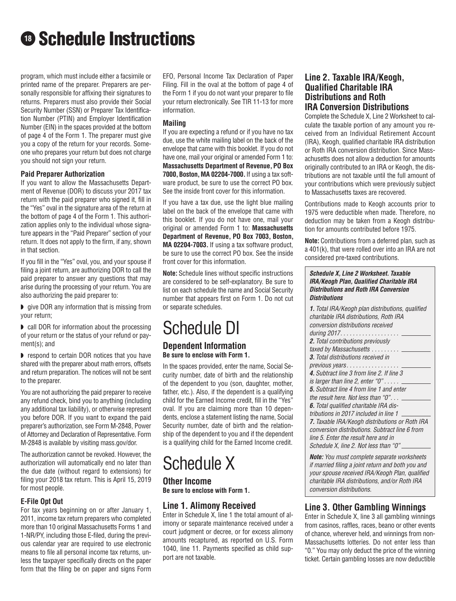# **<sup>18</sup>** Schedule Instructions

program, which must include either a facsimile or printed name of the preparer. Preparers are personally responsible for affixing their signatures to returns. Preparers must also provide their Social Security Number (SSN) or Preparer Tax Identification Number (PTIN) and Employer Identification Number (EIN) in the spaces provided at the bottom of page 4 of the Form 1. The preparer must give you a copy of the return for your records. Someone who prepares your return but does not charge you should not sign your return.

#### **Paid Preparer Authorization**

If you want to allow the Massachusetts Department of Revenue (DOR) to discuss your 2017 tax return with the paid preparer who signed it, fill in the "Yes" oval in the signature area of the return at the bottom of page 4 of the Form 1. This authorization applies only to the individual whose signature appears in the "Paid Preparer" section of your return. It does not apply to the firm, if any, shown in that section.

If you fill in the "Yes" oval, you, and your spouse if filing a joint return, are authorizing DOR to call the paid preparer to answer any questions that may arise during the processing of your return. You are also authorizing the paid preparer to:

◗ give DOR any information that is missing from your return;

◗ call DOR for information about the processing of your return or the status of your refund or payment(s); and

◗ respond to certain DOR notices that you have shared with the preparer about math errors, offsets and return preparation. The notices will not be sent to the preparer.

You are not authorizing the paid preparer to receive any refund check, bind you to anything (including any additional tax liability), or otherwise represent you before DOR. If you want to expand the paid preparer's authorization, see Form M-2848, Power of Attorney and Declaration of Representative. Form M-2848 is available by visiting mass.gov/dor.

The authorization cannot be revoked. However, the authorization will automatically end no later than the due date (without regard to extensions) for filing your 2018 tax return. This is April 15, 2019 for most people.

#### **E-File Opt Out**

For tax years beginning on or after January 1, 2011, income tax return preparers who completed more than 10 original Massachusetts Forms 1 and 1-NR/PY, including those E-filed, during the previous calendar year are required to use electronic means to file all personal income tax returns, unless the taxpayer specifically directs on the paper form that the filing be on paper and signs Form EFO, Personal Income Tax Declaration of Paper Filing. Fill in the oval at the bottom of page 4 of the Form 1 if you do not want your preparer to file your return electronically. See TIR 11-13 for more information.

#### **Mailing**

If you are expecting a refund or if you have no tax due, use the white mailing label on the back of the envelope that came with this booklet. If you do not have one, mail your original or amended Form 1 to: **Massachusetts Department of Revenue, PO Box 7000, Boston, MA 02204-7000.** If using a tax software product, be sure to use the correct PO box. See the inside front cover for this information.

If you have a tax due, use the light blue mailing label on the back of the envelope that came with this booklet. If you do not have one, mail your original or amended Form 1 to: **Massachusetts Department of Revenue, PO Box 7003, Boston, MA 02204-7003.** If using a tax software product, be sure to use the correct PO box. See the inside front cover for this information.

**Note:** Schedule lines without specific instructions are considered to be self-explanatory. Be sure to list on each schedule the name and Social Security number that appears first on Form 1. Do not cut or separate schedules.

## Schedule DI **Dependent Information Be sure to enclose with Form 1.**

In the spaces provided, enter the name, Social Security number, date of birth and the relationship of the dependent to you (son, daughter, mother, father, etc.). Also, if the dependent is a qualifying child for the Earned Income credit, fill in the "Yes" oval. If you are claiming more than 10 dependents, enclose a statement listing the name, Social Security number, date of birth and the relationship of the dependent to you and if the dependent is a qualifying child for the Earned Income credit.

## Schedule X

**Other Income Be sure to enclose with Form 1.**

## **Line 1. Alimony Received**

Enter in Schedule X, line 1 the total amount of alimony or separate maintenance received under a court judgment or decree, or for excess alimony amounts recaptured, as reported on U.S. Form 1040, line 11. Payments specified as child support are not taxable.

### **Line 2. Taxable IRA/Keogh, Qualified Charitable IRA Distributions and Roth IRA Conversion Distributions**

Complete the Schedule X, Line 2 Worksheet to calculate the taxable portion of any amount you received from an Individual Retirement Account (IRA), Keogh, qualified charitable IRA distribution or Roth IRA conversion distribution. Since Massachusetts does not allow a deduction for amounts originally contributed to an IRA or Keogh, the distributions are not taxable until the full amount of your contributions which were previously subject to Massachusetts taxes are recovered.

Contributions made to Keogh accounts prior to 1975 were deductible when made. Therefore, no deduction may be taken from a Keogh distribution for amounts contributed before 1975.

**Note:** Contributions from a deferred plan, such as a 401(k), that were rolled over into an IRA are not considered pre-taxed contributions.

#### **Schedule X, Line 2 Worksheet. Taxable IRA/Keogh Plan, Qualified Charitable IRA Distributions and Roth IRA Conversion Distributions**

**1.** Total IRA/Keogh plan distributions, qualified charitable IRA distributions, Roth IRA conversion distributions received during 2017. . . . . . . . . . . . . . . . . . . **2.** Total contributions previously taxed by Massachusetts . . . . . . . . . **3.** Total distributions received in previous years. . . . . . . . . . . . . . . **4.** Subtract line 3 from line 2. If line 3 is larger than line 2, enter " $0$ " . . . . .  $\overline{\phantom{a}}$ **5.** Subtract line 4 from line 1 and enter the result here. Not less than "0". . . . **6.** Total qualified charitable IRA distributions in 2017 included in line 1 **7.** Taxable IRA/Keogh distributions or Roth IRA conversion distributions. Subtract line 6 from line 5. Enter the result here and in Schedule X, line 2. Not less than "0"

**Note:** You must complete separate worksheets if married filing a joint return and both you and your spouse received IRA/Keogh Plan, qualified charitable IRA distributions, and/or Roth IRA conversion distributions.

## **Line 3. Other Gambling Winnings**

Enter in Schedule X, line 3 all gambling winnings from casinos, raffles, races, beano or other events of chance, wherever held, and winnings from non-Massachusetts lotteries. Do not enter less than "0." You may only deduct the price of the winning ticket. Certain gambling losses are now deductible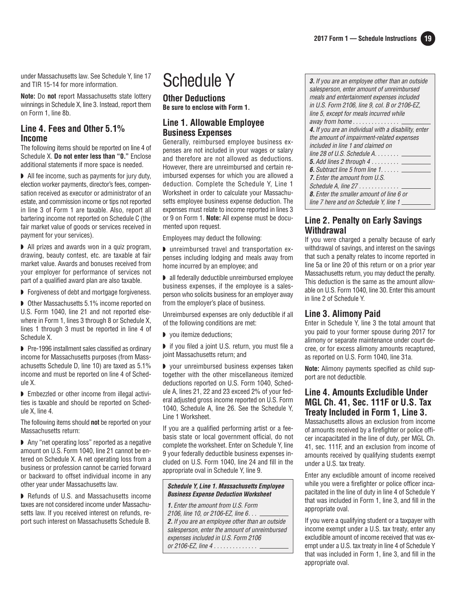under Massachusetts law. See Schedule Y, line 17 and TIR 15-14 for more information.

**Note:** Do **not** report Massachusetts state lottery winnings in Schedule X, line 3. Instead, report them on Form 1, line 8b.

#### **Line 4. Fees and Other 5.1% Income**

The following items should be reported on line 4 of Schedule X. **Do not enter less than "0."** Enclose additional statements if more space is needed.

◗ All fee income, such as payments for jury duty, election worker payments, director's fees, compensation received as executor or administrator of an estate, and commission income or tips not reported in line 3 of Form 1 are taxable. Also, report all bartering income not reported on Schedule C (the fair market value of goods or services received in payment for your services).

◗ All prizes and awards won in a quiz program, drawing, beauty contest, etc. are taxable at fair market value. Awards and bonuses received from your employer for performance of services not part of a qualified award plan are also taxable.

◗ Forgiveness of debt and mortgage forgiveness.

◗ Other Massachusetts 5.1% income reported on U.S. Form 1040, line 21 and not reported elsewhere in Form 1, lines 3 through 8 or Schedule X, lines 1 through 3 must be reported in line 4 of Schedule X.

◗ Pre-1996 installment sales classified as ordinary income for Massachusetts purposes (from Massachusetts Schedule D, line 10) are taxed as 5.1% income and must be reported on line 4 of Schedule X.

◗ Embezzled or other income from illegal activities is taxable and should be reported on Schedule X, line 4.

The following items should **not** be reported on your Massachusetts return:

◗ Any "net operating loss" reported as a negative amount on U.S. Form 1040, line 21 cannot be entered on Schedule X. A net operating loss from a business or profession cannot be carried forward or backward to offset individual income in any other year under Massachusetts law.

◗ Refunds of U.S. and Massachusetts income taxes are not considered income under Massachusetts law. If you received interest on refunds, report such interest on Massachusetts Schedule B.

# Schedule Y

**Other Deductions Be sure to enclose with Form 1.**

## **Line 1. Allowable Employee Business Expenses**

Generally, reimbursed employee business expenses are not included in your wages or salary and therefore are not allowed as deductions. However, there are unreimbursed and certain reimbursed expenses for which you are allowed a deduction. Complete the Schedule Y, Line 1 Worksheet in order to calculate your Massachusetts employee business expense deduction. The expenses must relate to income reported in lines 3 or 9 on Form 1. **Note:** All expense must be documented upon request.

Employees may deduct the following:

◗ unreimbursed travel and transportation expenses including lodging and meals away from home incurred by an employee; and

◗ all federally deductible unreimbursed employee business expenses, if the employee is a sales person who solicits business for an employer away from the employer's place of business.

Unreimbursed expenses are only deductible if all of the following conditions are met:

◗ you itemize deductions;

■ if you filed a joint U.S. return, you must file a joint Massachusetts return; and

◗ your unreimbursed business expenses taken together with the other miscellaneous itemized deductions reported on U.S. Form 1040, Schedule A, lines 21, 22 and 23 exceed 2% of your federal adjusted gross income reported on U.S. Form 1040, Schedule A, line 26. See the Schedule Y, Line 1 Worksheet.

If you are a qualified performing artist or a feebasis state or local government official, do not complete the worksheet. Enter on Schedule Y, line 9 your federally deductible business expenses included on U.S. Form 1040, line 24 and fill in the appropriate oval in Schedule Y, line 9.

#### **Schedule Y, Line 1. Massachusetts Employee Business Expense Deduction Worksheet**

**1.** Enter the amount from U.S. Form 2106, line 10, or 2106-EZ, line 6. . . **2.**If you are an employee other than an outside salesperson, enter the amount of unreimbursed expenses included in U.S. Form 2106 or 2106-EZ, line 4 . . . . . . . . . . . . . .

| <b>3.</b> If you are an employee other than an outside<br>salesperson, enter amount of unreimbursed<br>meals and entertainment expenses included<br>in U.S. Form 2106, line 9, col. B or 2106-EZ,<br>line 5, except for meals incurred while<br>away from home |
|----------------------------------------------------------------------------------------------------------------------------------------------------------------------------------------------------------------------------------------------------------------|
| 4. If you are an individual with a disability, enter                                                                                                                                                                                                           |
|                                                                                                                                                                                                                                                                |
| the amount of impairment-related expenses                                                                                                                                                                                                                      |
| included in line 1 and claimed on                                                                                                                                                                                                                              |
| line 28 of U.S. Schedule $A, \ldots, \ldots$                                                                                                                                                                                                                   |
| <b>5.</b> Add lines 2 through 4 $\dots \dots \dots$                                                                                                                                                                                                            |
| <b>6.</b> Subtract line 5 from line $1, \ldots, 2$                                                                                                                                                                                                             |
| <b>7.</b> Enter the amount from U.S.                                                                                                                                                                                                                           |
| Schedule A, line $27$                                                                                                                                                                                                                                          |
| <b>8.</b> Enter the smaller amount of line 6 or                                                                                                                                                                                                                |
| line 7 here and on Schedule Y, line 1                                                                                                                                                                                                                          |

## **Line 2. Penalty on Early Savings Withdrawal**

If you were charged a penalty because of early withdrawal of savings, and interest on the savings that such a penalty relates to income reported in line 5a or line 20 of this return or on a prior year Massachusetts return, you may deduct the penalty. This deduction is the same as the amount allowable on U.S. Form 1040, line 30. Enter this amount in line 2 of Schedule Y.

#### **Line 3. Alimony Paid**

Enter in Schedule Y, line 3 the total amount that you paid to your former spouse during 2017 for alimony or separate maintenance under court decree, or for excess alimony amounts recaptured, as reported on U.S. Form 1040, line 31a.

**Note:** Alimony payments specified as child support are not deductible.

#### **Line 4. Amounts Excludible Under MGL Ch. 41, Sec. 111F or U.S. Tax Treaty Included in Form 1, Line 3.**

Massachusetts allows an exclusion from income of amounts received by a firefighter or police officer incapacitated in the line of duty, per MGL Ch. 41, sec. 111F, and an exclusion from income of amounts received by qualifying students exempt under a U.S. tax treaty.

Enter any excludible amount of income received while you were a firefighter or police officer incapacitated in the line of duty in line 4 of Schedule Y that was included in Form 1, line 3, and fill in the appropriate oval.

If you were a qualifying student or a taxpayer with income exempt under a U.S. tax treaty, enter any excludible amount of income received that was exempt under a U.S. tax treaty in line 4 of Schedule Y that was included in Form 1, line 3, and fill in the appropriate oval.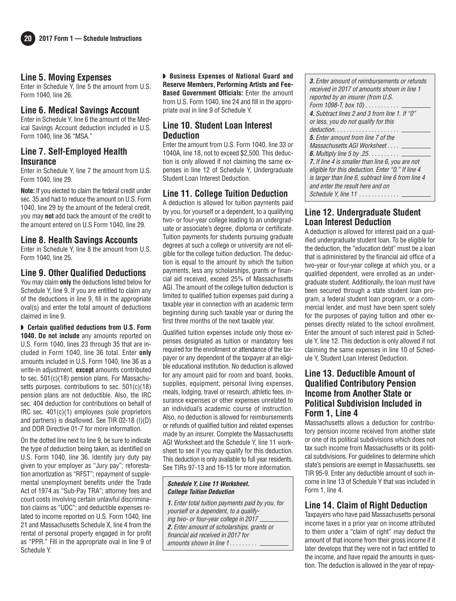#### **Line 5. Moving Expenses**

Enter in Schedule Y, line 5 the amount from U.S. Form 1040, line 26.

#### **Line 6. Medical Savings Account**

Enter in Schedule Y, line 6 the amount of the Medical Savings Account deduction included in U.S. Form 1040, line 36 "MSA."

#### **Line 7. Self-Employed Health Insurance**

Enter in Schedule Y, line 7 the amount from U.S. Form 1040, line 29.

**Note:** If you elected to claim the federal credit under sec. 35 and had to reduce the amount on U.S. Form 1040, line 29 by the amount of the federal credit, you may **not** add back the amount of the credit to the amount entered on U.S Form 1040, line 29.

#### **Line 8. Health Savings Accounts**

Enter in Schedule Y, line 8 the amount from U.S. Form 1040, line 25.

#### **Line 9. Other Qualified Deductions**

You may claim **only** the deductions listed below for Schedule Y, line 9. If you are entitled to claim any of the deductions in line 9, fill in the appropriate oval(s) and enter the total amount of deductions claimed in line 9.

◗ **Certain qualified deductions from U.S. Form 1040. Do not include** any amounts reported on U.S. Form 1040, lines 23 through 35 that are included in Form 1040, line 36 total. Enter **only** amounts included in U.S. Form 1040, line 36 as a write-in adjustment, **except** amounts contributed to sec. 501(c)(18) pension plans. For Massachusetts purposes, contributions to sec.  $501(c)(18)$ pension plans are not deductible. Also, the IRC sec. 404 deduction for contributions on behalf of IRC sec. 401(c)(1) employees (sole proprietors and partners) is disallowed. See TIR 02-18 (I)(D) and DOR Directive 01-7 for more information.

On the dotted line next to line 9, be sure to indicate the type of deduction being taken, as identified on U.S. Form 1040, line 36. Identify jury duty pay given to your employer as "Jury pay"; reforestation amortization as "RFST"; repayment of supple mental unemployment benefits under the Trade Act of 1974 as "Sub-Pay TRA"; attorney fees and court costs involving certain unlawful discrimination claims as "UDC"; and deductible expenses related to income reported on U.S. Form 1040, line 21 and Massachusetts Schedule X, line 4 from the rental of personal property engaged in for profit as "PPR." Fill in the appropriate oval in line 9 of Schedule Y.

◗ **Business Expenses of National Guard and Reserve Members, Performing Artists and Fee-Based Government Officials:** Enter the amount from U.S. Form 1040, line 24 and fill in the appropriate oval in line 9 of Schedule Y.

#### **Line 10. Student Loan Interest Deduction**

Enter the amount from U.S. Form 1040, line 33 or 1040A, line 18, not to exceed \$2,500. This deduction is only allowed if not claiming the same expenses in line 12 of Schedule Y, Undergraduate Student Loan Interest Deduction.

#### **Line 11. College Tuition Deduction**

A deduction is allowed for tuition payments paid by you, for yourself or a dependent, to a qualifying two- or four-year college leading to an undergraduate or associate's degree, diploma or certificate. Tuition payments for students pursuing graduate degrees at such a college or university are not eligible for the college tuition deduction. The deduction is equal to the amount by which the tuition payments, less any scholarships, grants or financial aid received, exceed 25% of Massachusetts AGI. The amount of the college tuition deduction is limited to qualified tuition expenses paid during a taxable year in connection with an academic term beginning during such taxable year or during the first three months of the next taxable year.

Qualified tuition expenses include only those expenses designated as tuition or mandatory fees required for the enrollment or attendance of the taxpayer or any dependent of the taxpayer at an eligible educational institution. No deduction is allowed for any amount paid for room and board, books, supplies, equipment, personal living expenses, meals, lodging, travel or research, athletic fees, insurance expenses or other expenses unrelated to an individual's academic course of instruction. Also, no deduction is allowed for reimbursements or refunds of qualified tuition and related expenses made by an insurer. Complete the Massachusetts AGI Worksheet and the Schedule Y, line 11 worksheet to see if you may qualify for this deduction. This deduction is only available to full year residents. See TIRs 97-13 and 16-15 for more information.

#### **Schedule Y, Line 11 Worksheet. College Tuition Deduction**

**1.** Enter total tuition payments paid by you, for yourself or a dependent, to a qualifying two- or four-year college in 2017 **2.** Enter amount of scholarships, grants or financial aid received in 2017 for amounts shown in line 1. . . . . . . . .

| <b>3.</b> Enter amount of reimbursements or refunds         |
|-------------------------------------------------------------|
| received in 2017 of amounts shown in line 1                 |
| reported by an insurer (from U.S.                           |
| Form 1098-T, box 10) ___                                    |
| 4. Subtract lines 2 and 3 from line 1. If "0"               |
| or less, you do not qualify for this                        |
| $deduction \dots \dots \dots \dots \dots \dots \dots \dots$ |
| <b>5.</b> Enter amount from line 7 of the                   |
| Massachusetts AGI Worksheet                                 |
| <b>6.</b> Multiply line 5 by .25. $\ldots$                  |
| 7. If line 4 is smaller than line 6, you are not            |
| eligible for this deduction. Enter "0." If line 4           |
| is larger than line 6, subtract line 6 from line 4          |
| and enter the result here and on                            |
|                                                             |

## **Line 12. Undergraduate Student Loan Interest Deduction**

A deduction is allowed for interest paid on a qualified undergraduate student loan. To be eligible for the deduction, the "education debt" must be a loan that is administered by the financial aid office of a two-year or four-year college at which you, or a qualified dependent, were enrolled as an undergraduate student. Additionally, the loan must have been secured through a state student loan program, a federal student loan program, or a commercial lender, and must have been spent solely for the purposes of paying tuition and other expenses directly related to the school enrollment. Enter the amount of such interest paid in Schedule Y, line 12. This deduction is only allowed if not claiming the same expenses in line 10 of Schedule Y, Student Loan Interest Deduction.

#### **Line 13. Deductible Amount of Qualified Contributory Pension Income from Another State or Political Subdivision Included in Form 1, Line 4**

Massachusetts allows a deduction for contributory pension income received from another state or one of its political subdivisions which does not tax such income from Massachusetts or its political subdivisions. For guidelines to determine which state's pensions are exempt in Massachusetts, see TIR 95-9. Enter any deductible amount of such income in line 13 of Schedule Y that was included in Form 1, line 4.

## **Line 14. Claim of Right Deduction**

Taxpayers who have paid Massachusetts personal income taxes in a prior year on income attributed to them under a "claim of right" may deduct the amount of that income from their gross income if it later develops that they were not in fact entitled to the income, and have repaid the amounts in question. The deduction is allowed in the year of repay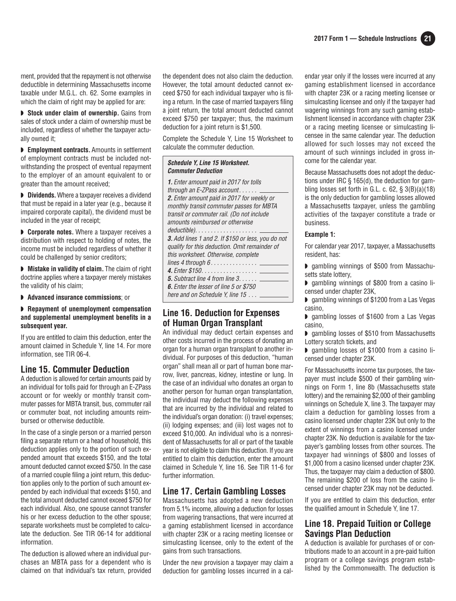ment, provided that the repayment is not otherwise deductible in determining Massachusetts income taxable under M.G.L. ch. 62. Some examples in which the claim of right may be applied for are:

**▶ Stock under claim of ownership.** Gains from sales of stock under a claim of ownership must be included, regardless of whether the taxpayer actually owned it;

◗ **Employment contracts.** Amounts in settlement of employment contracts must be included notwith standing the prospect of eventual repayment to the employer of an amount equivalent to or greater than the amount received;

◗ **Dividends.** Where a taxpayer receives a dividend that must be repaid in a later year (e.g., because it impaired corporate capital), the dividend must be included in the year of receipt;

◗ **Corporate notes.** Where a taxpayer receives a distribution with respect to holding of notes, the income must be included regardless of whether it could be challenged by senior creditors;

◗ **Mistake in validity of claim.** The claim of right doctrine applies where a taxpayer merely mistakes the validity of his claim;

◗ **Advanced insurance commissions**; or

#### ◗ **Repayment of unemployment compensation and supplemental unemployment benefits in a subsequent year.**

If you are entitled to claim this deduction, enter the amount claimed in Schedule Y, line 14. For more information, see TIR 06-4.

#### **Line 15. Commuter Deduction**

A deduction is allowed for certain amounts paid by an individual for tolls paid for through an E-ZPass account or for weekly or monthly transit commuter passes for MBTA transit, bus, commuter rail or commuter boat, not including amounts reimbursed or otherwise deductible.

In the case of a single person or a married person filing a separate return or a head of household, this deduction applies only to the portion of such expended amount that exceeds \$150, and the total amount deducted cannot exceed \$750. In the case of a married couple filing a joint return, this deduction applies only to the portion of such amount expended by each individual that exceeds \$150, and the total amount deducted cannot exceed \$750 for each individual. Also, one spouse cannot transfer his or her excess deduction to the other spouse; separate worksheets must be completed to calculate the deduction. See TIR 06-14 for additional information.

The deduction is allowed where an individual purchases an MBTA pass for a dependent who is claimed on that individual's tax return, provided the dependent does not also claim the deduction. However, the total amount deducted cannot exceed \$750 for each individual taxpayer who is filing a return. In the case of married taxpayers filing a joint return, the total amount deducted cannot exceed \$750 per taxpayer; thus, the maximum deduction for a joint return is \$1,500.

Complete the Schedule Y, Line 15 Worksheet to calculate the commuter deduction.

#### **Schedule Y, Line 15 Worksheet. Commuter Deduction**

**1.** Enter amount paid in 2017 for tolls through an E-ZPass account. . . . . . **2.** Enter amount paid in 2017 for weekly or monthly transit commuter passes for MBTA transit or commuter rail. (Do not include amounts reimbursed or otherwise deductible). . . . . . . . . . . . . . . . . . . . **3.** Add lines 1 and 2. If \$150 or less, you do not qualify for this deduction. Omit remainder of this worksheet. Otherwise, complete lines 4 through  $6 \ldots \ldots \ldots \ldots$ **4.** Enter \$150. . . . . . . . . . . . . . . . . . **5.** Subtract line 4 from line 3. . . . . . **6.** Enter the lesser of line 5 or \$750 here and on Schedule Y, line 15 ...

#### **Line 16. Deduction for Expenses of Human Organ Transplant**

An individual may deduct certain expenses and other costs incurred in the process of donating an organ for a human organ transplant to another individual. For purposes of this deduction, "human organ" shall mean all or part of human bone marrow, liver, pancreas, kidney, intestine or lung. In the case of an individual who donates an organ to another person for human organ transplantation, the individual may deduct the following expenses that are incurred by the individual and related to the individual's organ donation: (i) travel expenses; (ii) lodging expenses; and (iii) lost wages not to exceed \$10,000. An individual who is a nonresident of Massachusetts for all or part of the taxable year is not eligible to claim this deduction. If you are entitled to claim this deduction, enter the amount claimed in Schedule Y, line 16. See TIR 11-6 for further information.

#### **Line 17. Certain Gambling Losses**

Massachusetts has adopted a new deduction from 5.1% income, allowing a deduction for losses from wagering transactions, that were incurred at a gaming establishment licensed in accordance with chapter 23K or a racing meeting licensee or simulcasting licensee, only to the extent of the gains from such transactions.

Under the new provision a taxpayer may claim a deduction for gambling losses incurred in a calendar year only if the losses were incurred at any gaming establishment licensed in accordance with chapter 23K or a racing meeting licensee or simulcasting licensee and only if the taxpayer had wagering winnings from any such gaming establishment licensed in accordance with chapter 23K or a racing meeting licensee or simulcasting licensee in the same calendar year. The deduction allowed for such losses may not exceed the amount of such winnings included in gross income for the calendar year.

Because Massachusetts does not adopt the deductions under IRC § 165(d), the deduction for gambling losses set forth in G.L. c. 62, § 3(B)(a)(18) is the only deduction for gambling losses allowed a Massachusetts taxpayer, unless the gambling activities of the taxpayer constitute a trade or business.

#### **Example 1:**

For calendar year 2017, taxpayer, a Massachusetts resident, has:

◗ gambling winnings of \$500 from Massachusetts state lottery,

◗ gambling winnings of \$800 from a casino licensed under chapter 23K,

◗ gambling winnings of \$1200 from a Las Vegas casino,

◗ gambling losses of \$1600 from a Las Vegas casino,

◗ gambling losses of \$510 from Massachusetts Lottery scratch tickets, and

◗ gambling losses of \$1000 from a casino licensed under chapter 23K.

For Massachusetts income tax purposes, the taxpayer must include \$500 of their gambling winnings on Form 1, line 8b (Massachusetts state lottery) and the remaining \$2,000 of their gambling winnings on Schedule X, line 3. The taxpayer may claim a deduction for gambling losses from a casino licensed under chapter 23K but only to the extent of winnings from a casino licensed under chapter 23K. No deduction is available for the taxpayer's gambling losses from other sources. The taxpayer had winnings of \$800 and losses of \$1,000 from a casino licensed under chapter 23K. Thus, the taxpayer may claim a deduction of \$800. The remaining \$200 of loss from the casino licensed under chapter 23K may not be deducted.

If you are entitled to claim this deduction, enter the qualified amount in Schedule Y, line 17.

#### **Line 18. Prepaid Tuition or College Savings Plan Deduction**

A deduction is available for purchases of or contributions made to an account in a pre-paid tuition program or a college savings program established by the Commonwealth. The deduction is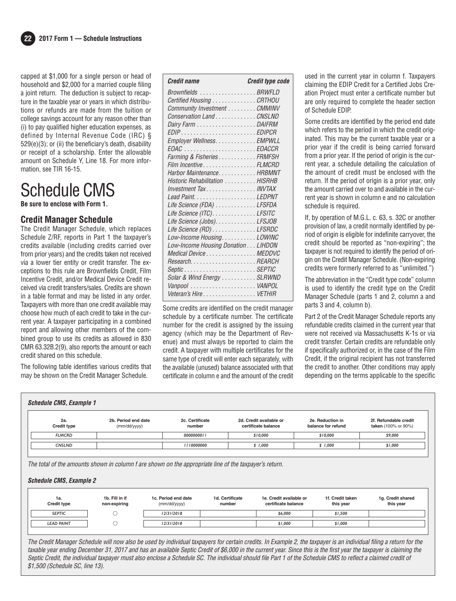capped at \$1,000 for a single person or head of household and \$2,000 for a married couple filing a joint return. The deduction is subject to recapture in the taxable year or years in which distributions or refunds are made from the tuition or college savings account for any reason other than (i) to pay qualified higher education expenses, as defined by Internal Revenue Code (IRC) § 529(e)(3); or (ii) the beneficiary's death, disability or receipt of a scholarship. Enter the allowable amount on Schedule Y, Line 18. For more information, see TIR 16-15.

## Schedule CMS

**Be sure to enclose with Form 1.**

#### **Credit Manager Schedule**

The Credit Manager Schedule, which replaces Schedule Z/RF, reports in Part 1 the taxpayer's credits available (including credits carried over from prior years) and the credits taken not received via a lower tier entity or credit transfer. The exceptions to this rule are Brownfields Credit, Film Incentive Credit, and/or Medical Device Credit received via credit transfers/sales. Credits are shown in a table format and may be listed in any order. Taxpayers with more than one credit available may choose how much of each credit to take in the current year. A taxpayer participating in a combined report and allowing other members of the combined group to use its credits as allowed in 830 CMR 63.32B.2(9), also reports the amount or each credit shared on this schedule.

The following table identifies various credits that may be shown on the Credit Manager Schedule.

| <b>Credit name</b>                 | Credit type code |
|------------------------------------|------------------|
| Brownfields BRWFLD                 |                  |
| Certified Housing CRTHOU           |                  |
| Community Investment CMMINV        |                  |
| Conservation Land CNSLND           |                  |
|                                    |                  |
|                                    |                  |
| Employer Wellness. EMPWLL          |                  |
|                                    |                  |
| Farming & Fisheries FRMFSH         |                  |
| Film Incentive FLMCRD              |                  |
| Harbor MaintenanceHRBMNT           |                  |
| Historic Rehabilitation HISRHB     |                  |
| Investment TaxINVTAX               |                  |
|                                    |                  |
| Life Science (FDA) LFSFDA          |                  |
| Life Science (ITC). LFSITC         |                  |
| Life Science (Jobs). LFSJOB        |                  |
| Life Science (RD) LFSRDC           |                  |
| Low-Income Housing. LOWINC         |                  |
| Low-Income Housing Donation LIHDON |                  |
| Medical Device MEDDVC              |                  |
|                                    |                  |
|                                    |                  |
| Solar & Wind Energy SLRWND         |                  |
|                                    |                  |
| Veteran's Hire VETHIR              |                  |

Some credits are identified on the credit manager schedule by a certificate number. The certificate number for the credit is assigned by the issuing agency (which may be the Department of Revenue) and must always be reported to claim the credit. A taxpayer with multiple certificates for the same type of credit will enter each separately, with the available (unused) balance associated with that certificate in column e and the amount of the credit used in the current year in column f. Taxpayers claiming the EDIP Credit for a Certified Jobs Creation Project must enter a certificate number but are only required to complete the header section of Schedule EDIP.

Some credits are identified by the period end date which refers to the period in which the credit originated. This may be the current taxable year or a prior year if the credit is being carried forward from a prior year. If the period of origin is the current year, a schedule detailing the calculation of the amount of credit must be enclosed with the return. If the period of origin is a prior year, only the amount carried over to and available in the current year is shown in column e and no calculation schedule is required.

If, by operation of M.G.L. c. 63, s. 32C or another provision of law, a credit normally identified by period of origin is eligible for indefinite carryover, the credit should be reported as "non-expiring"; the taxpayer is not required to identify the period of origin on the Credit Manager Schedule. (Non-expiring credits were formerly referred to as "unlimited.")

The abbreviation in the "Credit type code" column is used to identify the credit type on the Credit Manager Schedule (parts 1 and 2, column a and parts 3 and 4, column b).

Part 2 of the Credit Manager Schedule reports any refundable credits claimed in the current year that were not received via Massachusetts K-1s or via credit transfer. Certain credits are refundable only if specifically authorized or, in the case of the Film Credit, if the original recipient has not transferred the credit to another. Other conditions may apply depending on the terms applicable to the specific

| 2a.                | 2b. Period end date | 2c. Certificate | 2d. Credit available or | 2e. Reduction in   | 2f. Refundable credit |
|--------------------|---------------------|-----------------|-------------------------|--------------------|-----------------------|
| <b>Credit type</b> | (mm/dd/yyyy)        | number          | certificate balance     | balance for refund | taken (100% or 90%)   |
| <b>FLMCRD</b>      |                     | 0000000011      | \$10,000                | \$10,000           | \$9,000               |
| <b>CNSLND</b>      |                     | 1110000000      | \$1.000                 | \$1.000            | \$1,000               |

The total of the amounts shown in column f are shown on the appropriate line of the taxpayer's return.

#### **Schedule CMS, Example 2**

| 1a.<br><b>Credit type</b> | 1b. Fill in if<br>non-expiring | 1c. Period end date<br>(mm/dd/yyyy) | 1d. Certificate<br>number | 1e. Credit available or<br>certificate balance | 1f. Credit taken<br>this year | 1g. Credit shared<br>this year |
|---------------------------|--------------------------------|-------------------------------------|---------------------------|------------------------------------------------|-------------------------------|--------------------------------|
| <b>SEPTIC</b>             |                                | 12/31/2018                          |                           | \$6,000                                        | \$1,500                       |                                |
| <b>LEAD PAINT</b>         |                                | 12/31/2018                          |                           | \$1,000                                        | \$1,000                       |                                |

The Credit Manager Schedule will now also be used by individual taxpayers for certain credits. In Example 2, the taxpayer is an individual filing a return for the taxable year ending December 31, 2017 and has an available Septic Credit of \$6,000 in the current year. Since this is the first year the taxpayer is claiming the Septic Credit, the individual taxpayer must also enclose a Schedule SC. The individual should file Part 1 of the Schedule CMS to reflect a claimed credit of \$1,500 (Schedule SC, line 13).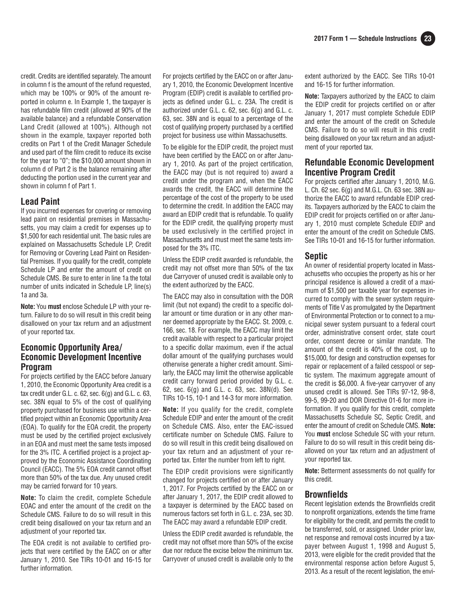credit. Credits are identified separately. The amount in column f is the amount of the refund requested, which may be 100% or 90% of the amount reported in column e. In Example 1, the taxpayer is has refundable film credit (allowed at 90% of the available balance) and a refundable Conservation Land Credit (allowed at 100%). Although not shown in the example, taxpayer reported both credits on Part 1 of the Credit Manager Schedule and used part of the film credit to reduce its excise for the year to "0"; the \$10,000 amount shown in column d of Part 2 is the balance remaining after deducting the portion used in the current year and shown in column f of Part 1.

#### **Lead Paint**

If you incurred expenses for covering or removing lead paint on residential premises in Massachusetts, you may claim a credit for expenses up to \$1,500 for each residential unit. The basic rules are explained on Massachusetts Schedule LP, Credit for Removing or Covering Lead Paint on Residential Premises. If you qualify for the credit, complete Schedule LP and enter the amount of credit on Schedule CMS. Be sure to enter in line 1a the total number of units indicated in Schedule LP, line(s) 1a and 3a.

**Note:** You **must** enclose Schedule LP with your return. Failure to do so will result in this credit being disallowed on your tax return and an adjustment of your reported tax.

#### **Economic Opportunity Area/ Economic Development Incentive Program**

For projects certified by the EACC before January 1, 2010, the Economic Opportunity Area credit is a tax credit under G.L. c.  $62$ , sec.  $6(g)$  and G.L. c.  $63$ , sec. 38N equal to 5% of the cost of qualifying property purchased for business use within a certified project within an Economic Opportunity Area (EOA). To qualify for the EOA credit, the property must be used by the certified project exclusively in an EOA and must meet the same tests imposed for the 3% ITC. A certified project is a project approved by the Economic Assistance Coordinating Council (EACC). The 5% EOA credit cannot offset more than 50% of the tax due. Any unused credit may be carried forward for 10 years.

**Note:** To claim the credit, complete Schedule EOAC and enter the amount of the credit on the Schedule CMS. Failure to do so will result in this credit being disallowed on your tax return and an adjustment of your reported tax.

The EOA credit is not available to certified projects that were certified by the EACC on or after January 1, 2010. See TIRs 10-01 and 16-15 for further information.

For projects certified by the EACC on or after January 1, 2010, the Economic Development Incentive Program (EDIP) credit is available to certified projects as defined under G.L. c. 23A. The credit is authorized under G.L. c. 62, sec. 6(g) and G.L. c. 63, sec. 38N and is equal to a percentage of the cost of qualifying property purchased by a certified project for business use within Massachusetts.

To be eligible for the EDIP credit, the project must have been certified by the EACC on or after January 1, 2010. As part of the project certification, the EACC may (but is not required to) award a credit under the program and, when the EACC awards the credit, the EACC will determine the percentage of the cost of the property to be used to determine the credit. In addition the EACC may award an EDIP credit that is refundable. To qualify for the EDIP credit, the qualifying property must be used exclusively in the certified project in Massachusetts and must meet the same tests imposed for the 3% ITC.

Unless the EDIP credit awarded is refundable, the credit may not offset more than 50% of the tax due Carryover of unused credit is available only to the extent authorized by the EACC.

The EACC may also in consultation with the DOR limit (but not expand) the credit to a specific dollar amount or time duration or in any other manner deemed appropriate by the EACC. St. 2009, c. 166, sec. 18. For example, the EACC may limit the credit available with respect to a particular project to a specific dollar maximum, even if the actual dollar amount of the qualifying purchases would otherwise generate a higher credit amount. Similarly, the EACC may limit the otherwise applicable credit carry forward period provided by G.L. c. 62, sec. 6(g) and G.L. c. 63, sec. 38N(d). See TIRs 10-15, 10-1 and 14-3 for more information.

**Note:** If you qualify for the credit, complete Schedule EDIP and enter the amount of the credit on Schedule CMS. Also, enter the EAC-issued certificate number on Schedule CMS. Failure to do so will result in this credit being disallowed on your tax return and an adjustment of your reported tax. Enter the number from left to right.

The EDIP credit provisions were significantly changed for projects certified on or after January 1, 2017. For Projects certified by the EACC on or after January 1, 2017, the EDIP credit allowed to a taxpayer is determined by the EACC based on numerous factors set forth in G.L. c. 23A, sec 3D. The EACC may award a refundable EDIP credit.

Unless the EDIP credit awarded is refundable, the credit may not offset more than 50% of the excise due nor reduce the excise below the minimum tax. Carryover of unused credit is available only to the

extent authorized by the EACC. See TIRs 10-01 and 16-15 for further information.

**Note:** Taxpayers authorized by the EACC to claim the EDIP credit for projects certified on or after January 1, 2017 must complete Schedule EDIP and enter the amount of the credit on Schedule CMS. Failure to do so will result in this credit being disallowed on your tax return and an adjustment of your reported tax.

#### **Refundable Economic Development Incentive Program Credit**

For projects certified after January 1, 2010, M.G. L. Ch. 62 sec. 6(g) and M.G.L. Ch. 63 sec. 38N authorize the EACC to award refundable EDIP credits. Taxpayers authorized by the EACC to claim the EDIP credit for projects certified on or after January 1, 2010 must complete Schedule EDIP and enter the amount of the credit on Schedule CMS. See TIRs 10-01 and 16-15 for further information.

#### **Septic**

An owner of residential property located in Massachusetts who occupies the property as his or her principal residence is allowed a credit of a maximum of \$1,500 per taxable year for expenses incurred to comply with the sewer system requirements of Title V as promulgated by the Department of Environmental Protection or to connect to a mu nicipal sewer system pursuant to a federal court order, administrative consent order, state court order, consent decree or similar mandate. The amount of the credit is 40% of the cost, up to \$15,000, for design and construction expenses for repair or replacement of a failed cesspool or septic system. The maximum aggregate amount of the credit is \$6,000. A five-year carryover of any unused credit is allowed. See TIRs 97-12, 98-8, 99-5, 99-20 and DOR Directive 01-6 for more information. If you qualify for this credit, complete Massachusetts Schedule SC, Septic Credit, and enter the amount of credit on Schedule CMS. **Note:** You **must** enclose Schedule SC with your return. Failure to do so will result in this credit being disallowed on your tax return and an adjustment of your reported tax.

**Note:** Betterment assessments do not qualify for this credit.

#### **Brownfields**

Recent legislation extends the Brownfields credit to nonprofit organizations, extends the time frame for eligibility for the credit, and permits the credit to be transferred, sold, or assigned. Under prior law, net response and removal costs incurred by a taxpayer between August 1, 1998 and August 5, 2013, were eligible for the credit provided that the en vironmental response action before August 5, 2013. As a result of the recent legislation, the envi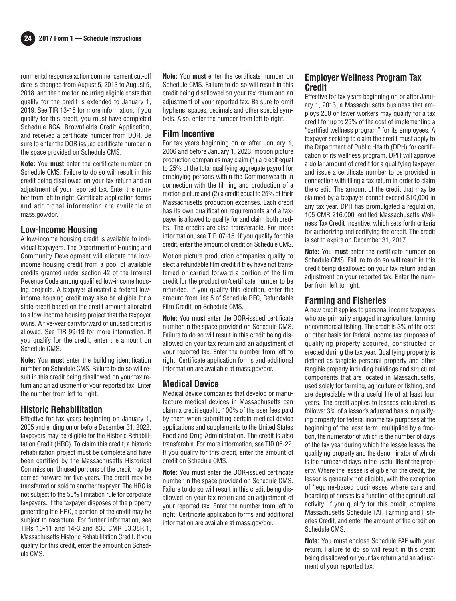ronmental response action commencement cut-off date is changed from August 5, 2013 to August 5, 2018, and the time for incurring eligible costs that qualify for the credit is extended to January 1, 2019. See TIR 13-15 for more information. If you qualify for this credit, you must have completed Schedule BCA, Brownfields Credit Application, and received a certificate number from DOR. Be sure to enter the DOR issued certificate number in the space provided on Schedule CMS.

**Note:** You **must** enter the certificate number on Schedule CMS. Failure to do so will result in this credit being disallowed on your tax return and an adjustment of your reported tax. Enter the number from left to right. Certificate application forms and additional information are available at mass.gov/dor.

#### **Low-Income Housing**

A low-income housing credit is available to individual taxpayers. The Department of Housing and Community Development will allocate the low income housing credit from a pool of available credits granted under section 42 of the Internal Revenue Code among qualified low-income housing projects. A taxpayer allocated a federal low income housing credit may also be eligible for a state credit based on the credit amount allocated to a low-income housing project that the taxpayer owns. A five-year carryforward of unused credit is allowed. See TIR 99-19 for more information. If you qualify for the credit, enter the amount on Schedule CMS.

**Note:** You **must** enter the building identification number on Schedule CMS. Failure to do so will result in this credit being disallowed on your tax return and an adjustment of your reported tax. Enter the number from left to right.

#### **Historic Rehabilitation**

Effective for tax years beginning on January 1, 2005 and ending on or before December 31, 2022, taxpayers may be eligible for the Historic Rehabilitation Credit (HRC). To claim this credit, a historic rehabilitation project must be complete and have been certified by the Massachusetts Historical Commission. Unused portions of the credit may be carried forward for five years. The credit may be transferred or sold to another taxpayer. The HRC is not subject to the 50% limitation rule for corporate taxpayers. If the taxpayer disposes of the property generating the HRC, a portion of the credit may be subject to recapture. For further information, see TIRs 10-11 and 14-3 and 830 CMR 63.38R.1, Massachusetts Historic Rehabilitation Credit. If you qualify for this credit, enter the amount on Schedule CMS.

**Note:** You **must** enter the certificate number on Schedule CMS. Failure to do so will result in this credit being disallowed on your tax return and an adjustment of your reported tax. Be sure to omit hyphens, spaces, decimals and other special symbols. Also, enter the number from left to right.

#### **Film Incentive**

For tax years beginning on or after January 1, 2006 and before January 1, 2023, motion picture production companies may claim (1) a credit equal to 25% of the total qualifying aggregate payroll for employing persons within the Commonwealth in connection with the filming and production of a motion picture and (2) a credit equal to 25% of their Massachusetts production expenses. Each credit has its own qualification requirements and a taxpayer is allowed to qualify for and claim both credits. The credits are also transferable. For more information, see TIR 07-15. If you qualify for this credit, enter the amount of credit on Schedule CMS.

Motion picture production companies qualify to elect a refundable film credit if they have not trans ferred or carried forward a portion of the film credit for the production/certificate number to be refunded. If you qualify this election, enter the amount from line 5 of Schedule RFC, Refundable Film Credit, on Schedule CMS.

**Note:** You **must** enter the DOR-issued certificate number in the space provided on Schedule CMS. Failure to do so will result in this credit being disallowed on your tax return and an adjustment of your reported tax. Enter the number from left to right. Certificate application forms and additional information are available at mass.gov/dor.

#### **Medical Device**

Medical device companies that develop or manufacture medical devices in Massachusetts can claim a credit equal to 100% of the user fees paid by them when submitting certain medical device applications and supplements to the United States Food and Drug Administration. The credit is also transferable. For more information, see TIR 06-22. If you qualify for this credit, enter the amount of credit on Schedule CMS.

**Note:** You **must** enter the DOR- issued certificate number in the space provided on Schedule CMS. Failure to do so will result in this credit being disallowed on your tax return and an adjustment of your reported tax. Enter the number from left to right. Certificate application forms and additional information are available at mass.gov/dor.

## **Employer Wellness Program Tax Credit**

Effective for tax years beginning on or after January 1, 2013, a Massachusetts business that employs 200 or fewer workers may qualify for a tax credit for up to 25% of the cost of implementing a "certified wellness program" for its employees. A taxpayer seeking to claim the credit must apply to the Department of Public Health (DPH) for certification of its wellness program. DPH will approve a dollar amount of credit for a qualifying taxpayer and issue a certificate number to be provided in connection with filing a tax return in order to claim the credit. The amount of the credit that may be claimed by a taxpayer cannot exceed \$10,000 in any tax year. DPH has promulgated a regulation, 105 CMR 216.000, entitled Massachusetts Wellness Tax Credit Incentive, which sets forth criteria for authorizing and certifying the credit. The credit is set to expire on December 31, 2017.

**Note:** You **must** enter the certificate number on Schedule CMS. Failure to do so will result in this credit being disallowed on your tax return and an adjustment on your reported tax. Enter the number from left to right.

#### **Farming and Fisheries**

A new credit applies to personal income taxpayers who are primarily engaged in agriculture, farming or commercial fishing. The credit is 3% of the cost or other basis for federal income tax purposes of qualifying property acquired, constructed or erected during the tax year. Qualifying property is defined as tangible personal property and other tangible property including buildings and structural components that are located in Massachusetts, used solely for farming, agriculture or fishing, and are depreciable with a useful life of at least four years. The credit applies to lessees calculated as follows: 3% of a lessor's adjusted basis in qualifying property for federal income tax purposes at the beginning of the lease term, multiplied by a fraction, the numerator of which is the number of days of the tax year during which the lessee leases the qualifying property and the denominator of which is the number of days in the useful life of the property. Where the lessee is eligible for the credit, the lessor is generally not eligible, with the exception of "equine-based businesses where care and boarding of horses is a function of the agricultural activity. If you qualify for this credit, complete Massachusetts Schedule FAF, Farming and Fisheries Credit, and enter the amount of the credit on Schedule CMS.

**Note:** You must enclose Schedule FAF with your return. Failure to do so will result in this credit being disallowed on your tax return and an adjustment of your reported tax.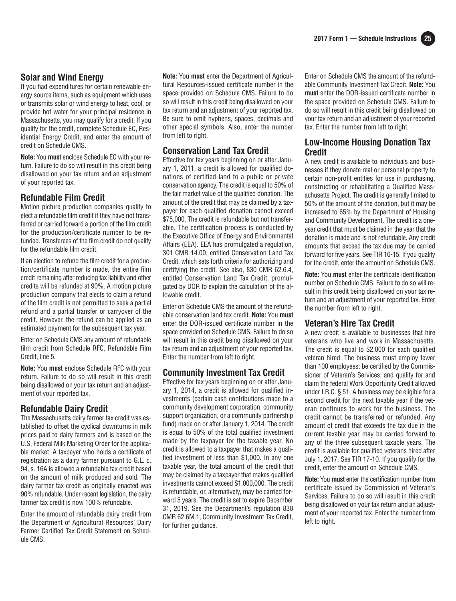## **Solar and Wind Energy**

If you had expenditures for certain renewable energy source items, such as equipment which uses or transmits solar or wind energy to heat, cool, or provide hot water for your principal residence in Massachusetts, you may qualify for a credit. If you qualify for the credit, complete Schedule EC, Residential Energy Credit, and enter the amount of credit on Schedule CMS.

**Note:** You **must** enclose Schedule EC with your return. Failure to do so will result in this credit being disallowed on your tax return and an adjustment of your reported tax.

#### **Refundable Film Credit**

Motion picture production companies qualify to elect a refundable film credit if they have not transferred or carried forward a portion of the film credit for the production/certificate number to be refunded. Transferees of the film credit do not qualify for the refundable film credit.

If an election to refund the film credit for a production/certificate number is made, the entire film credit remaining after reducing tax liability and other credits will be refunded at 90%. A motion picture production company that elects to claim a refund of the film credit is not permitted to seek a partial refund and a partial transfer or carryover of the credit. However, the refund can be applied as an estimated payment for the subsequent tax year.

Enter on Schedule CMS any amount of refundable film credit from Schedule RFC, Refundable Film Credit, line 5.

**Note:** You **must** enclose Schedule RFC with your return. Failure to do so will result in this credit being disallowed on your tax return and an adjustment of your reported tax.

#### **Refundable Dairy Credit**

The Massachusetts dairy farmer tax credit was established to offset the cyclical downturns in milk prices paid to dairy farmers and is based on the U.S. Federal Milk Marketing Order for the applicable market. A taxpayer who holds a certificate of registration as a dairy farmer pursuant to G.L. c. 94, s. 16A is allowed a refundable tax credit based on the amount of milk produced and sold. The dairy farmer tax credit as originally enacted was 90% refundable. Under recent legislation, the dairy farmer tax credit is now 100% refundable.

Enter the amount of refundable dairy credit from the Department of Agricultural Resources' Dairy Farmer Certified Tax Credit Statement on Schedule CMS.

**Note:** You **must** enter the Department of Agricultural Resources-issued certificate number in the space provided on Schedule CMS. Failure to do so will result in this credit being disallowed on your tax return and an adjustment of your reported tax. Be sure to omit hyphens, spaces, decimals and other special symbols. Also, enter the number from left to right.

#### **Conservation Land Tax Credit**

Effective for tax years beginning on or after January 1, 2011, a credit is allowed for qualified donations of certified land to a public or private conservation agency. The credit is equal to 50% of the fair market value of the qualified donation. The amount of the credit that may be claimed by a taxpayer for each qualified donation cannot exceed \$75,000. The credit is refundable but not transfer able. The certification process is conducted by the Executive Office of Energy and Environmental Affairs (EEA). EEA has promulgated a regulation, 301 CMR 14.00, entitled Conservation Land Tax Credit, which sets forth criteria for authorizing and certifying the credit. See also, 830 CMR 62.6.4, entitled Conservation Land Tax Credit, promulgated by DOR to explain the calculation of the allowable credit.

Enter on Schedule CMS the amount of the refundable conservation land tax credit. **Note:** You **must** enter the DOR-issued certificate number in the space provided on Schedule CMS. Failure to do so will result in this credit being disallowed on your tax return and an adjustment of your reported tax. Enter the number from left to right.

#### **Community Investment Tax Credit**

Effective for tax years beginning on or after January 1, 2014, a credit is allowed for qualified investments (certain cash contributions made to a community development corporation, community support organization, or a community partnership fund) made on or after January 1, 2014. The credit is equal to 50% of the total qualified investment made by the taxpayer for the taxable year. No credit is allowed to a taxpayer that makes a qualified investment of less than \$1,000. In any one taxable year, the total amount of the credit that may be claimed by a taxpayer that makes qualified investments cannot exceed \$1,000,000. The credit is refundable, or, alternatively, may be carried forward 5 years. The credit is set to expire December 31, 2019. See the Department's regulation 830 CMR 62.6M.1, Community Investment Tax Credit, for further quidance.

Enter on Schedule CMS the amount of the refundable Community Investment Tax Credit. **Note:** You **must** enter the DOR-issued certificate number in the space provided on Schedule CMS. Failure to do so will result in this credit being disallowed on your tax return and an adjustment of your reported tax. Enter the number from left to right.

#### **Low-Income Housing Donation Tax Credit**

A new credit is available to individuals and businesses if they donate real or personal property to certain non-profit entities for use in purchasing, constructing or rehabilitating a Qualified Massachusetts Project. The credit is generally limited to 50% of the amount of the donation, but it may be increased to 65% by the Department of Housing and Community Development. The credit is a oneyear credit that must be claimed in the year that the donation is made and is not refundable. Any credit amounts that exceed the tax due may be carried forward for five years. See TIR 16-15. If you qualify for the credit, enter the amount on Schedule CMS.

**Note:** You **must** enter the certificate identification number on Schedule CMS. Failure to do so will result in this credit being disallowed on your tax return and an adjustment of your reported tax. Enter the number from left to right.

#### **Veteran's Hire Tax Credit**

A new credit is available to businesses that hire veterans who live and work in Massachusetts. The credit is equal to \$2,000 for each qualified veteran hired. The business must employ fewer than 100 employees; be certified by the Commissioner of Veteran's Services; and qualify for and claim the federal Work Opportunity Credit allowed under I.R.C. § 51. A business may be eligible for a second credit for the next taxable year if the veteran continues to work for the business. The credit cannot be transferred or refunded. Any amount of credit that exceeds the tax due in the current taxable year may be carried forward to any of the three subsequent taxable years. The credit is available for qualified veterans hired after July 1, 2017. See TIR 17-10. If you qualify for the credit, enter the amount on Schedule CMS.

**Note:** You **must** enter the certification number from certificate issued by Commission of Veteran's Services. Failure to do so will result in this credit being disallowed on your tax return and an adjustment of your reported tax. Enter the number from left to right.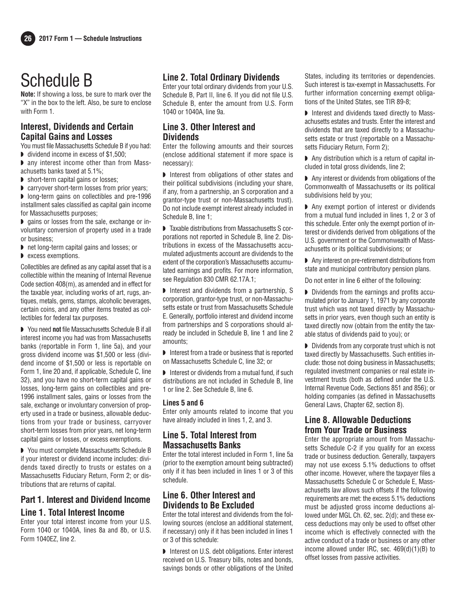# Schedule B

**Note:** If showing a loss, be sure to mark over the "X" in the box to the left. Also, be sure to enclose with Form 1.

### **Interest, Dividends and Certain Capital Gains and Losses**

You must file Massachusetts Schedule B if you had:

- ◗ dividend income in excess of \$1,500;
- ◗ any interest income other than from Massachusetts banks taxed at 5.1%;
- ◗ short-term capital gains or losses;
- ◗ carryover short-term losses from prior years;

◗ long-term gains on collectibles and pre-1996 installment sales classified as capital gain income for Massachusetts purposes;

◗ gains or losses from the sale, exchange or involuntary conversion of property used in a trade or business;

- ◗ net long-term capital gains and losses; or
- ◗ excess exemptions.

Collectibles are defined as any capital asset that is a collectible within the meaning of Internal Revenue Code section 408(m), as amended and in effect for the taxable year, including works of art, rugs, antiques, metals, gems, stamps, alcoholic beverages, certain coins, and any other items treated as collectibles for federal tax purposes.

◗ You need **not** file Massachusetts Schedule B if all interest income you had was from Massachusetts banks (reportable in Form 1, line 5a), and your gross dividend income was \$1,500 or less (dividend income of \$1,500 or less is reportable on Form 1, line 20 and, if applicable, Schedule C, line 32), and you have no short-term capital gains or losses, long-term gains on collectibles and pre-1996 installment sales, gains or losses from the sale, exchange or involuntary conversion of property used in a trade or business, allowable deductions from your trade or business, carryover short-term losses from prior years, net long-term capital gains or losses, or excess exemptions.

◗ You must complete Massachusetts Schedule B if your interest or dividend income includes: dividends taxed directly to trusts or estates on a Massachusetts Fiduciary Return, Form 2; or distributions that are returns of capital.

## **Part 1. Interest and Dividend Income Line 1. Total Interest Income**

Enter your total interest income from your U.S. Form 1040 or 1040A, lines 8a and 8b, or U.S. Form 1040EZ, line 2.

## **Line 2. Total Ordinary Dividends**

Enter your total ordinary dividends from your U.S. Schedule B, Part II, line 6. If you did not file U.S. Schedule B, enter the amount from U.S. Form 1040 or 1040A, line 9a.

## **Line 3. Other Interest and Dividends**

Enter the following amounts and their sources (enclose additional statement if more space is necessary):

◗ Interest from obligations of other states and their political subdivisions (including your share, if any, from a partnership, an S corporation and a grantor-type trust or non-Massachusetts trust). Do not include exempt interest already included in Schedule B, line 1;

■ Taxable distributions from Massachusetts S corporations not reported in Schedule B, line 2. Distributions in excess of the Massachusetts accumulated adjustments account are dividends to the extent of the corporation's Massachusetts accumulated earnings and profits. For more information, see Regulation 830 CMR 62.17A.1;

◗ Interest and dividends from a partnership, S corporation, grantor-type trust, or non-Massachusetts estate or trust from Massachusetts Schedule E. Generally, portfolio interest and dividend income from partnerships and S corporations should already be included in Schedule B, line 1 and line 2 amounts;

◗ Interest from a trade or business that is reported on Massachusetts Schedule C, line 32; or

◗ Interest or dividends from a mutual fund, if such distributions are not included in Schedule B, line 1 or line 2. See Schedule B, line 6.

#### **Lines 5 and 6**

Enter only amounts related to income that you have already included in lines 1, 2, and 3.

#### **Line 5. Total Interest from Massachusetts Banks**

Enter the total interest included in Form 1, line 5a (prior to the exemption amount being subtracted) only if it has been included in lines 1 or 3 of this schedule.

## **Line 6. Other Interest and Dividends to Be Excluded**

Enter the total interest and dividends from the following sources (enclose an additional statement, if necessary) only if it has been included in lines 1 or 3 of this schedule:

◗ Interest on U.S. debt obligations. Enter interest received on U.S. Treasury bills, notes and bonds, savings bonds or other obligations of the United

States, including its territories or dependencies. Such interest is tax-exempt in Massachusetts. For further information concerning exempt obligations of the United States, see TIR 89-8;

◗ Interest and dividends taxed directly to Massachusetts estates and trusts. Enter the interest and dividends that are taxed directly to a Massachusetts estate or trust (reportable on a Massachusetts Fiduciary Return, Form 2);

■ Any distribution which is a return of capital included in total gross dividends, line 2;

◗ Any interest or dividends from obligations of the Commonwealth of Massachusetts or its political subdivisions held by you;

◗ Any exempt portion of interest or dividends from a mutual fund included in lines 1, 2 or 3 of this schedule. Enter only the exempt portion of interest or dividends derived from obligations of the U.S. government or the Commonwealth of Massachusetts or its political subdivisions; or

◗ Any interest on pre-retirement distributions from state and municipal contributory pension plans.

Do not enter in line 6 either of the following:

◗ Dividends from the earnings and profits accumulated prior to January 1, 1971 by any corporate trust which was not taxed directly by Massachusetts in prior years, even though such an entity is taxed directly now (obtain from the entity the taxable status of dividends paid to you); or

◗ Dividends from any corporate trust which is not taxed directly by Massachusetts. Such entities include: those not doing business in Massachusetts; regulated investment companies or real estate investment trusts (both as defined under the U.S. Internal Revenue Code, Sections 851 and 856); or holding companies (as defined in Massachusetts General Laws, Chapter 62, section 8).

## **Line 8. Allowable Deductions from Your Trade or Business**

Enter the appropriate amount from Massachusetts Schedule C-2 if you qualify for an excess trade or business deduction. Generally, taxpayers may not use excess 5.1% deductions to offset other income. However, where the taxpayer files a Massachusetts Schedule C or Schedule E, Massachusetts law allows such offsets if the following requirements are met: the excess 5.1% deductions must be adjusted gross income deductions allowed under MGL Ch. 62, sec. 2(d); and these excess deductions may only be used to offset other income which is effectively connected with the active conduct of a trade or business or any other income allowed under IRC, sec. 469(d)(1)(B) to offset losses from passive activities.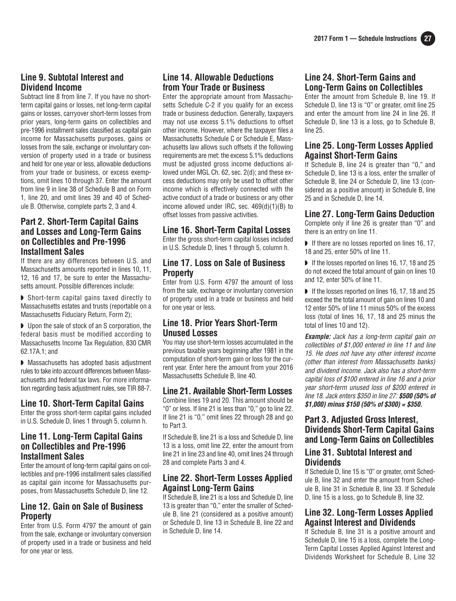## **Line 9. Subtotal Interest and Dividend Income**

Subtract line 8 from line 7. If you have no shortterm capital gains or losses, net long-term capital gains or losses, carryover short-term losses from prior years, long-term gains on collectibles and pre-1996 installment sales classified as capital gain income for Massachusetts purposes, gains or losses from the sale, exchange or involuntary conversion of property used in a trade or business and held for one year or less, allowable deductions from your trade or business, or excess exemptions, omit lines 10 through 37. Enter the amount from line 9 in line 38 of Schedule B and on Form 1, line 20, and omit lines 39 and 40 of Schedule B. Otherwise, complete parts 2, 3 and 4.

#### **Part 2. Short-Term Capital Gains and Losses and Long-Term Gains on Collectibles and Pre-1996 Installment Sales**

If there are any differences between U.S. and Massachusetts amounts reported in lines 10, 11, 12, 16 and 17, be sure to enter the Massachusetts amount. Possible differences include:

◗ Short-term capital gains taxed directly to Massachusetts estates and trusts (reportable on a Massachusetts Fiduciary Return, Form 2);

◗ Upon the sale of stock of an S corporation, the federal basis must be modified according to Massachusetts Income Tax Regulation, 830 CMR 62.17A.1; and

◗ Massachusetts has adopted basis adjustment rules to take into account differences between Massachusetts and federal tax laws. For more information regarding basis adjustment rules, see TIR 88-7.

## **Line 10. Short-Term Capital Gains**

Enter the gross short-term capital gains included in U.S. Schedule D, lines 1 through 5, column h.

#### **Line 11. Long-Term Capital Gains on Collectibles and Pre-1996 Installment Sales**

Enter the amount of long-term capital gains on collectibles and pre-1996 installment sales classified as capital gain income for Massachusetts purposes, from Massachusetts Schedule D, line 12.

### **Line 12. Gain on Sale of Business Property**

Enter from U.S. Form 4797 the amount of gain from the sale, exchange or involuntary conversion of property used in a trade or business and held for one year or less.

## **Line 14. Allowable Deductions from Your Trade or Business**

Enter the appropriate amount from Massachusetts Schedule C-2 if you qualify for an excess trade or business deduction. Generally, taxpayers may not use excess 5.1% deductions to offset other income. However, where the taxpayer files a Massachusetts Schedule C or Schedule E, Massachusetts law allows such offsets if the following requirements are met: the excess 5.1% deductions must be adjusted gross income deductions allowed under MGL Ch. 62, sec. 2(d); and these excess deductions may only be used to offset other income which is effectively connected with the active conduct of a trade or business or any other income allowed under IRC, sec. 469(d)(1)(B) to offset losses from passive activities.

## **Line 16. Short-Term Capital Losses**

Enter the gross short-term capital losses included in U.S. Schedule D, lines 1 through 5, column h.

#### **Line 17. Loss on Sale of Business Property**

Enter from U.S. Form 4797 the amount of loss from the sale, exchange or involuntary conversion of property used in a trade or business and held for one year or less.

### **Line 18. Prior Years Short-Term Unused Losses**

You may use short-term losses accumulated in the previous taxable years beginning after 1981 in the computation of short-term gain or loss for the current year. Enter here the amount from your 2016 Massachusetts Schedule B, line 40.

#### **Line 21. Available Short-Term Losses**

Combine lines 19 and 20. This amount should be "0" or less. If line 21 is less than "0," go to line 22. If line 21 is "0," omit lines 22 through 28 and go to Part 3.

If Schedule B, line 21 is a loss and Schedule D, line 13 is a loss, omit line 22, enter the amount from line 21 in line 23 and line 40, omit lines 24 through 28 and complete Parts 3 and 4.

### **Line 22. Short-Term Losses Applied Against Long-Term Gains**

If Schedule B, line 21 is a loss and Schedule D, line 13 is greater than "0," enter the smaller of Schedule B, line 21 (considered as a positive amount) or Schedule D, line 13 in Schedule B, line 22 and in Schedule D, line 14.

## **Line 24. Short-Term Gains and Long-Term Gains on Collectibles**

Enter the amount from Schedule B, line 19. If Schedule D, line 13 is "0" or greater, omit line 25 and enter the amount from line 24 in line 26. If Schedule D, line 13 is a loss, go to Schedule B, line 25.

#### **Line 25. Long-Term Losses Applied Against Short-Term Gains**

If Schedule B, line 24 is greater than "0," and Schedule D, line 13 is a loss, enter the smaller of Schedule B, line 24 or Schedule D, line 13 (considered as a positive amount) in Schedule B, line 25 and in Schedule D, line 14.

#### **Line 27. Long-Term Gains Deduction**

Complete only if line 26 is greater than "0" and there is an entry on line 11.

◗ If there are no losses reported on lines 16, 17, 18 and 25, enter 50% of line 11.

■ If the losses reported on lines 16, 17, 18 and 25 do not exceed the total amount of gain on lines 10 and 12, enter 50% of line 11.

■ If the losses reported on lines 16, 17, 18 and 25 exceed the the total amount of gain on lines 10 and 12 enter 50% of line 11 minus 50% of the excess loss (total of lines 16, 17, 18 and 25 minus the total of lines 10 and 12).

**Example:** Jack has a long-term capital gain on collectibles of \$1,000 entered in line 11 and line 15. He does not have any other interest income (other than interest from Massachusetts banks) and dividend income. Jack also has a short-term capital loss of \$100 entered in line 16 and a prior year short-term unused loss of \$200 entered in line 18. Jack enters \$350 in line 27: **\$500 (50% of \$1,000) minus \$150 (50% of \$300) = \$350.**

#### **Part 3. Adjusted Gross Interest, Dividends Short-Term Capital Gains and Long-Term Gains on Collectibles**

#### **Line 31. Subtotal Interest and Dividends**

If Schedule D, line 15 is "0" or greater, omit Schedule B, line 32 and enter the amount from Schedule B, line 31 in Schedule B, line 33. If Schedule D, line 15 is a loss, go to Schedule B, line 32.

### **Line 32. Long-Term Losses Applied Against Interest and Dividends**

If Schedule B, line 31 is a positive amount and Schedule D, line 15 is a loss, complete the Long-Term Capital Losses Applied Against Interest and Dividends Worksheet for Schedule B, Line 32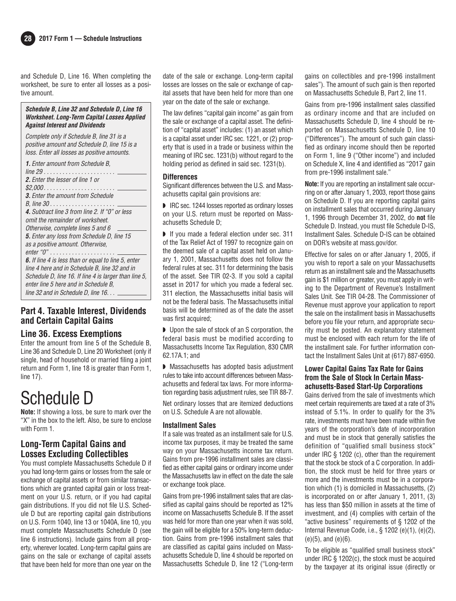and Schedule D, Line 16. When completing the worksheet, be sure to enter all losses as a positive amount.

#### **Schedule B, Line 32 and Schedule D, Line 16 Worksheet. Long-Term Capital Losses Applied Against Interest and Dividends**

Complete only if Schedule B, line 31 is a positive amount and Schedule D, line 15 is a loss. Enter all losses as positive amounts.

| <b>1.</b> Enter amount from Schedule B.<br><i>line 29</i>  |
|------------------------------------------------------------|
| <b>2.</b> Enter the lesser of line 1 or                    |
|                                                            |
| <b>3.</b> Enter the amount from Schedule                   |
|                                                            |
| <b>4.</b> Subtract line 3 from line 2. If "0" or less      |
| omit the remainder of worksheet.                           |
| Otherwise, complete lines 5 and 6                          |
| <b>5.</b> Enter any loss from Schedule D, line 15          |
| as a positive amount. Otherwise,                           |
|                                                            |
| <b>6.</b> If line 4 is less than or equal to line 5, enter |
| line 4 here and in Schedule B. line 32 and in              |
| Schedule D, line 16. If line 4 is larger than line 5.      |
| enter line 5 here and in Schedule B.                       |
| line 32 and in Schedule D. line $16. \ldots$               |
|                                                            |

#### **Part 4. Taxable Interest, Dividends and Certain Capital Gains**

#### **Line 36. Excess Exemptions**

Enter the amount from line 5 of the Schedule B, Line 36 and Schedule D, Line 20 Worksheet (only if single, head of household or married filing a joint return and Form 1, line 18 is greater than Form 1, line 17).

## Schedule D

**Note:** If showing a loss, be sure to mark over the "X" in the box to the left. Also, be sure to enclose with Form 1.

## **Long-Term Capital Gains and Losses Excluding Collectibles**

You must complete Massachusetts Schedule D if you had long-term gains or losses from the sale or exchange of capital assets or from similar transactions which are granted capital gain or loss treatment on your U.S. return, or if you had capital gain distributions. If you did not file U.S. Schedule D but are reporting capital gain distributions on U.S. Form 1040, line 13 or 1040A, line 10, you must complete Massachusetts Schedule D (see line 6 instructions). Include gains from all property, wherever located. Long-term capital gains are gains on the sale or exchange of capital assets that have been held for more than one year on the date of the sale or exchange. Long-term capital losses are losses on the sale or exchange of capital assets that have been held for more than one year on the date of the sale or exchange.

The law defines "capital gain income" as gain from the sale or exchange of a capital asset. The definition of "capital asset" includes: (1) an asset which is a capital asset under IRC sec. 1221, or (2) property that is used in a trade or business within the meaning of IRC sec. 1231(b) without regard to the holding period as defined in said sec. 1231(b).

#### **Differences**

Significant differences between the U.S. and Massachusetts capital gain provisions are:

◗ IRC sec. 1244 losses reported as ordinary losses on your U.S. return must be reported on Massachusetts Schedule D;

◗ If you made a federal election under sec. 311 of the Tax Relief Act of 1997 to recognize gain on the deemed sale of a capital asset held on January 1, 2001, Massachusetts does not follow the federal rules at sec. 311 for determining the basis of the asset. See TIR 02-3. If you sold a capital asset in 2017 for which you made a federal sec. 311 election, the Massachusetts initial basis will not be the federal basis. The Massachusetts initial basis will be determined as of the date the asset was first acquired;

◗ Upon the sale of stock of an S corporation, the federal basis must be modified according to Massachusetts Income Tax Regulation, 830 CMR 62.17A.1; and

◗ Massachusetts has adopted basis adjustment rules to take into account differences between Massachusetts and federal tax laws. For more information regarding basis adjustment rules, see TIR 88-7.

Net ordinary losses that are itemized deductions on U.S. Schedule A are not allowable.

#### **Installment Sales**

If a sale was treated as an installment sale for U.S. income tax purposes, it may be treated the same way on your Massachusetts income tax return. Gains from pre-1996 installment sales are classified as either capital gains or ordinary income under the Massachusetts law in effect on the date the sale or exchange took place.

Gains from pre-1996 installment sales that are clas sified as capital gains should be reported as 12% income on Massachusetts Schedule B. If the asset was held for more than one year when it was sold, the gain will be eligible for a 50% long-term deduction. Gains from pre-1996 installment sales that are classified as capital gains included on Massachusetts Schedule D, line 4 should be reported on Massachusetts Schedule D, line 12 ("Long-term

gains on collectibles and pre-1996 installment sales"). The amount of such gain is then reported on Massachusetts Schedule B, Part 2, line 11.

Gains from pre-1996 installment sales classified as ordinary income and that are included on Massachusetts Schedule D, line 4 should be reported on Massachusetts Schedule D, line 10 ("Differences"). The amount of such gain classified as ordinary income should then be reported on Form 1, line 9 ("Other income") and included on Schedule X, line 4 and identified as "2017 gain from pre-1996 installment sale."

**Note:** If you are reporting an installment sale occurring on or after January 1, 2003, report those gains on Schedule D. If you are reporting capital gains on installment sales that occurred during January 1, 1996 through December 31, 2002, do **not** file Schedule D. Instead, you must file Schedule D-IS, Installment Sales. Schedule D-IS can be obtained on DOR's website at mass.gov/dor.

Effective for sales on or after January 1, 2005, if you wish to report a sale on your Massachusetts return as an installment sale and the Massachusetts gain is \$1 million or greater, you must apply in writing to the Department of Revenue's Installment Sales Unit. See TIR 04-28. The Commissioner of Revenue must approve your application to report the sale on the installment basis in Massachusetts before you file your return, and appropriate security must be posted. An explanatory statement must be enclosed with each return for the life of the installment sale. For further information contact the Installment Sales Unit at (617) 887-6950.

#### **Lower Capital Gains Tax Rate for Gains from the Sale of Stock In Certain Mass achusetts-Based Start-Up Corporations**

Gains derived from the sale of investments which meet certain requirements are taxed at a rate of 3% instead of 5.1%. In order to qualify for the 3% rate, investments must have been made within five years of the corporation's date of incorporation and must be in stock that generally satisfies the definition of "qualified small business stock" under IRC § 1202 (c), other than the requirement that the stock be stock of a C corporation. In addition, the stock must be held for three years or more and the investments must be in a corporation which (1) is domiciled in Massachusetts, (2) is incorporated on or after January 1, 2011, (3) has less than \$50 million in assets at the time of investment, and (4) complies with certain of the "active business" requirements of § 1202 of the Internal Revenue Code, i.e., § 1202 (e)(1), (e)(2), (e)(5), and (e)(6).

To be eligible as "qualified small business stock" under IRC § 1202(c), the stock must be acquired by the taxpayer at its original issue (directly or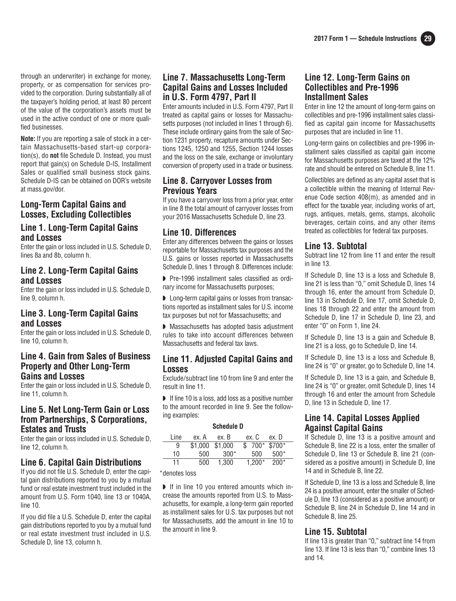through an underwriter) in exchange for money, property, or as compensation for services provided to the corporation. During substantially all of the taxpayer's holding period, at least 80 percent of the value of the corporation's assets must be used in the active conduct of one or more qualified businesses.

**Note:** If you are reporting a sale of stock in a certain Massachusetts-based start-up corporation(s), do **not** file Schedule D. Instead, you must report that gain(s) on Schedule D-IS, Installment Sales or qualified small business stock gains. Schedule D-IS can be obtained on DOR's website at mass.gov/dor.

#### **Long-Term Capital Gains and Losses, Excluding Collectibles**

#### **Line 1. Long-Term Capital Gains and Losses**

Enter the gain or loss included in U.S. Schedule D, lines 8a and 8b, column h.

#### **Line 2. Long-Term Capital Gains and Losses**

Enter the gain or loss included in U.S. Schedule D, line 9, column h.

#### **Line 3. Long-Term Capital Gains and Losses**

Enter the gain or loss included in U.S. Schedule D, line 10, column h.

#### **Line 4. Gain from Sales of Business Property and Other Long-Term Gains and Losses**

Enter the gain or loss included in U.S. Schedule D, line 11, column h.

#### **Line 5. Net Long-Term Gain or Loss from Partnerships, S Corporations, Estates and Trusts**

Enter the gain or loss included in U.S. Schedule D, line 12, column h.

#### **Line 6. Capital Gain Distributions**

If you did not file U.S. Schedule D, enter the capital gain distributions reported to you by a mutual fund or real estate investment trust included in the amount from U.S. Form 1040, line 13 or 1040A, line 10.

If you did file a U.S. Schedule D, enter the capital gain distributions reported to you by a mutual fund or real estate investment trust included in U.S. Schedule D, line 13, column h.

## **Line 7. Massachusetts Long-Term Capital Gains and Losses Included in U.S. Form 4797, Part II**

Enter amounts included in U.S. Form 4797, Part II treated as capital gains or losses for Massachusetts purposes (not included in lines 1 through 6). These include ordinary gains from the sale of Section 1231 property, recapture amounts under Sections 1245, 1250 and 1255, Section 1244 losses and the loss on the sale, exchange or involuntary conversion of property used in a trade or business.

#### **Line 8. Carryover Losses from Previous Years**

If you have a carryover loss from a prior year, enter in line 8 the total amount of carryover losses from your 2016 Massachusetts Schedule D, line 23.

## **Line 10. Differences**

Enter any differences between the gains or losses reportable for Massachusetts tax purposes and the U.S. gains or losses reported in Massachusetts Schedule D, lines 1 through 8. Differences include:

■ Pre-1996 installment sales classified as ordinary income for Massachusetts purposes;

◗ Long-term capital gains or losses from transactions reported as installment sales for U.S. income tax purposes but not for Massachusetts; and

◗ Massachusetts has adopted basis adjustment rules to take into account differences between Massachusetts and federal tax laws.

#### **Line 11. Adjusted Capital Gains and Losses**

Exclude/subtract line 10 from line 9 and enter the result in line 11.

◗ If line 10 is a loss, add loss as a positive number to the amount recorded in line 9. See the following examples:

#### **Schedule D**

| Line | ex. A   | ex. B   | ex. C    | ex. D        |
|------|---------|---------|----------|--------------|
| 9    | \$1,000 | \$1.000 |          | $$700*$700*$ |
| 10   | 500     | $300*$  | 500      | $500*$       |
| 11   | 500     | 1.300   | $1.200*$ | $200*$       |
|      |         |         |          |              |

\*denotes loss

◗ If in line 10 you entered amounts which increase the amounts reported from U.S. to Massachusetts, for example, a long-term gain reported as installment sales for U.S. tax purposes but not for Massachusetts, add the amount in line 10 to the amount in line 9.

## **Line 12. Long-Term Gains on Collectibles and Pre-1996 Installment Sales**

Enter in line 12 the amount of long-term gains on collectibles and pre-1996 installment sales classified as capital gain income for Massachusetts purposes that are included in line 11.

Long-term gains on collectibles and pre-1996 installment sales classified as capital gain income for Massachusetts purposes are taxed at the 12% rate and should be entered on Schedule B, line 11.

Collectibles are defined as any capital asset that is a collectible within the meaning of Internal Revenue Code section 408(m), as amended and in effect for the taxable year, including works of art, rugs, antiques, metals, gems, stamps, alcoholic beverages, certain coins, and any other items treated as collectibles for federal tax purposes.

## **Line 13. Subtotal**

Subtract line 12 from line 11 and enter the result in line 13.

If Schedule D, line 13 is a loss and Schedule B, line 21 is less than "0," omit Schedule D, lines 14 through 16, enter the amount from Schedule D, line 13 in Schedule D, line 17, omit Schedule D, lines 18 through 22 and enter the amount from Schedule D, line 17 in Schedule D, line 23, and enter "0" on Form 1, line 24.

If Schedule D, line 13 is a gain and Schedule B, line 21 is a loss, go to Schedule D, line 14.

If Schedule D, line 13 is a loss and Schedule B, line 24 is "0" or greater, go to Schedule D, line 14.

If Schedule D, line 13 is a gain, and Schedule B, line 24 is "0" or greater, omit Schedule D, lines 14 through 16 and enter the amount from Schedule D, line 13 in Schedule D, line 17.

## **Line 14. Capital Losses Applied Against Capital Gains**

If Schedule D, line 13 is a positive amount and Schedule B, line 22 is a loss, enter the smaller of Schedule D, line 13 or Schedule B, line 21 (considered as a positive amount) in Schedule D, line 14 and in Schedule B, line 22.

If Schedule D, line 13 is a loss and Schedule B, line 24 is a positive amount, enter the smaller of Schedule D, line 13 (considered as a positive amount) or Schedule B, line 24 in Schedule D, line 14 and in Schedule B, line 25.

## **Line 15. Subtotal**

If line 13 is greater than "0," subtract line 14 from line 13. If line 13 is less than "0," combine lines 13 and 14.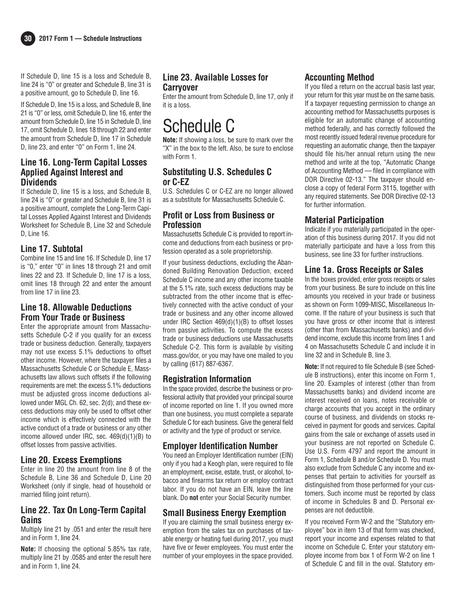



If Schedule D, line 15 is a loss and Schedule B, line 24 is "0" or greater and Schedule B, line 31 is a positive amount, go to Schedule D, line 16.

If Schedule D, line 15 is a loss, and Schedule B, line 21 is "0" or less, omit Schedule D, line 16, enter the amount from Schedule D, line 15 in Schedule D, line 17, omit Schedule D, lines 18 through 22 and enter the amount from Schedule D, line 17 in Schedule D, line 23, and enter "0" on Form 1, line 24.

## **Line 16. Long-Term Capital Losses Applied Against Interest and Dividends**

If Schedule D, line 15 is a loss, and Schedule B, line 24 is "0" or greater and Schedule B, line 31 is a positive amount, complete the Long-Term Capital Losses Applied Against Interest and Dividends Worksheet for Schedule B, Line 32 and Schedule D, Line 16.

#### **Line 17. Subtotal**

Combine line 15 and line 16. If Schedule D, line 17 is "0," enter "0" in lines 18 through 21 and omit lines 22 and 23. If Schedule D, line 17 is a loss, omit lines 18 through 22 and enter the amount from line 17 in line 23.

### **Line 18. Allowable Deductions From Your Trade or Business**

Enter the appropriate amount from Massachusetts Schedule C-2 if you qualify for an excess trade or business deduction. Generally, taxpayers may not use excess 5.1% deductions to offset other income. However, where the taxpayer files a Massachusetts Schedule C or Schedule E, Massachusetts law allows such offsets if the following requirements are met: the excess 5.1% deductions must be adjusted gross income deductions allowed under MGL Ch. 62, sec. 2(d); and these excess deductions may only be used to offset other income which is effectively connected with the active conduct of a trade or business or any other income allowed under IRC, sec. 469(d)(1)(B) to offset losses from passive activities.

## **Line 20. Excess Exemptions**

Enter in line 20 the amount from line 8 of the Schedule B, Line 36 and Schedule D, Line 20 Worksheet (only if single, head of household or married filing joint return).

### **Line 22. Tax On Long-Term Capital Gains**

Multiply line 21 by .051 and enter the result here and in Form 1, line 24.

**Note:** If choosing the optional 5.85% tax rate, multiply line 21 by .0585 and enter the result here and in Form 1, line 24.

## **Line 23. Available Losses for Carryover**

Enter the amount from Schedule D, line 17, only if it is a loss.

## Schedule C

**Note:** If showing a loss, be sure to mark over the "X" in the box to the left. Also, be sure to enclose with Form 1.

## **Substituting U.S. Schedules C or C-EZ**

U.S. Schedules C or C-EZ are no longer allowed as a substitute for Massachusetts Schedule C.

## **Profit or Loss from Business or Profession**

Massachusetts Schedule C is provided to report income and deductions from each business or profession operated as a sole proprietorship.

If your business deductions, excluding the Abandoned Building Renovation Deduction, exceed Schedule C income and any other income taxable at the 5.1% rate, such excess deductions may be subtracted from the other income that is effectively connected with the active conduct of your trade or business and any other income allowed under IRC Section 469(d)(1)(B) to offset losses from passive activities. To compute the excess trade or business deductions use Massachusetts Schedule C-2. This form is available by visiting mass.gov/dor, or you may have one mailed to you by calling (617) 887-6367.

## **Registration Information**

In the space provided, describe the business or professional activity that provided your principal source of income reported on line 1. If you owned more than one business, you must complete a separate Schedule C for each business. Give the general field or activity and the type of product or service.

## **Employer Identification Number**

You need an Employer Identification number (EIN) only if you had a Keogh plan, were required to file an employment, excise, estate, trust, or alcohol, tobacco and firearms tax return or employ contract labor. If you do not have an EIN, leave the line blank. Do **not** enter your Social Security number.

## **Small Business Energy Exemption**

If you are claiming the small business energy exemption from the sales tax on purchases of taxable energy or heating fuel during 2017, you must have five or fewer employees. You must enter the number of your employees in the space provided.

## **Accounting Method**

If you filed a return on the accrual basis last year, your return for this year must be on the same basis. If a taxpayer requesting permission to change an accounting method for Massachusetts purposes is eligible for an automatic change of accounting method federally, and has correctly followed the most recently issued federal revenue procedure for requesting an automatic change, then the taxpayer should file his/her annual return using the new method and write at the top, "Automatic Change of Accounting Method — filed in compliance with DOR Directive 02-13." The taxpayer should enclose a copy of federal Form 3115, together with any required statements. See DOR Directive 02-13 for further information.

## **Material Participation**

Indicate if you materially participated in the operation of this business during 2017. If you did not materially participate and have a loss from this business, see line 33 for further instructions.

## **Line 1a. Gross Receipts or Sales**

In the boxes provided, enter gross receipts or sales from your business. Be sure to include on this line amounts you received in your trade or business as shown on Form 1099-MISC, Miscellaneous Income. If the nature of your business is such that you have gross or other income that is interest (other than from Massachusetts banks) and dividend income, exclude this income from lines 1 and 4 on Massachusetts Schedule C and include it in line 32 and in Schedule B, line 3.

**Note:** If not required to file Schedule B (see Schedule B instructions), enter this income on Form 1, line 20. Examples of interest (other than from Massachusetts banks) and dividend income are interest received on loans, notes receivable or charge accounts that you accept in the ordinary course of business, and dividends on stocks received in payment for goods and services. Capital gains from the sale or exchange of assets used in your business are not reported on Schedule C. Use U.S. Form 4797 and report the amount in Form 1, Schedule B and/or Schedule D. You must also exclude from Schedule C any income and expenses that pertain to activities for yourself as distinguished from those performed for your customers. Such income must be reported by class of income in Schedules B and D. Personal expenses are not deductible.

If you received Form W-2 and the "Statutory employee" box in item 13 of that form was checked, report your income and expenses related to that income on Schedule C. Enter your statutory employee income from box 1 of Form W-2 on line 1 of Schedule C and fill in the oval. Statutory em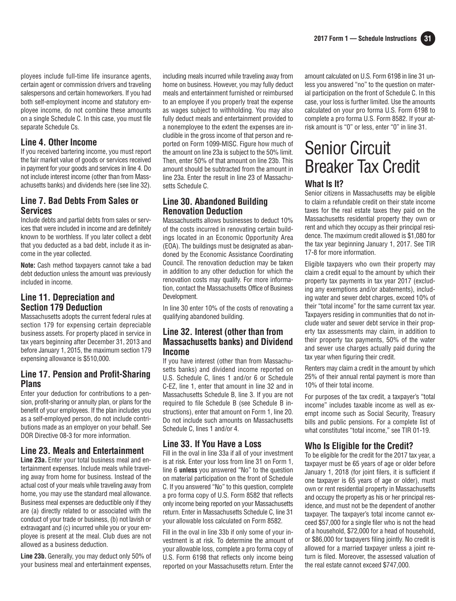ployees include full-time life insurance agents, certain agent or commission drivers and traveling salespersons and certain homeworkers. If you had both self-employment income and statutory employee income, do not combine these amounts on a single Schedule C. In this case, you must file separate Schedule Cs.

### **Line 4. Other Income**

If you received bartering income, you must report the fair market value of goods or services received in payment for your goods and services in line 4. Do not include interest income (other than from Massachusetts banks) and dividends here (see line 32).

## **Line 7. Bad Debts From Sales or Services**

Include debts and partial debts from sales or services that were included in income and are definitely known to be worthless. If you later collect a debt that you deducted as a bad debt, include it as income in the year collected.

**Note:** Cash method taxpayers cannot take a bad debt deduction unless the amount was previously included in income.

## **Line 11. Depreciation and Section 179 Deduction**

Massachusetts adopts the current federal rules at section 179 for expensing certain depreciable business assets. For property placed in service in tax years beginning after December 31, 2013 and before January 1, 2015, the maximum section 179 expensing allowance is \$510,000.

### **Line 17. Pension and Profit-Sharing Plans**

Enter your deduction for contributions to a pension, profit-sharing or annuity plan, or plans for the benefit of your employees. If the plan includes you as a self-employed person, do not include contributions made as an employer on your behalf. See DOR Directive 08-3 for more information.

#### **Line 23. Meals and Entertainment**

**Line 23a.** Enter your total business meal and entertainment expenses. Include meals while traveling away from home for business. Instead of the actual cost of your meals while traveling away from home, you may use the standard meal allowance. Business meal expenses are deductible only if they are (a) directly related to or associated with the conduct of your trade or business, (b) not lavish or extravagant and (c) incurred while you or your employee is present at the meal. Club dues are not allowed as a business deduction.

**Line 23b.**Generally, you may deduct only 50% of your business meal and entertainment expenses, including meals incurred while traveling away from home on business. However, you may fully deduct meals and entertainment furnished or reimbursed to an employee if you properly treat the expense as wages subject to withholding. You may also fully deduct meals and entertainment provided to a nonemployee to the extent the expenses are includible in the gross income of that person and reported on Form 1099-MISC. Figure how much of the amount on line 23a is subject to the 50% limit. Then, enter 50% of that amount on line 23b. This amount should be subtracted from the amount in line 23a. Enter the result in line 23 of Massachusetts Schedule C.

### **Line 30. Abandoned Building Renovation Deduction**

Massachusetts allows businesses to deduct 10% of the costs incurred in renovating certain buildings located in an Economic Opportunity Area (EOA). The buildings must be designated as abandoned by the Economic Assistance Coordinating Council. The renovation deduction may be taken in addition to any other deduction for which the renovation costs may qualify. For more information, contact the Massachusetts Office of Business Development.

In line 30 enter 10% of the costs of renovating a qualifying abandoned building.

#### **Line 32. Interest (other than from Massachusetts banks) and Dividend Income**

If you have interest (other than from Massachusetts banks) and dividend income reported on U.S. Schedule C, lines 1 and/or 6 or Schedule C-EZ, line 1, enter that amount in line 32 and in Massachusetts Schedule B, line 3. If you are not required to file Schedule B (see Schedule B instructions), enter that amount on Form 1, line 20. Do not include such amounts on Massachusetts Schedule C, lines 1 and/or 4.

#### **Line 33. If You Have a Loss**

Fill in the oval in line 33a if all of your investment is at risk. Enter your loss from line 31 on Form 1, line 6 **unless** you answered "No" to the question on material participation on the front of Schedule C. If you answered "No" to this question, complete a pro forma copy of U.S. Form 8582 that reflects only income being reported on your Massachusetts return. Enter in Massachusetts Schedule C, line 31 your allowable loss calculated on Form 8582.

Fill in the oval in line 33b if only some of your investment is at risk. To determine the amount of your allowable loss, complete a pro forma copy of U.S. Form 6198 that reflects only income being reported on your Massachusetts return. Enter the amount calculated on U.S. Form 6198 in line 31 unless you answered "no" to the question on material participation on the front of Schedule C. In this case, your loss is further limited. Use the amounts calculated on your pro forma U.S. Form 6198 to complete a pro forma U.S. Form 8582. If your atrisk amount is "0" or less, enter "0" in line 31.

## Senior Circuit Breaker Tax Credit

#### **What Is It?**

Senior citizens in Massachusetts may be eligible to claim a refundable credit on their state income taxes for the real estate taxes they paid on the Massachusetts residential property they own or rent and which they occupy as their principal residence. The maximum credit allowed is \$1,080 for the tax year beginning January 1, 2017. See TIR 17-8 for more information.

Eligible taxpayers who own their property may claim a credit equal to the amount by which their property tax payments in tax year 2017 (excluding any exemptions and/or abatements), including water and sewer debt charges, exceed 10% of their "total income" for the same current tax year. Taxpayers residing in communities that do not include water and sewer debt service in their property tax assessments may claim, in addition to their property tax payments, 50% of the water and sewer use charges actually paid during the tax year when figuring their credit.

Renters may claim a credit in the amount by which 25% of their annual rental payment is more than 10% of their total income.

For purposes of the tax credit, a taxpayer's "total income" includes taxable income as well as exempt income such as Social Security, Treasury bills and public pensions. For a complete list of what constitutes "total income," see TIR 01-19.

## **Who Is Eligible for the Credit?**

To be eligible for the credit for the 2017 tax year, a taxpayer must be 65 years of age or older before January 1, 2018 (for joint filers, it is sufficient if one taxpayer is 65 years of age or older), must own or rent residential property in Massachusetts and occupy the property as his or her principal residence, and must not be the dependent of another taxpayer. The taxpayer's total income cannot exceed \$57,000 for a single filer who is not the head of a household, \$72,000 for a head of household, or \$86,000 for taxpayers filing jointly. No credit is allowed for a married taxpayer unless a joint return is filed. Moreover, the assessed valuation of the real estate cannot exceed \$747,000.

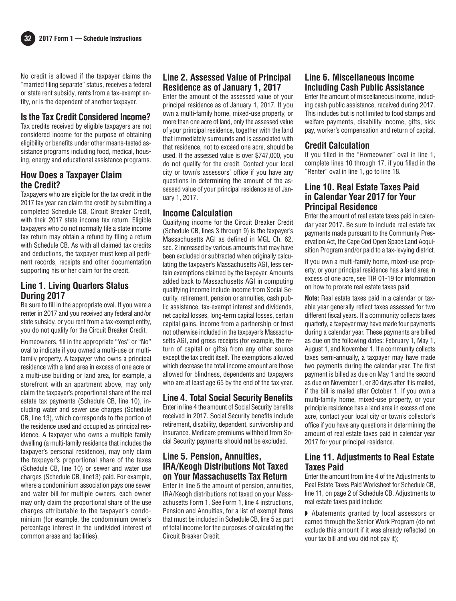

No credit is allowed if the taxpayer claims the "married filing separate" status, receives a federal or state rent subsidy, rents from a tax-exempt entity, or is the dependent of another taxpayer.

#### **Is the Tax Credit Considered Income?**

Tax credits received by eligible taxpayers are not considered income for the purpose of obtaining eligibility or benefits under other means-tested assistance programs including food, medical, housing, energy and educational assistance programs.

## **How Does a Taxpayer Claim the Credit?**

Taxpayers who are eligible for the tax credit in the 2017 tax year can claim the credit by submitting a completed Schedule CB, Circuit Breaker Credit, with their 2017 state income tax return. Eligible taxpayers who do not normally file a state income tax return may obtain a refund by filing a return with Schedule CB. As with all claimed tax credits and deductions, the taxpayer must keep all pertinent records, receipts and other documentation supporting his or her claim for the credit.

#### **Line 1. Living Quarters Status During 2017**

Be sure to fill in the appropriate oval. If you were a renter in 2017 and you received any federal and/or state subsidy, or you rent from a tax-exempt entity, you do not qualify for the Circuit Breaker Credit.

Homeowners, fill in the appropriate "Yes" or "No" oval to indicate if you owned a multi-use or multifamily property. A taxpayer who owns a principal residence with a land area in excess of one acre or a multi-use building or land area, for example, a storefront with an apartment above, may only claim the taxpayer's proportional share of the real estate tax payments (Schedule CB, line 10), including water and sewer use charges (Schedule CB, line 13), which corresponds to the portion of the residence used and occupied as principal residence. A taxpayer who owns a multiple family dwelling (a multi-family residence that includes the taxpayer's personal residence), may only claim the taxpayer's proportional share of the taxes (Schedule CB, line 10) or sewer and water use charges (Schedule CB, line13) paid. For example, where a condominium association pays one sewer and water bill for multiple owners, each owner may only claim the proportional share of the use charges attributable to the taxpayer's condominium (for example, the condominium owner's percentage interest in the undivided interest of common areas and facilities).

## **Line 2. Assessed Value of Principal Residence as of January 1, 2017**

Enter the amount of the assessed value of your principal residence as of January 1, 2017. If you own a multi-family home, mixed-use property, or more than one acre of land, only the assessed value of your principal residence, together with the land that immediately surrounds and is associated with that residence, not to exceed one acre, should be used. If the assessed value is over \$747,000, you do not qualify for the credit. Contact your local city or town's assessors' office if you have any questions in determining the amount of the assessed value of your principal residence as of January 1, 2017.

#### **Income Calculation**

Qualifying income for the Circuit Breaker Credit (Schedule CB, lines 3 through 9) is the taxpayer's Massachusetts AGI as defined in MGL Ch. 62, sec. 2 increased by various amounts that may have been excluded or subtracted when originally calculating the taxpayer's Massachusetts AGI, less certain exemptions claimed by the taxpayer. Amounts added back to Massachusetts AGI in computing qualifying income include income from Social Security, retirement, pension or annuities, cash public assistance, tax-exempt interest and dividends, net capital losses, long-term capital losses, certain capital gains, income from a partnership or trust not otherwise included in the taxpayer's Massachu setts AGI, and gross receipts (for example, the return of capital or gifts) from any other source except the tax credit itself. The exemptions allowed which decrease the total income amount are those allowed for blindness, dependents and taxpayers who are at least age 65 by the end of the tax year.

## **Line 4. Total Social Security Benefits**

Enter in line 4 the amount of Social Security benefits received in 2017. Social Security benefits include retirement, disability, dependent, survivorship and insurance. Medicare premiums withheld from Social Security payments should **not** be excluded.

### **Line 5. Pension, Annuities, IRA/Keogh Distributions Not Taxed on Your Massachusetts Tax Return**

Enter in line 5 the amount of pension, annuities, IRA/Keogh distributions not taxed on your Massachusetts Form 1. See Form 1, line 4 instructions, Pension and Annuities, for a list of exempt items that must be included in Schedule CB, line 5 as part of total income for the purposes of calculating the Circuit Breaker Credit.

## **Line 6. Miscellaneous Income Including Cash Public Assistance**

Enter the amount of miscellaneous income, including cash public assistance, received during 2017. This includes but is not limited to food stamps and welfare payments, disability income, gifts, sick pay, worker's compensation and return of capital.

#### **Credit Calculation**

If you filled in the "Homeowner" oval in line 1, complete lines 10 through 17, if you filled in the "Renter" oval in line 1, go to line 18.

#### **Line 10. Real Estate Taxes Paid in Calendar Year 2017 for Your Principal Residence**

Enter the amount of real estate taxes paid in calendar year 2017. Be sure to include real estate tax payments made pursuant to the Community Preservation Act, the Cape Cod Open Space Land Acquisition Program and/or paid to a tax-levying district.

If you own a multi-family home, mixed-use property, or your principal residence has a land area in excess of one acre, see TIR 01-19 for information on how to prorate real estate taxes paid.

**Note:** Real estate taxes paid in a calendar or taxable year generally reflect taxes assessed for two different fiscal years. If a community collects taxes quarterly, a taxpayer may have made four payments during a calendar year. These payments are billed as due on the following dates: February 1, May 1, August 1, and November 1. If a community collects taxes semi-annually, a taxpayer may have made two payments during the calendar year. The first payment is billed as due on May 1 and the second as due on November 1, or 30 days after it is mailed, if the bill is mailed after October 1. If you own a multi-family home, mixed-use property, or your principle residence has a land area in excess of one acre, contact your local city or town's collector's office if you have any questions in determining the amount of real estate taxes paid in calendar year 2017 for your principal residence.

## **Line 11. Adjustments to Real Estate Taxes Paid**

Enter the amount from line 4 of the Adjustments to Real Estate Taxes Paid Worksheet for Schedule CB, line 11, on page 2 of Schedule CB. Adjustments to real estate taxes paid include:

◗ Abatements granted by local assessors or earned through the Senior Work Program (do not exclude this amount if it was already reflected on your tax bill and you did not pay it);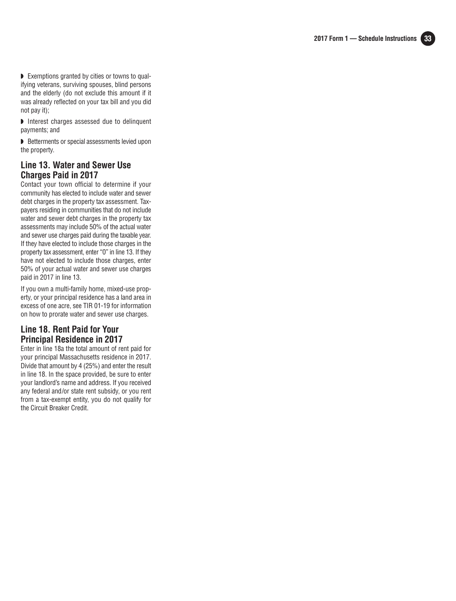

◗ Exemptions granted by cities or towns to qualifying veterans, surviving spouses, blind persons and the elderly (do not exclude this amount if it was already reflected on your tax bill and you did not pay it);

◗ Interest charges assessed due to delinquent payments; and

◗ Betterments or special assessments levied upon the property.

### **Line 13. Water and Sewer Use Charges Paid in 2017**

Contact your town official to determine if your community has elected to include water and sewer debt charges in the property tax assessment. Taxpayers residing in communities that do not include water and sewer debt charges in the property tax assessments may include 50% of the actual water and sewer use charges paid during the taxable year. If they have elected to include those charges in the property tax assessment, enter "0" in line 13. If they have not elected to include those charges, enter 50% of your actual water and sewer use charges paid in 2017 in line 13.

If you own a multi-family home, mixed-use property, or your principal residence has a land area in excess of one acre, see TIR 01-19 for information on how to prorate water and sewer use charges.

## **Line 18. Rent Paid for Your Principal Residence in 2017**

Enter in line 18a the total amount of rent paid for your principal Massachusetts residence in 2017. Divide that amount by 4 (25%) and enter the result in line 18. In the space provided, be sure to enter your landlord's name and address. If you received any federal and/or state rent subsidy, or you rent from a tax-exempt entity, you do not qualify for the Circuit Breaker Credit.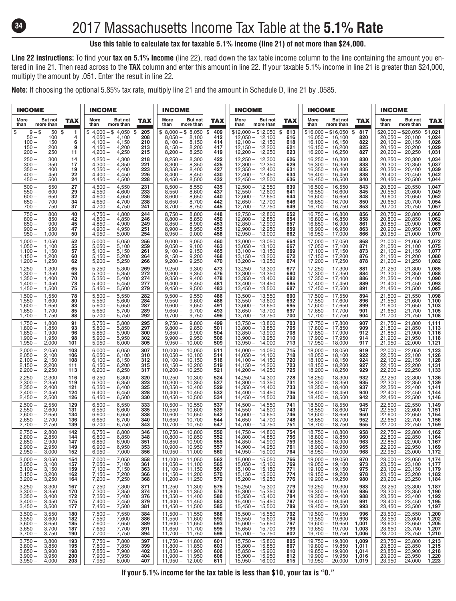

## 2017 Massachusetts Income Tax Table at the **5.1% Rate**

#### **Use this table to calculate tax for taxable 5.1% income (line 21) of not more than \$24,000.**

**Line 22 instructions:** To find your **tax on 5.1% Income** (line 22), read down the tax table income column to the line containing the amount you entered in line 21. Then read across to the **TAX** column and enter this amount in line 22. If your taxable 5.1% income in line 21 is greater than \$24,000, multiply the amount by .051. Enter the result in line 22.

**Note:** If choosing the optional 5.85% tax rate, multiply line 21 and the amount in Schedule D, line 21 by .0585.

| <b>INCOME</b>                                                                                    | <b>INCOME</b>                                                                       | <b>INCOME</b>                                                                                         | <b>INCOME</b>                                                                                     | <b>INCOME</b>                                                                    | <b>INCOME</b>                                                                                               |
|--------------------------------------------------------------------------------------------------|-------------------------------------------------------------------------------------|-------------------------------------------------------------------------------------------------------|---------------------------------------------------------------------------------------------------|----------------------------------------------------------------------------------|-------------------------------------------------------------------------------------------------------------|
| More<br>But not<br><b>TAX</b><br>more than<br>than                                               | But not<br>More<br><b>TAX</b><br>more than<br>than                                  | More<br>But not<br><b>TAX</b><br>more than<br>than                                                    | More<br>But not<br><b>TAX</b><br>more than<br>than                                                | But not<br>More<br><b>TAX</b><br>more than<br>than                               | More<br><b>But not</b><br><b>TAX</b><br>more than<br>than                                                   |
| $9 - $$<br>\$<br>50 \$<br>1<br>$50 -$<br>100<br>4                                                | $$4,000 - $4,050$ \$<br>205<br>$4.050 -$<br>208<br>4.100                            | $$8,000 - $8,050 $$409$<br>$8.050 -$<br>8.100<br>412                                                  | \$12,000 - \$12,050<br>613<br>S.<br>$12,050 - 12,100$<br>616                                      | $$16,000 - $16,050$ \$<br>817<br>$16,050 - 16,100$<br>820                        | $$20.000 - $20.050$<br>\$1,021<br>$20,050 - 20,100$<br>1,024                                                |
| $100 -$<br>150<br>6<br>$150 -$<br>200<br>9<br>$200 -$<br>250<br>11                               | $4,100 -$<br>210<br>4,150<br>$4,150-$<br>4,200<br>213<br>$4,200 -$<br>4,250<br>215  | $8,100 -$<br>8,150<br>414<br>$8,150-$<br>8,200<br>417<br>$8,200 -$<br>8.250<br>419                    | $12,100 - 12,150$<br>618<br>$12,150 - 12,200$<br>621<br>$12,200 - 12,250$<br>623                  | $16,100 - 16,150$<br>822<br>$16,150 - 16,200$<br>825<br>$16,200 - 16,250$<br>827 | $20,100 - 20,150$<br>1,026<br>1,029<br>$20,150 - 20,200$<br>$20,200 - 20,250$<br>1,031                      |
| $250 -$<br>300<br>14<br>$300 -$<br>350<br>17                                                     | $4.250 -$<br>4,300<br>218<br>$4,300 -$<br>4,350<br>221                              | $8.250 -$<br>8.300<br>422<br>$8,300 -$<br>8,350<br>425                                                | $12.250 - 12.300$<br>626<br>$12,300 - 12,350$<br>629                                              | $16,250 - 16,300$<br>830<br>$16,300 - 16,350$<br>833                             | $20,250 - 20,300$<br>1,034<br>1,037<br>$20,300 - 20,350$                                                    |
| $350 -$<br>400<br>19<br>$400 -$<br>450<br>22<br>$450 -$                                          | 223<br>$4,350-$<br>4.400<br>$4,400 -$<br>4,450<br>226                               | $8,350 -$<br>427<br>8,400<br>$8,400 -$<br>8,450<br>430                                                | $12,350 - 12,400$<br>631<br>$12,400 - 12,450$<br>634<br>$12.450 - 12.500$                         | $16,350 - 16,400$<br>835<br>$16,400 - 16,450$<br>838                             | $20,350 - 20,400$<br>1,039<br>$20,400 - 20,450$<br>1,042                                                    |
| 500<br>24<br>$500 -$<br>27<br>550<br>$550 -$<br>600<br>29                                        | $4,450-$<br>4,500<br>228<br>$4.500 -$<br>4.550<br>231<br>$4,550-$<br>4,600<br>233   | $8,450 -$<br>8,500<br>432<br>$8.500 -$<br>8.550<br>435<br>$8,550 -$<br>8,600<br>437                   | 636<br>$12,500 - 12,550$<br>639<br>$12,550 - 12,600$<br>641                                       | $16,450 - 16,500$<br>840<br>$16,500 - 16,550$<br>843<br>$16,550 - 16,600$<br>845 | $20,450 - 20,500$<br>1,044<br>$20.500 - 20.550$<br>1.047<br>$20,550 - 20,600$<br>1,049                      |
| $600 -$<br>650<br>32<br>$650 -$<br>700<br>34                                                     | $4,600 -$<br>4,650<br>236<br>238<br>$4.650 -$<br>4,700                              | $8,600 -$<br>8,650<br>440<br>$8,650-$<br>8,700<br>442                                                 | $12.600 - 12.650$<br>644<br>$12.650 - 12.700$<br>646                                              | $16.600 - 16.650$<br>848<br>$16,650 - 16,700$<br>850                             | $20,600 - 20,650$<br>1,052<br>$20.650 - 20.700$<br>1,054                                                    |
| 37<br>$700 -$<br>750<br>$750 -$<br>800<br>40                                                     | $4,700-$<br>4,750<br>241<br>$4,750-$<br>4,800<br>244                                | $8,700 -$<br>8,750<br>445<br>$8,750-$<br>8,800<br>448                                                 | 12,700 - 12,750<br>649<br>$12.750 - 12.800$<br>652                                                | $16,700 - 16,750$<br>853<br>$16.750 - 16.800$<br>856                             | $20,700 - 20,750$<br>1,057<br>$20,750 - 20,800$<br>1,060                                                    |
| $800 -$<br>850<br>42<br>$850 -$<br>900<br>45<br>$900 -$<br>950<br>47                             | $4.800 -$<br>4.850<br>246<br>$4,850-$<br>4,900<br>249<br>$4,900 -$<br>4,950<br>251  | $8.800 -$<br>8.850<br>450<br>$8,850 -$<br>8,900<br>453<br>$8,900 -$<br>8,950<br>455                   | $12.800 - 12.850$<br>654<br>$12,850 - 12,900$<br>657<br>$12,900 - 12,950$<br>659                  | $16.800 - 16.850$<br>858<br>$16,850 - 16,900$<br>861<br>$16,900 - 16,950$<br>863 | $20.800 - 20.850$<br>1,062<br>$20,850 - 20,900$<br>1,065<br>$20,900 - 20,950$<br>1,067                      |
| $950 -$<br>1,000<br>50<br>$1,000 -$<br>52<br>1,050                                               | $4,950-$<br>254<br>5,000<br>256<br>$5.000 -$<br>5,050                               | $8,950 -$<br>9,000<br>458<br>$9.000 -$<br>9,050<br>460                                                | $12,950 - 13,000$<br>662<br>664<br>$13,000 - 13,050$                                              | $16,950 - 17,000$<br>866<br>$17,000 - 17,050$<br>868                             | $20,950 - 21,000$<br>1,070<br>$21,000 - 21,050$<br>1,072                                                    |
| $1,050 -$<br>1,100<br>55<br>57<br>$1.100 -$<br>1.150<br>$1,150-$<br>1,200<br>60                  | $5,050 -$<br>5,100<br>259<br>$5.100 -$<br>5.150<br>261<br>$5,150-$<br>5,200<br>264  | $9,050 -$<br>9,100<br>463<br>$9.100 -$<br>9.150<br>465<br>$9,150-$<br>9,200<br>468                    | $13,050 - 13,100$<br>667<br>$13.100 - 13.150$<br>669<br>$13,150 - 13,200$<br>672                  | $17,050 - 17,100$<br>871<br>$17.100 - 17.150$<br>873<br>$17,150 - 17,200$<br>876 | $21,050 - 21,100$<br>1,075<br>$21.100 - 21.150$<br>1.077<br>$21.150 - 21.200$<br>1,080                      |
| $1,200 -$<br>1,250<br>62<br>$1,250 -$<br>1,300<br>65                                             | 5,250<br>$5,200 -$<br>266<br>$5.250 -$<br>5,300<br>269                              | $9,200 -$<br>9,250<br>470<br>$9.250 -$<br>9.300<br>473                                                | $13,200 - 13,250$<br>674<br>$13,250 - 13,300$<br>677                                              | $17,200 - 17,250$<br>878<br>$17,250 - 17,300$<br>881                             | $21,200 - 21,250$<br>1,082<br>$21,250 - 21,300$<br>1,085                                                    |
| $1,300 -$<br>1,350<br>68<br>$1,350 -$<br>1,400<br>70                                             | $5,300 -$<br>5,350<br>272<br>$5,350 -$<br>5,400<br>274                              | $9,300 -$<br>9,350<br>476<br>$9,350 -$<br>9,400<br>478                                                | $13,300 - 13,350$<br>680<br>$13,350 - 13,400$<br>682                                              | $17,300 - 17,350$<br>884<br>$17.350 - 17.400$<br>886                             | $21,300 - 21,350$<br>1,088<br>$21,350 - 21,400$<br>1,090                                                    |
| 73<br>$1.400 -$<br>1.450<br>$1,450-$<br>1,500<br>75                                              | $5.400 -$<br>5.450<br>277<br>$5,450-$<br>5,500<br>279                               | $9,400 -$<br>9.450<br>481<br>$9,450-$<br>9,500<br>483                                                 | $13.400 - 13.450$<br>685<br>$13,450 - 13,500$<br>687                                              | $17,400 - 17,450$<br>889<br>$17,450 - 17,500$<br>891                             | $21.400 - 21.450$<br>1,093<br>$21,450 - 21,500$<br>1,095                                                    |
| $1,500 -$<br>1,550<br>78<br>$1,550-$<br>1,600<br>80<br>$1,600 -$<br>1,650<br>83                  | 5,550<br>$5,500 -$<br>282<br>$5.550 -$<br>5,600<br>284<br>$5,600 -$<br>5,650<br>287 | $9,500 -$<br>9,550<br>486<br>$9.550 -$<br>9.600<br>488<br>$9,600 -$<br>9,650<br>491                   | $13,500 - 13,550$<br>690<br>$13,550 - 13,600$<br>692<br>$13,600 - 13,650$<br>695                  | $17,500 - 17,550$<br>894<br>$17,550 - 17,600$<br>896<br>$17,600 - 17,650$<br>899 | $21,500 - 21,550$<br>1,098<br>$21,550 - 21,600$<br>1,100<br>$21,600 - 21,650$<br>1,103                      |
| $1,650-$<br>1,700<br>85<br>88<br>$1,700 -$<br>1.750                                              | $5,650-$<br>5,700<br>289<br>$5,700 -$<br>292<br>5,750                               | $9,650 -$<br>9,700<br>493<br>9.750<br>$9,700 -$<br>496                                                | $13,650 - 13,700$<br>697<br>$13,700 - 13,750$<br>700                                              | $17,650 - 17,700$<br>901<br>$17,700 - 17,750$<br>904                             | $21,650 - 21,700$<br>1,105<br>$21,700 - 21,750$<br>1,108                                                    |
| $1.750 -$<br>1,800<br>91<br>$1,800 -$<br>1,850<br>93<br>$1.850 -$<br>1,900<br>96                 | $5.750 -$<br>5,800<br>295<br>$5,800 -$<br>5,850<br>297<br>$5.850 -$<br>5,900<br>300 | $9.750 -$<br>9.800<br>499<br>$9,800 -$<br>9,850<br>501<br>$9.850 -$<br>9,900<br>504                   | 703<br>$13,750 - 13,800$<br>$13,800 - 13,850$<br>705<br>$13,850 - 13,900$<br>708                  | $17.750 - 17.800$<br>907<br>$17,800 - 17,850$<br>909<br>$17,850 - 17,900$<br>912 | $21,750 - 21,800$<br>1,111<br>$21,800 - 21,850$<br>1,113<br>$21,850 - 21,900$<br>1,116                      |
| $1,900 -$<br>1,950<br>98<br>$1,950 -$<br>2,000<br>101                                            | $5,900 -$<br>5,950<br>302<br>$5,950 -$<br>6,000<br>305                              | $9,900 -$<br>9,950<br>506<br>$9,950 - 10,000$<br>509                                                  | $13,900 - 13,950$<br>710<br>$13,950 - 14,000$<br>713                                              | 17,900 - 17,950<br>914<br>$17,950 - 18,000$<br>917                               | $21,900 - 21,950$<br>1,118<br>$21,950 - 22,000$<br>1,121                                                    |
| $2.000 -$<br>2.050<br>103<br>$2,050 -$<br>2,100<br>106<br>$2,100 -$<br>2,150<br>108              | $6.000 -$<br>6.050<br>307<br>$6,050 -$<br>310<br>6,100<br>$6,100 -$<br>6,150<br>312 | $10.000 - 10.050$<br>511<br>$10,050 - 10,100$<br>514<br>516                                           | 715<br>$14,000 - 14,050$<br>$14,050 - 14,100$<br>718<br>$14,100 - 14,150$<br>720                  | $18,000 - 18,050$<br>919<br>$18,050 - 18,100$<br>922<br>924                      | $22.000 - 22.050$<br>1,123<br>$22,050 - 22,100$<br>1,126<br>$22,100 - 22,150$<br>1,128                      |
| 2,200<br>$2,150-$<br>111<br>$2,200 -$<br>2,250<br>113                                            | $6.150 -$<br>6,200<br>315<br>$6,200 -$<br>6,250<br>317                              | $10,100 - 10,150$<br>$10,150 - 10,200$<br>519<br>$10,200 - 10,250$<br>521                             | $14,150 - 14,200$<br>723<br>$14,200 - 14,250$<br>725                                              | $18,100 - 18,150$<br>927<br>$18,150 - 18,200$<br>$18,200 - 18,250$<br>929        | $22,150 - 22,200$<br>1,131<br>$22,200 - 22,250$<br>1,133                                                    |
| $2,250 -$<br>2,300<br>116<br>$2.300 -$<br>2,350<br>119                                           | $6,250 -$<br>6,300<br>320<br>323<br>$6.300 -$<br>6,350                              | $10,250 - 10,300$<br>524<br>$10.300 - 10.350$<br>527                                                  | $14,250 - 14,300$<br>728<br>$14.300 - 14.350$<br>731                                              | $18,250 - 18,300$<br>932<br>935<br>$18,300 - 18,350$                             | 1,136<br>$22,250 - 22,300$<br>$22,300 - 22,350$<br>1,139                                                    |
| $2,350 -$<br>2,400<br>121<br>2,450<br>$2,400 -$<br>124<br>$2,450 -$<br>2,500<br>126              | $6,350-$<br>6,400<br>325<br>$6,400 -$<br>6,450<br>328<br>$6,450 -$<br>6,500<br>330  | $10,350 - 10,400$<br>529<br>$10,400 - 10,450$<br>532<br>$10,450 - 10,500$<br>534                      | $14,350 - 14,400$<br>733<br>$14,400 - 14,450$<br>736<br>$14,450 - 14,500$<br>738                  | $18,350 - 18,400$<br>937<br>$18,400 - 18,450$<br>940<br>$18,450 - 18,500$<br>942 | $22,350 - 22,400$<br>1,141<br>$22,400 - 22,450$<br>1,144<br>$22,450 - 22,500$<br>1,146                      |
| $2,500 -$<br>2,550<br>129<br>$2,550-$<br>2,600<br>131                                            | $6,500 -$<br>6,550<br>333<br>$6,550-$<br>6,600<br>335                               | $10,500 - 10,550$<br>537<br>$10,550 - 10,600$<br>539                                                  | $14,500 - 14,550$<br>741<br>$14,550 - 14,600$<br>743                                              | $18,500 - 18,550$<br>945<br>$18,550 - 18,600$<br>947                             | $22,500 - 22,550$<br>1,149<br>$22,550 - 22,600$<br>1,151                                                    |
| $2,600 -$<br>2,650<br>134<br>2,700<br>$2,650-$<br>136<br>$2,700 -$<br>2,750<br>139               | 6,650<br>338<br>$6,600 -$<br>$6,650-$<br>6,700<br>340<br>$6,700 -$<br>6,750<br>343  | $10,600 - 10,650$<br>542<br>$10.650 - 10.700$<br>544<br>$10,700 - 10,750$<br>547                      | $14,600 - 14,650$<br>746<br>$14,650 - 14,700$<br>748<br>$14,700 - 14,750$<br>751                  | $18,600 - 18,650$<br>950<br>$18,650 - 18,700$<br>952<br>$18,700 - 18,750$<br>955 | $22,600 - 22,650$<br>1,154<br>$22,650 - 22,700$<br>1,156<br>22,700 - 22,750<br>1,159                        |
| $2.750 -$<br>2.800<br>142<br>$2,800 -$<br>2,850<br>144                                           | $6.750 -$<br>6,800<br>346<br>$6,800 -$<br>6,850<br>348                              | $10,750 - 10,800$<br>550<br>$10,800 - 10,850$<br>552                                                  | $14.750 - 14.800$<br>754<br>$14,800 - 14,850$<br>756                                              | $18,750 - 18,800$<br>958<br>$18,800 - 18,850$<br>960                             | 22,750 - 22,800<br>1,162<br>$22,800 - 22,850$<br>1,164                                                      |
| $2,850 -$<br>2,900<br>147<br>$2.900 -$<br>2.950<br>149                                           | $6,850-$<br>6,900<br>351<br>$6.900 -$<br>6.950<br>353                               | $10.850 - 10.900$<br>555<br>$10.900 - 10.950$<br>557                                                  | $14,850 - 14,900$<br>759<br>$14900 - 14950$<br>761                                                | $18.850 - 18.900$<br>963<br>965<br>$18,900 - 18,950$                             | $22,850 - 22,900$<br>1,167<br>$22.900 - 22.950$<br>1.169                                                    |
| $2,950 -$<br>3,000<br>152<br>$3,000 -$<br>3,050<br>154<br>157                                    | $6,950-$<br>7,000<br>356<br>7,050<br>$7,000 -$<br>358<br>$7,050 -$<br>361           | $10,950 - 11,000$<br>560<br>$11,000 - 11,050$<br>562<br>565                                           | $14,950 - 15,000$<br>764<br>$15,000 - 15,050$<br>766<br>769                                       | $18,950 - 19,000$<br>968<br>$19,000 - 19,050$<br>970<br>973                      | $22,950 - 23,000$<br>1,172<br>$23,000 - 23,050$<br>1,174                                                    |
| $3,050 -$<br>3,100<br>$3,100 -$<br>3,150<br>159<br>$3,150-$<br>3,200<br>162                      | 7,100<br>$7,100 -$<br>7,150<br>363<br>$7,150-$<br>7,200<br>366                      | $11,050 - 11,100$<br>$11,100 - 11,150$<br>$11,150 - 11,200$<br>567<br>570                             | $15,050 - 15,100$<br>$15,100 - 15,150$<br>$15,150 - 15,200$<br>771<br>774                         | $19,050 - 19,100$<br>$19,100 - 19,150$<br>$19,150 - 19,200$<br>975<br>978        | $23,050 - 23,100$<br>$23,100 - 23,150$<br>$23,150 - 23,200$<br>1,177<br>1,179<br>1,182                      |
| $3,200 -$<br>3,250<br>164<br>$3,250 -$<br>3,300<br>167                                           | 7,250<br>$7,200 -$<br>368<br>7,300<br>$7,250 -$<br>371                              | $11,200 - 11,250$<br>572<br>$11,250 - 11,300$<br>575                                                  | $15,200 - 15,250$<br>776<br>15,250 - 15,300<br>15,300 - 15,350<br>779                             | $19,200 - 19,250$<br>980<br>$19,250 - 19,300$<br>983                             | $23,200 - 23,250$<br>1,184<br>$23,250 - 23,300$<br>1,187                                                    |
| $3,300 -$<br>3,350<br>170<br>$3,350 -$<br>$3,400 -$<br>$3,450 -$<br>3,400<br>172<br>3,450<br>175 | $7,300 -$<br>7,350<br>374<br>$7,350 -$<br>376<br>7,400<br>$7,400-$<br>7,450<br>379  | $11,300 - 11,350$<br>578<br>$11,350 - 11,400$<br>$11,400 - 11,450$<br>$11,450 - 11,500$<br>580<br>583 | 782<br>$15,350 - 15,400$<br>15,400 - 15,450<br>784<br>787                                         | $19,300 - 19,350$<br>986<br>$19,350 - 19,400$<br>$19,400 - 19,450$<br>988<br>991 | $23,300 - 23,350$<br>1,190<br>$23,350 - 23,400$<br>$23,400 - 23,450$<br>$23,450 - 23,500$<br>1,192<br>1,195 |
| 3,500<br>177<br>$3,500 -$<br>180<br>3,550                                                        | $7,450-$<br>7,500<br>381<br>$7,500 -$<br>7,550<br>384                               | 585<br>588                                                                                            | $15,450 - 15,500$<br>789<br>792                                                                   | $19,450 - 19,500$<br>993<br>19,500 - 19,550<br>19,550 - 19,600<br>996            | 1,197<br>$23,500 - 23,550$<br>1,200                                                                         |
| $3,550-3,600-$<br>3,600<br>182<br>3,650<br>185<br>187                                            | $7,550-$<br>7,600<br>386<br>$7,600 -$<br>7,650<br>389<br>$7,650-$<br>391            | $11,500 - 11,550$<br>$11,550 - 11,600$<br>590<br>$11,600 - 11,650$<br>593<br>595                      | 15,500 - 15,550<br>15,550 - 15,600<br>794<br>$15,600 - 15,650$<br>797<br>$15,650 - 15,700$<br>799 | 998<br>$19,600 - 19,650$<br>1,001<br>1,003                                       | $23,550 - 23,600$<br>1,202<br>$23,600 - 23,650$<br>1,205                                                    |
| $3,650-3,700-$<br>3,700<br>3,750<br>190<br>$3,750-$<br>3,800<br>193                              | 7,700<br>$7,700 -$<br>7,750<br>394<br>$7,750-$<br>7,800<br>397                      | $11,650 - 11,700$<br>$11,700 - 11,750$<br>598<br>$11,750 - 11,800$<br>601                             | $15,700 - 15,750$<br>802<br>$15,750 - 15,800$<br>805                                              | $19,650 - 19,700$<br>$19,700 - 19,750$<br>1,006<br>$19,750 - 19,800$<br>1,009    | $23,650 - 23,700$<br>$23,700 - 23,750$<br>1,207<br>1,210<br>1,213<br>$23,750 - 23,800$                      |
| $3,800 -$<br>3,850<br>195<br>$3,850 -$<br>3,900<br>198                                           | $7,800 -$<br>7,850<br>399<br>$7,850-$<br>7,900<br>402                               | $11,800 - 11,850$<br>603<br>$11,850 - 11,900$<br>606                                                  | $15,800 - 15,850$<br>807<br>$15,850 - 15,900$<br>810                                              | $19,800 - 19,850$<br>1,011<br>$19,850 - 19,900$<br>1,014                         | $23,800 - 23,850$<br>1,215<br>$23,850 - 23,900$<br>1,218                                                    |
| $3,900 -$<br>3,950<br>200<br>$3,950-$<br>203<br>4,000                                            | $7,900 -$<br>7,950<br>404<br>$7,950-$<br>8,000<br>407                               | $11,900 - 11,950$<br>608<br>$11,950 - 12,000$<br>611                                                  | $15,900 - 15,950$<br>812<br>$15,950 - 16,000$<br>815                                              | $19,900 - 19,950$<br>1,016<br>$19,950 - 20,000$<br>1,019                         | $23,900 - 23,950$<br>1,220<br>$23,950 - 24,000$<br>1,223                                                    |

**If your 5.1% income for the tax table is less than \$10, your tax is "0."**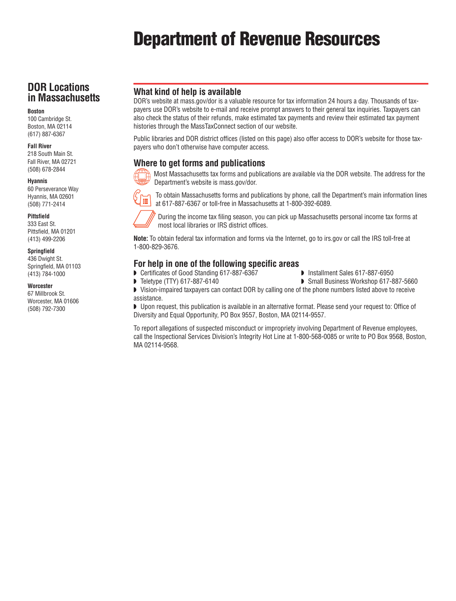# Department of Revenue Resources

## **DOR Locations in Massachusetts**

#### **Boston**

100 Cambridge St. Boston, MA 02114 (617) 887-6367

#### **Fall River**

218 South Main St. Fall River, MA 02721 (508) 678-2844

#### **Hyannis**

60 Perseverance Way Hyannis, MA 02601 (508) 771-2414

#### **Pittsfield**

333 East St. Pittsfield, MA 01201 (413) 499-2206

#### **Springfield**

436 Dwight St. Springfield, MA 01103 (413) 784-1000

#### **Worcester**

67 Millbrook St. Worcester, MA 01606 (508) 792-7300

#### **What kind of help is available**

DOR's website at mass.gov/dor is a valuable resource for tax information 24 hours a day. Thousands of taxpayers use DOR's website to e-mail and receive prompt answers to their general tax inquiries. Taxpayers can also check the status of their refunds, make estimated tax payments and review their estimated tax payment histories through the MassTaxConnect section of our website.

Public libraries and DOR district offices (listed on this page) also offer access to DOR's website for those taxpayers who don't otherwise have computer access.

### **Where to get forms and publications**



Most Massachusetts tax forms and publications are available via the DOR website. The address for the Department's website is mass.gov/dor.



To obtain Massachusetts forms and publications by phone, call the Department's main information lines at 617-887-6367 or toll-free in Massachusetts at 1-800-392-6089.



During the income tax filing season, you can pick up Massachusetts personal income tax forms at most local libraries or IRS district offices.

**Note:** To obtain federal tax information and forms via the Internet, go to irs.gov or call the IRS toll-free at 1-800-829-3676.

#### **For help in one of the following specific areas**

- Certificates of Good Standing 617-887-6367  **Installment Sales 617-887-6950**
- ◗ Teletype (TTY) 617-887-6140 ◗ Small Business Workshop 617-887-5660

◗ Vision-impaired taxpayers can contact DOR by calling one of the phone numbers listed above to receive assistance.

◗ Upon request, this publication is available in an alternative format. Please send your request to: Office of Diversity and Equal Opportunity, PO Box 9557, Boston, MA 02114-9557.

To report allegations of suspected misconduct or impropriety involving Department of Revenue employees, call the Inspectional Services Division's Integrity Hot Line at 1-800-568-0085 or write to PO Box 9568, Boston, MA 02114-9568.